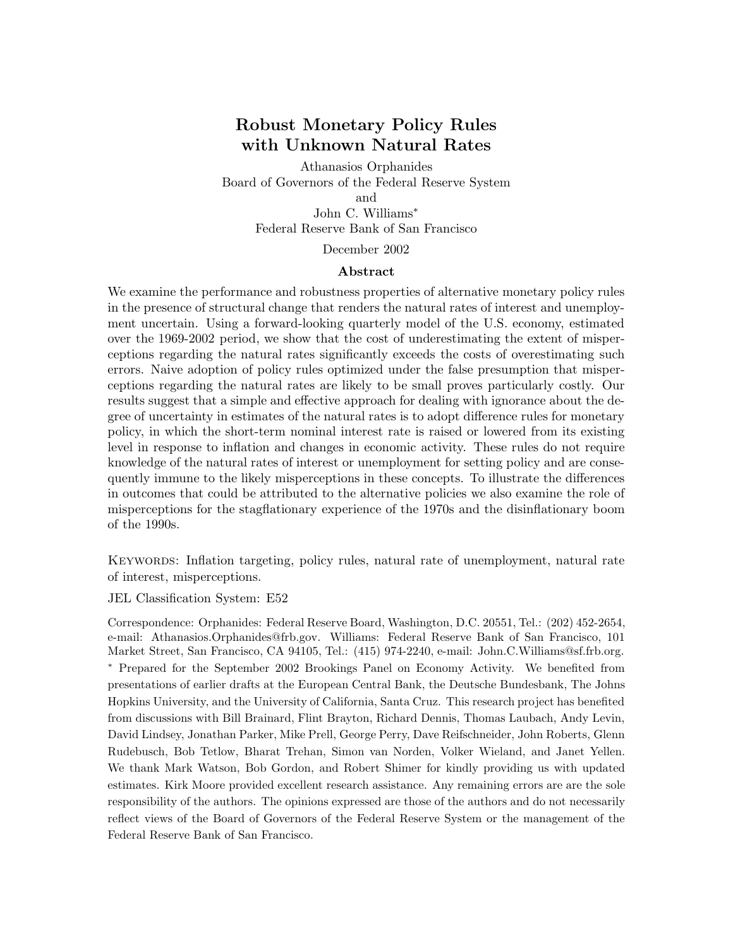# **Robust Monetary Policy Rules with Unknown Natural Rates**

Athanasios Orphanides Board of Governors of the Federal Reserve System and John C. Williams∗ Federal Reserve Bank of San Francisco

December 2002

#### **Abstract**

We examine the performance and robustness properties of alternative monetary policy rules in the presence of structural change that renders the natural rates of interest and unemployment uncertain. Using a forward-looking quarterly model of the U.S. economy, estimated over the 1969-2002 period, we show that the cost of underestimating the extent of misperceptions regarding the natural rates significantly exceeds the costs of overestimating such errors. Naive adoption of policy rules optimized under the false presumption that misperceptions regarding the natural rates are likely to be small proves particularly costly. Our results suggest that a simple and effective approach for dealing with ignorance about the degree of uncertainty in estimates of the natural rates is to adopt difference rules for monetary policy, in which the short-term nominal interest rate is raised or lowered from its existing level in response to inflation and changes in economic activity. These rules do not require knowledge of the natural rates of interest or unemployment for setting policy and are consequently immune to the likely misperceptions in these concepts. To illustrate the differences in outcomes that could be attributed to the alternative policies we also examine the role of misperceptions for the stagflationary experience of the 1970s and the disinflationary boom of the 1990s.

Keywords: Inflation targeting, policy rules, natural rate of unemployment, natural rate of interest, misperceptions.

JEL Classification System: E52

Correspondence: Orphanides: Federal Reserve Board, Washington, D.C. 20551, Tel.: (202) 452-2654, e-mail: Athanasios.Orphanides@frb.gov. Williams: Federal Reserve Bank of San Francisco, 101 Market Street, San Francisco, CA 94105, Tel.: (415) 974-2240, e-mail: John.C.Williams@sf.frb.org. <sup>∗</sup> Prepared for the September 2002 Brookings Panel on Economy Activity. We benefited from presentations of earlier drafts at the European Central Bank, the Deutsche Bundesbank, The Johns Hopkins University, and the University of California, Santa Cruz. This research project has benefited from discussions with Bill Brainard, Flint Brayton, Richard Dennis, Thomas Laubach, Andy Levin, David Lindsey, Jonathan Parker, Mike Prell, George Perry, Dave Reifschneider, John Roberts, Glenn Rudebusch, Bob Tetlow, Bharat Trehan, Simon van Norden, Volker Wieland, and Janet Yellen. We thank Mark Watson, Bob Gordon, and Robert Shimer for kindly providing us with updated estimates. Kirk Moore provided excellent research assistance. Any remaining errors are are the sole responsibility of the authors. The opinions expressed are those of the authors and do not necessarily reflect views of the Board of Governors of the Federal Reserve System or the management of the Federal Reserve Bank of San Francisco.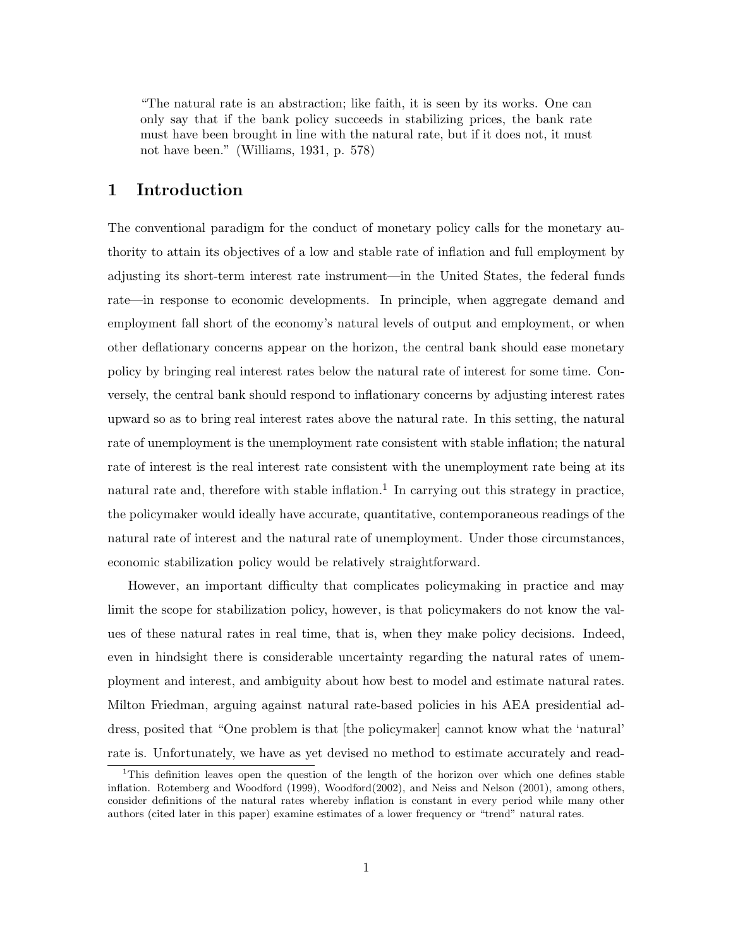"The natural rate is an abstraction; like faith, it is seen by its works. One can only say that if the bank policy succeeds in stabilizing prices, the bank rate must have been brought in line with the natural rate, but if it does not, it must not have been." (Williams, 1931, p. 578)

# **1 Introduction**

The conventional paradigm for the conduct of monetary policy calls for the monetary authority to attain its objectives of a low and stable rate of inflation and full employment by adjusting its short-term interest rate instrument—in the United States, the federal funds rate—in response to economic developments. In principle, when aggregate demand and employment fall short of the economy's natural levels of output and employment, or when other deflationary concerns appear on the horizon, the central bank should ease monetary policy by bringing real interest rates below the natural rate of interest for some time. Conversely, the central bank should respond to inflationary concerns by adjusting interest rates upward so as to bring real interest rates above the natural rate. In this setting, the natural rate of unemployment is the unemployment rate consistent with stable inflation; the natural rate of interest is the real interest rate consistent with the unemployment rate being at its natural rate and, therefore with stable inflation.<sup>1</sup> In carrying out this strategy in practice, the policymaker would ideally have accurate, quantitative, contemporaneous readings of the natural rate of interest and the natural rate of unemployment. Under those circumstances, economic stabilization policy would be relatively straightforward.

However, an important difficulty that complicates policymaking in practice and may limit the scope for stabilization policy, however, is that policymakers do not know the values of these natural rates in real time, that is, when they make policy decisions. Indeed, even in hindsight there is considerable uncertainty regarding the natural rates of unemployment and interest, and ambiguity about how best to model and estimate natural rates. Milton Friedman, arguing against natural rate-based policies in his AEA presidential address, posited that "One problem is that [the policymaker] cannot know what the 'natural' rate is. Unfortunately, we have as yet devised no method to estimate accurately and read-

<sup>&</sup>lt;sup>1</sup>This definition leaves open the question of the length of the horizon over which one defines stable inflation. Rotemberg and Woodford (1999), Woodford(2002), and Neiss and Nelson (2001), among others, consider definitions of the natural rates whereby inflation is constant in every period while many other authors (cited later in this paper) examine estimates of a lower frequency or "trend" natural rates.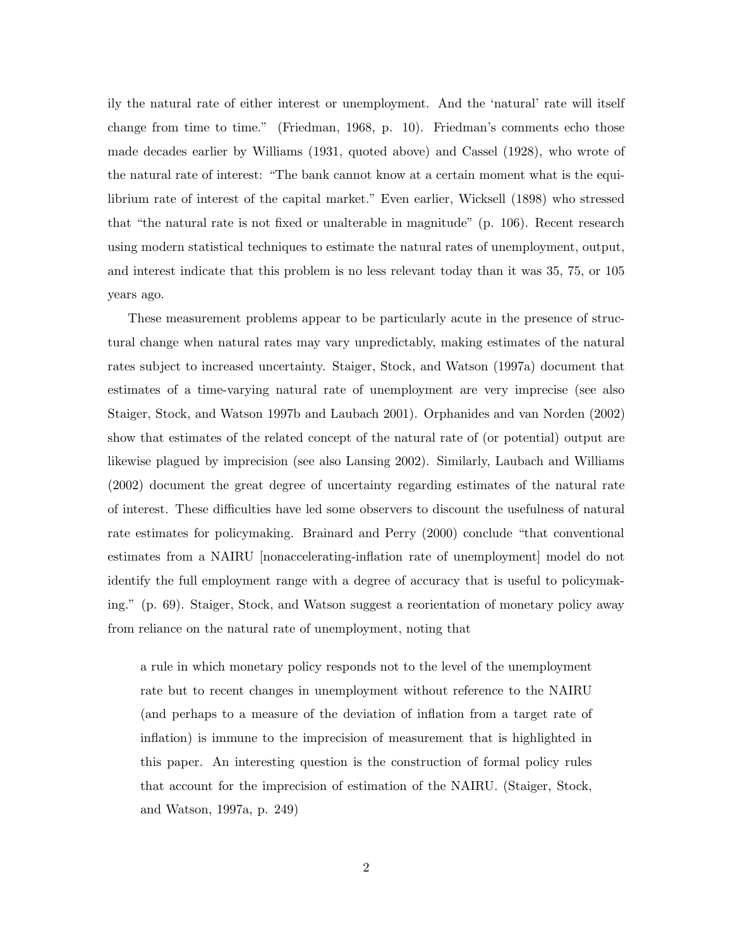ily the natural rate of either interest or unemployment. And the 'natural' rate will itself change from time to time." (Friedman, 1968, p. 10). Friedman's comments echo those made decades earlier by Williams (1931, quoted above) and Cassel (1928), who wrote of the natural rate of interest: "The bank cannot know at a certain moment what is the equilibrium rate of interest of the capital market." Even earlier, Wicksell (1898) who stressed that "the natural rate is not fixed or unalterable in magnitude" (p. 106). Recent research using modern statistical techniques to estimate the natural rates of unemployment, output, and interest indicate that this problem is no less relevant today than it was 35, 75, or 105 years ago.

These measurement problems appear to be particularly acute in the presence of structural change when natural rates may vary unpredictably, making estimates of the natural rates subject to increased uncertainty. Staiger, Stock, and Watson (1997a) document that estimates of a time-varying natural rate of unemployment are very imprecise (see also Staiger, Stock, and Watson 1997b and Laubach 2001). Orphanides and van Norden (2002) show that estimates of the related concept of the natural rate of (or potential) output are likewise plagued by imprecision (see also Lansing 2002). Similarly, Laubach and Williams (2002) document the great degree of uncertainty regarding estimates of the natural rate of interest. These difficulties have led some observers to discount the usefulness of natural rate estimates for policymaking. Brainard and Perry (2000) conclude "that conventional estimates from a NAIRU [nonaccelerating-inflation rate of unemployment] model do not identify the full employment range with a degree of accuracy that is useful to policymaking." (p. 69). Staiger, Stock, and Watson suggest a reorientation of monetary policy away from reliance on the natural rate of unemployment, noting that

a rule in which monetary policy responds not to the level of the unemployment rate but to recent changes in unemployment without reference to the NAIRU (and perhaps to a measure of the deviation of inflation from a target rate of inflation) is immune to the imprecision of measurement that is highlighted in this paper. An interesting question is the construction of formal policy rules that account for the imprecision of estimation of the NAIRU. (Staiger, Stock, and Watson, 1997a, p. 249)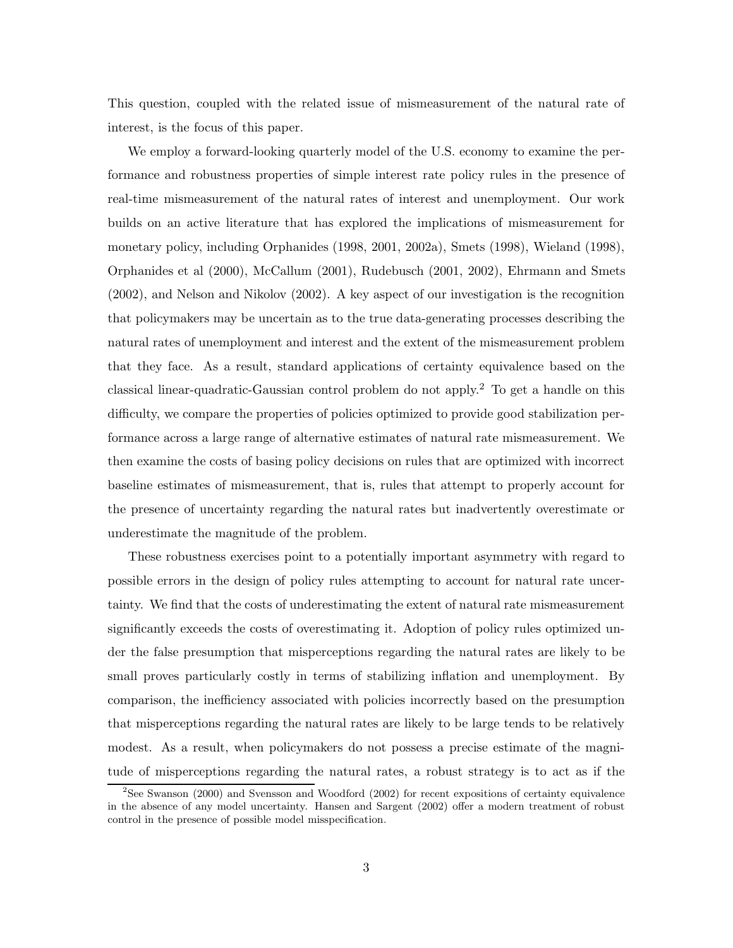This question, coupled with the related issue of mismeasurement of the natural rate of interest, is the focus of this paper.

We employ a forward-looking quarterly model of the U.S. economy to examine the performance and robustness properties of simple interest rate policy rules in the presence of real-time mismeasurement of the natural rates of interest and unemployment. Our work builds on an active literature that has explored the implications of mismeasurement for monetary policy, including Orphanides (1998, 2001, 2002a), Smets (1998), Wieland (1998), Orphanides et al (2000), McCallum (2001), Rudebusch (2001, 2002), Ehrmann and Smets (2002), and Nelson and Nikolov (2002). A key aspect of our investigation is the recognition that policymakers may be uncertain as to the true data-generating processes describing the natural rates of unemployment and interest and the extent of the mismeasurement problem that they face. As a result, standard applications of certainty equivalence based on the classical linear-quadratic-Gaussian control problem do not apply.<sup>2</sup> To get a handle on this difficulty, we compare the properties of policies optimized to provide good stabilization performance across a large range of alternative estimates of natural rate mismeasurement. We then examine the costs of basing policy decisions on rules that are optimized with incorrect baseline estimates of mismeasurement, that is, rules that attempt to properly account for the presence of uncertainty regarding the natural rates but inadvertently overestimate or underestimate the magnitude of the problem.

These robustness exercises point to a potentially important asymmetry with regard to possible errors in the design of policy rules attempting to account for natural rate uncertainty. We find that the costs of underestimating the extent of natural rate mismeasurement significantly exceeds the costs of overestimating it. Adoption of policy rules optimized under the false presumption that misperceptions regarding the natural rates are likely to be small proves particularly costly in terms of stabilizing inflation and unemployment. By comparison, the inefficiency associated with policies incorrectly based on the presumption that misperceptions regarding the natural rates are likely to be large tends to be relatively modest. As a result, when policymakers do not possess a precise estimate of the magnitude of misperceptions regarding the natural rates, a robust strategy is to act as if the

<sup>&</sup>lt;sup>2</sup>See Swanson (2000) and Svensson and Woodford (2002) for recent expositions of certainty equivalence in the absence of any model uncertainty. Hansen and Sargent (2002) offer a modern treatment of robust control in the presence of possible model misspecification.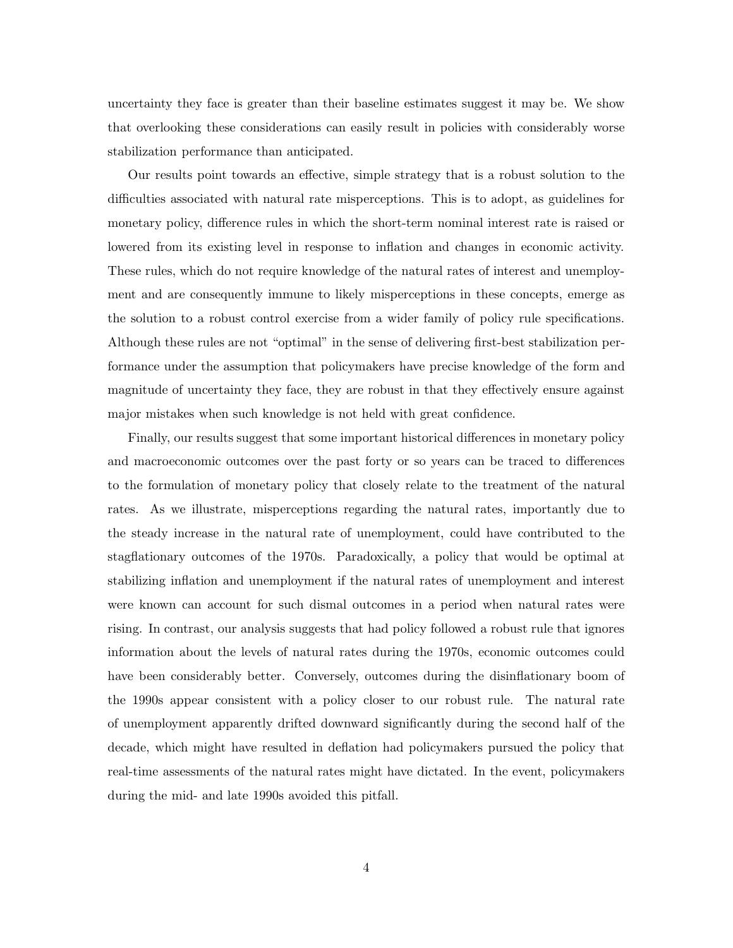uncertainty they face is greater than their baseline estimates suggest it may be. We show that overlooking these considerations can easily result in policies with considerably worse stabilization performance than anticipated.

Our results point towards an effective, simple strategy that is a robust solution to the difficulties associated with natural rate misperceptions. This is to adopt, as guidelines for monetary policy, difference rules in which the short-term nominal interest rate is raised or lowered from its existing level in response to inflation and changes in economic activity. These rules, which do not require knowledge of the natural rates of interest and unemployment and are consequently immune to likely misperceptions in these concepts, emerge as the solution to a robust control exercise from a wider family of policy rule specifications. Although these rules are not "optimal" in the sense of delivering first-best stabilization performance under the assumption that policymakers have precise knowledge of the form and magnitude of uncertainty they face, they are robust in that they effectively ensure against major mistakes when such knowledge is not held with great confidence.

Finally, our results suggest that some important historical differences in monetary policy and macroeconomic outcomes over the past forty or so years can be traced to differences to the formulation of monetary policy that closely relate to the treatment of the natural rates. As we illustrate, misperceptions regarding the natural rates, importantly due to the steady increase in the natural rate of unemployment, could have contributed to the stagflationary outcomes of the 1970s. Paradoxically, a policy that would be optimal at stabilizing inflation and unemployment if the natural rates of unemployment and interest were known can account for such dismal outcomes in a period when natural rates were rising. In contrast, our analysis suggests that had policy followed a robust rule that ignores information about the levels of natural rates during the 1970s, economic outcomes could have been considerably better. Conversely, outcomes during the disinflationary boom of the 1990s appear consistent with a policy closer to our robust rule. The natural rate of unemployment apparently drifted downward significantly during the second half of the decade, which might have resulted in deflation had policymakers pursued the policy that real-time assessments of the natural rates might have dictated. In the event, policymakers during the mid- and late 1990s avoided this pitfall.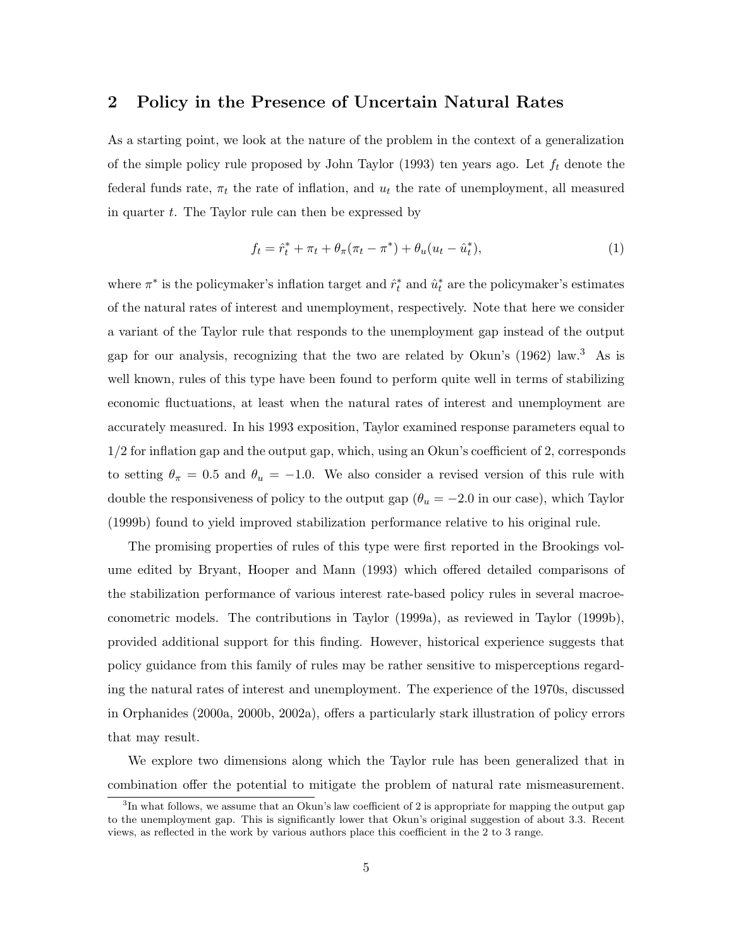# **2 Policy in the Presence of Uncertain Natural Rates**

As a starting point, we look at the nature of the problem in the context of a generalization of the simple policy rule proposed by John Taylor (1993) ten years ago. Let  $f_t$  denote the federal funds rate,  $\pi_t$  the rate of inflation, and  $u_t$  the rate of unemployment, all measured in quarter  $t$ . The Taylor rule can then be expressed by

$$
f_t = \hat{r}_t^* + \pi_t + \theta_\pi(\pi_t - \pi^*) + \theta_u(u_t - \hat{u}_t^*),
$$
\n(1)

where  $\pi^*$  is the policymaker's inflation target and  $\hat{r}_t^*$  and  $\hat{u}_t^*$  are the policymaker's estimates of the natural rates of interest and unemployment, respectively. Note that here we consider a variant of the Taylor rule that responds to the unemployment gap instead of the output gap for our analysis, recognizing that the two are related by Okun's (1962) law.<sup>3</sup> As is well known, rules of this type have been found to perform quite well in terms of stabilizing economic fluctuations, at least when the natural rates of interest and unemployment are accurately measured. In his 1993 exposition, Taylor examined response parameters equal to 1/2 for inflation gap and the output gap, which, using an Okun's coefficient of 2, corresponds to setting  $\theta_{\pi} = 0.5$  and  $\theta_u = -1.0$ . We also consider a revised version of this rule with double the responsiveness of policy to the output gap ( $\theta_u = -2.0$  in our case), which Taylor (1999b) found to yield improved stabilization performance relative to his original rule.

The promising properties of rules of this type were first reported in the Brookings volume edited by Bryant, Hooper and Mann (1993) which offered detailed comparisons of the stabilization performance of various interest rate-based policy rules in several macroeconometric models. The contributions in Taylor (1999a), as reviewed in Taylor (1999b), provided additional support for this finding. However, historical experience suggests that policy guidance from this family of rules may be rather sensitive to misperceptions regarding the natural rates of interest and unemployment. The experience of the 1970s, discussed in Orphanides (2000a, 2000b, 2002a), offers a particularly stark illustration of policy errors that may result.

We explore two dimensions along which the Taylor rule has been generalized that in combination offer the potential to mitigate the problem of natural rate mismeasurement.

 ${}^{3}$ In what follows, we assume that an Okun's law coefficient of 2 is appropriate for mapping the output gap to the unemployment gap. This is significantly lower that Okun's original suggestion of about 3.3. Recent views, as reflected in the work by various authors place this coefficient in the 2 to 3 range.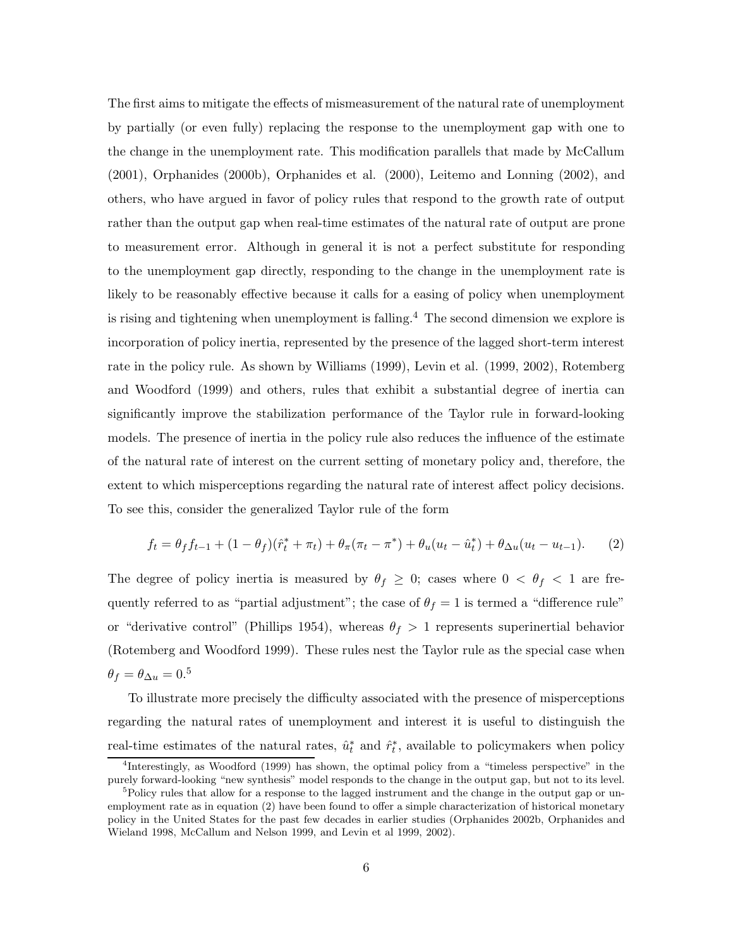The first aims to mitigate the effects of mismeasurement of the natural rate of unemployment by partially (or even fully) replacing the response to the unemployment gap with one to the change in the unemployment rate. This modification parallels that made by McCallum (2001), Orphanides (2000b), Orphanides et al. (2000), Leitemo and Lonning (2002), and others, who have argued in favor of policy rules that respond to the growth rate of output rather than the output gap when real-time estimates of the natural rate of output are prone to measurement error. Although in general it is not a perfect substitute for responding to the unemployment gap directly, responding to the change in the unemployment rate is likely to be reasonably effective because it calls for a easing of policy when unemployment is rising and tightening when unemployment is falling.<sup>4</sup> The second dimension we explore is incorporation of policy inertia, represented by the presence of the lagged short-term interest rate in the policy rule. As shown by Williams (1999), Levin et al. (1999, 2002), Rotemberg and Woodford (1999) and others, rules that exhibit a substantial degree of inertia can significantly improve the stabilization performance of the Taylor rule in forward-looking models. The presence of inertia in the policy rule also reduces the influence of the estimate of the natural rate of interest on the current setting of monetary policy and, therefore, the extent to which misperceptions regarding the natural rate of interest affect policy decisions. To see this, consider the generalized Taylor rule of the form

$$
f_t = \theta_f f_{t-1} + (1 - \theta_f)(\hat{r}_t^* + \pi_t) + \theta_\pi (\pi_t - \pi^*) + \theta_u (u_t - \hat{u}_t^*) + \theta_{\Delta u} (u_t - u_{t-1}). \tag{2}
$$

The degree of policy inertia is measured by  $\theta_f \geq 0$ ; cases where  $0 < \theta_f < 1$  are frequently referred to as "partial adjustment"; the case of  $\theta_f = 1$  is termed a "difference rule" or "derivative control" (Phillips 1954), whereas  $\theta_f > 1$  represents superinertial behavior (Rotemberg and Woodford 1999). These rules nest the Taylor rule as the special case when  $\theta_f = \theta_{\Delta u} = 0.5$ 

To illustrate more precisely the difficulty associated with the presence of misperceptions regarding the natural rates of unemployment and interest it is useful to distinguish the real-time estimates of the natural rates,  $\hat{u}_t^*$  and  $\hat{r}_t^*$ , available to policymakers when policy

<sup>4</sup>Interestingly, as Woodford (1999) has shown, the optimal policy from a "timeless perspective" in the purely forward-looking "new synthesis" model responds to the change in the output gap, but not to its level.  $5P<sub>5</sub>$ Policy rules that allow for a response to the lagged instrument and the change in the output gap or un-

employment rate as in equation (2) have been found to offer a simple characterization of historical monetary policy in the United States for the past few decades in earlier studies (Orphanides 2002b, Orphanides and Wieland 1998, McCallum and Nelson 1999, and Levin et al 1999, 2002).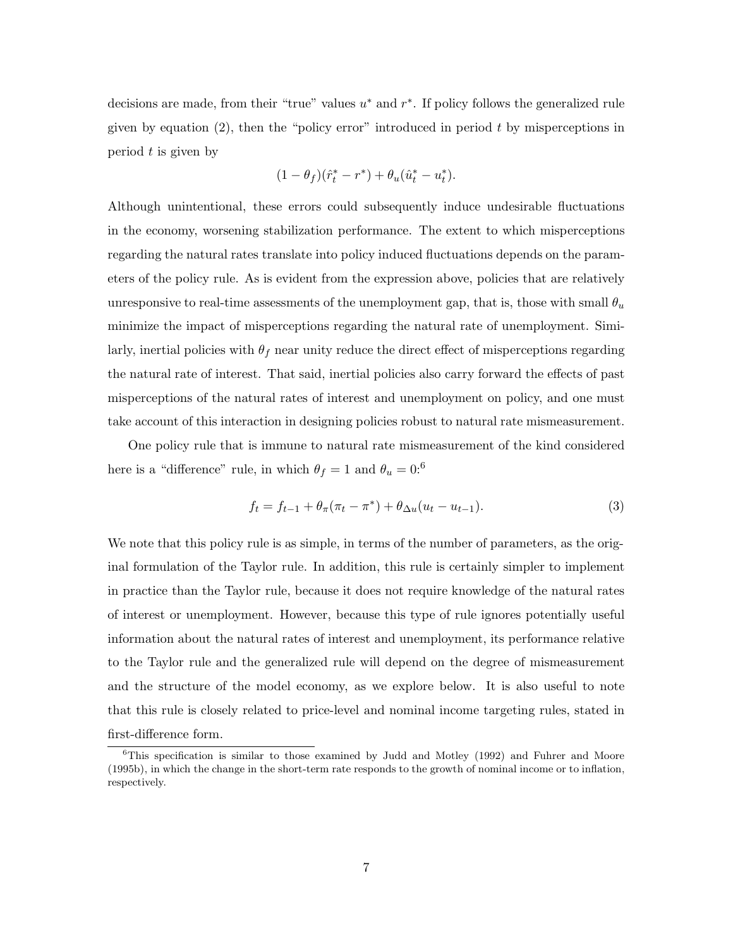decisions are made, from their "true" values  $u^*$  and  $r^*$ . If policy follows the generalized rule given by equation  $(2)$ , then the "policy error" introduced in period t by misperceptions in period  $t$  is given by

$$
(1 - \theta_f)(\hat{r}_t^* - r^*) + \theta_u(\hat{u}_t^* - u_t^*).
$$

Although unintentional, these errors could subsequently induce undesirable fluctuations in the economy, worsening stabilization performance. The extent to which misperceptions regarding the natural rates translate into policy induced fluctuations depends on the parameters of the policy rule. As is evident from the expression above, policies that are relatively unresponsive to real-time assessments of the unemployment gap, that is, those with small  $\theta_u$ minimize the impact of misperceptions regarding the natural rate of unemployment. Similarly, inertial policies with  $\theta_f$  near unity reduce the direct effect of misperceptions regarding the natural rate of interest. That said, inertial policies also carry forward the effects of past misperceptions of the natural rates of interest and unemployment on policy, and one must take account of this interaction in designing policies robust to natural rate mismeasurement.

One policy rule that is immune to natural rate mismeasurement of the kind considered here is a "difference" rule, in which  $\theta_f = 1$  and  $\theta_u = 0$ :<sup>6</sup>

$$
f_t = f_{t-1} + \theta_\pi (\pi_t - \pi^*) + \theta_{\Delta u} (u_t - u_{t-1}). \tag{3}
$$

We note that this policy rule is as simple, in terms of the number of parameters, as the original formulation of the Taylor rule. In addition, this rule is certainly simpler to implement in practice than the Taylor rule, because it does not require knowledge of the natural rates of interest or unemployment. However, because this type of rule ignores potentially useful information about the natural rates of interest and unemployment, its performance relative to the Taylor rule and the generalized rule will depend on the degree of mismeasurement and the structure of the model economy, as we explore below. It is also useful to note that this rule is closely related to price-level and nominal income targeting rules, stated in first-difference form.

 $6$ This specification is similar to those examined by Judd and Motley (1992) and Fuhrer and Moore (1995b), in which the change in the short-term rate responds to the growth of nominal income or to inflation, respectively.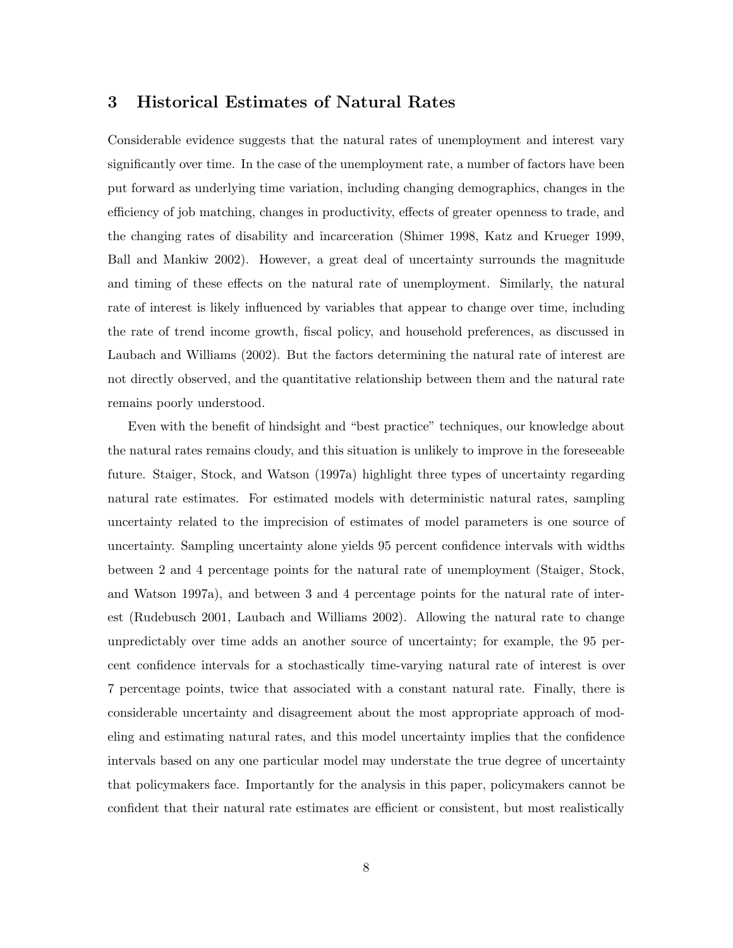# **3 Historical Estimates of Natural Rates**

Considerable evidence suggests that the natural rates of unemployment and interest vary significantly over time. In the case of the unemployment rate, a number of factors have been put forward as underlying time variation, including changing demographics, changes in the efficiency of job matching, changes in productivity, effects of greater openness to trade, and the changing rates of disability and incarceration (Shimer 1998, Katz and Krueger 1999, Ball and Mankiw 2002). However, a great deal of uncertainty surrounds the magnitude and timing of these effects on the natural rate of unemployment. Similarly, the natural rate of interest is likely influenced by variables that appear to change over time, including the rate of trend income growth, fiscal policy, and household preferences, as discussed in Laubach and Williams (2002). But the factors determining the natural rate of interest are not directly observed, and the quantitative relationship between them and the natural rate remains poorly understood.

Even with the benefit of hindsight and "best practice" techniques, our knowledge about the natural rates remains cloudy, and this situation is unlikely to improve in the foreseeable future. Staiger, Stock, and Watson (1997a) highlight three types of uncertainty regarding natural rate estimates. For estimated models with deterministic natural rates, sampling uncertainty related to the imprecision of estimates of model parameters is one source of uncertainty. Sampling uncertainty alone yields 95 percent confidence intervals with widths between 2 and 4 percentage points for the natural rate of unemployment (Staiger, Stock, and Watson 1997a), and between 3 and 4 percentage points for the natural rate of interest (Rudebusch 2001, Laubach and Williams 2002). Allowing the natural rate to change unpredictably over time adds an another source of uncertainty; for example, the 95 percent confidence intervals for a stochastically time-varying natural rate of interest is over 7 percentage points, twice that associated with a constant natural rate. Finally, there is considerable uncertainty and disagreement about the most appropriate approach of modeling and estimating natural rates, and this model uncertainty implies that the confidence intervals based on any one particular model may understate the true degree of uncertainty that policymakers face. Importantly for the analysis in this paper, policymakers cannot be confident that their natural rate estimates are efficient or consistent, but most realistically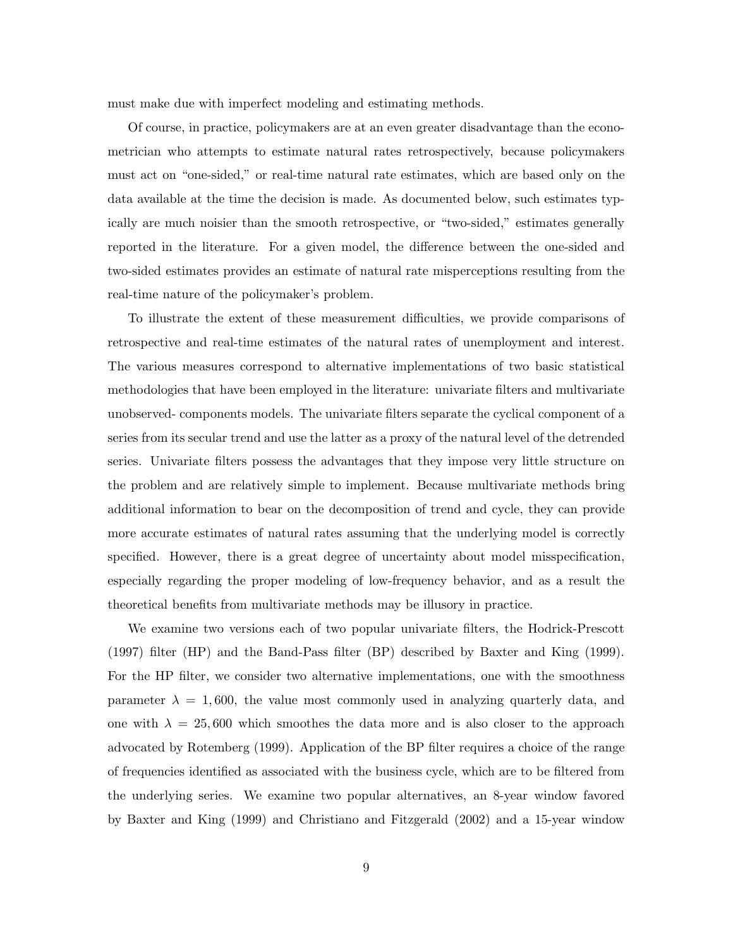must make due with imperfect modeling and estimating methods.

Of course, in practice, policymakers are at an even greater disadvantage than the econometrician who attempts to estimate natural rates retrospectively, because policymakers must act on "one-sided," or real-time natural rate estimates, which are based only on the data available at the time the decision is made. As documented below, such estimates typically are much noisier than the smooth retrospective, or "two-sided," estimates generally reported in the literature. For a given model, the difference between the one-sided and two-sided estimates provides an estimate of natural rate misperceptions resulting from the real-time nature of the policymaker's problem.

To illustrate the extent of these measurement difficulties, we provide comparisons of retrospective and real-time estimates of the natural rates of unemployment and interest. The various measures correspond to alternative implementations of two basic statistical methodologies that have been employed in the literature: univariate filters and multivariate unobserved- components models. The univariate filters separate the cyclical component of a series from its secular trend and use the latter as a proxy of the natural level of the detrended series. Univariate filters possess the advantages that they impose very little structure on the problem and are relatively simple to implement. Because multivariate methods bring additional information to bear on the decomposition of trend and cycle, they can provide more accurate estimates of natural rates assuming that the underlying model is correctly specified. However, there is a great degree of uncertainty about model misspecification, especially regarding the proper modeling of low-frequency behavior, and as a result the theoretical benefits from multivariate methods may be illusory in practice.

We examine two versions each of two popular univariate filters, the Hodrick-Prescott (1997) filter (HP) and the Band-Pass filter (BP) described by Baxter and King (1999). For the HP filter, we consider two alternative implementations, one with the smoothness parameter  $\lambda = 1,600$ , the value most commonly used in analyzing quarterly data, and one with  $\lambda = 25,600$  which smoothes the data more and is also closer to the approach advocated by Rotemberg (1999). Application of the BP filter requires a choice of the range of frequencies identified as associated with the business cycle, which are to be filtered from the underlying series. We examine two popular alternatives, an 8-year window favored by Baxter and King (1999) and Christiano and Fitzgerald (2002) and a 15-year window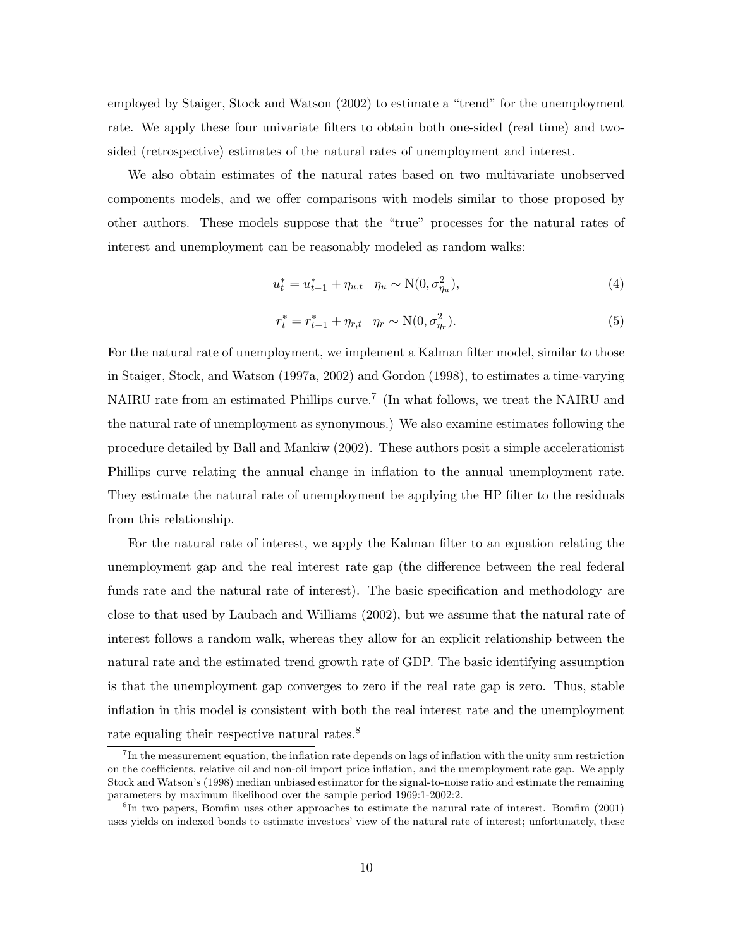employed by Staiger, Stock and Watson (2002) to estimate a "trend" for the unemployment rate. We apply these four univariate filters to obtain both one-sided (real time) and twosided (retrospective) estimates of the natural rates of unemployment and interest.

We also obtain estimates of the natural rates based on two multivariate unobserved components models, and we offer comparisons with models similar to those proposed by other authors. These models suppose that the "true" processes for the natural rates of interest and unemployment can be reasonably modeled as random walks:

$$
u_t^* = u_{t-1}^* + \eta_{u,t} \quad \eta_u \sim \mathcal{N}(0, \sigma_{\eta_u}^2), \tag{4}
$$

$$
r_t^* = r_{t-1}^* + \eta_{r,t} \quad \eta_r \sim \mathcal{N}(0, \sigma_{\eta_r}^2). \tag{5}
$$

For the natural rate of unemployment, we implement a Kalman filter model, similar to those in Staiger, Stock, and Watson (1997a, 2002) and Gordon (1998), to estimates a time-varying NAIRU rate from an estimated Phillips curve.<sup>7</sup> (In what follows, we treat the NAIRU and the natural rate of unemployment as synonymous.) We also examine estimates following the procedure detailed by Ball and Mankiw (2002). These authors posit a simple accelerationist Phillips curve relating the annual change in inflation to the annual unemployment rate. They estimate the natural rate of unemployment be applying the HP filter to the residuals from this relationship.

For the natural rate of interest, we apply the Kalman filter to an equation relating the unemployment gap and the real interest rate gap (the difference between the real federal funds rate and the natural rate of interest). The basic specification and methodology are close to that used by Laubach and Williams (2002), but we assume that the natural rate of interest follows a random walk, whereas they allow for an explicit relationship between the natural rate and the estimated trend growth rate of GDP. The basic identifying assumption is that the unemployment gap converges to zero if the real rate gap is zero. Thus, stable inflation in this model is consistent with both the real interest rate and the unemployment rate equaling their respective natural rates.<sup>8</sup>

 $^{7}$ In the measurement equation, the inflation rate depends on lags of inflation with the unity sum restriction on the coefficients, relative oil and non-oil import price inflation, and the unemployment rate gap. We apply Stock and Watson's (1998) median unbiased estimator for the signal-to-noise ratio and estimate the remaining parameters by maximum likelihood over the sample period 1969:1-2002:2.

<sup>8</sup>In two papers, Bomfim uses other approaches to estimate the natural rate of interest. Bomfim (2001) uses yields on indexed bonds to estimate investors' view of the natural rate of interest; unfortunately, these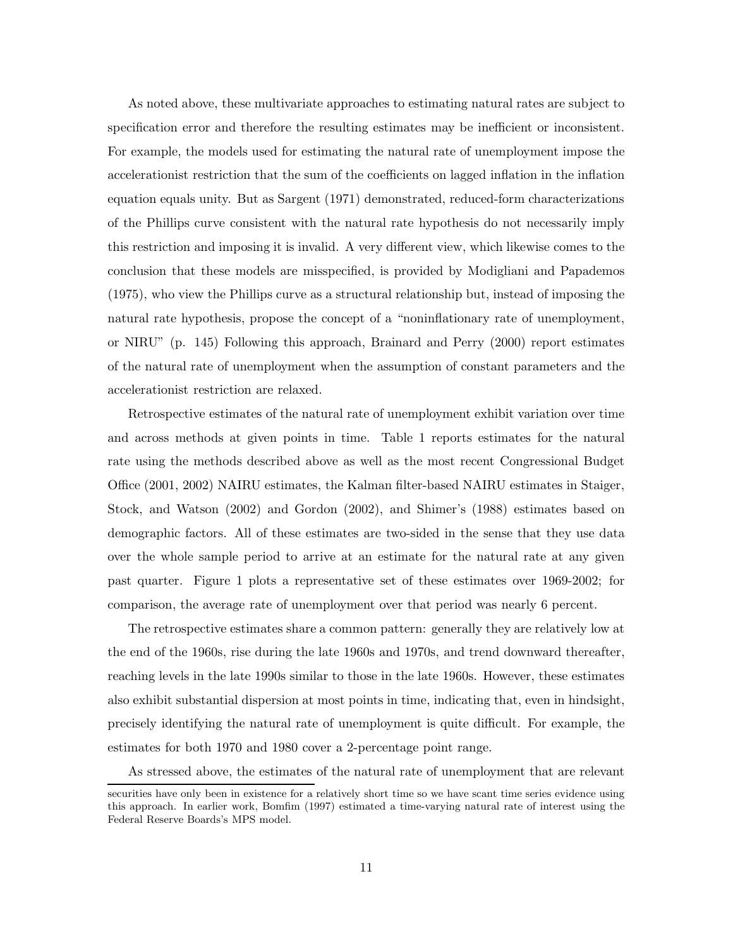As noted above, these multivariate approaches to estimating natural rates are subject to specification error and therefore the resulting estimates may be inefficient or inconsistent. For example, the models used for estimating the natural rate of unemployment impose the accelerationist restriction that the sum of the coefficients on lagged inflation in the inflation equation equals unity. But as Sargent (1971) demonstrated, reduced-form characterizations of the Phillips curve consistent with the natural rate hypothesis do not necessarily imply this restriction and imposing it is invalid. A very different view, which likewise comes to the conclusion that these models are misspecified, is provided by Modigliani and Papademos (1975), who view the Phillips curve as a structural relationship but, instead of imposing the natural rate hypothesis, propose the concept of a "noninflationary rate of unemployment, or NIRU" (p. 145) Following this approach, Brainard and Perry (2000) report estimates of the natural rate of unemployment when the assumption of constant parameters and the accelerationist restriction are relaxed.

Retrospective estimates of the natural rate of unemployment exhibit variation over time and across methods at given points in time. Table 1 reports estimates for the natural rate using the methods described above as well as the most recent Congressional Budget Office (2001, 2002) NAIRU estimates, the Kalman filter-based NAIRU estimates in Staiger, Stock, and Watson (2002) and Gordon (2002), and Shimer's (1988) estimates based on demographic factors. All of these estimates are two-sided in the sense that they use data over the whole sample period to arrive at an estimate for the natural rate at any given past quarter. Figure 1 plots a representative set of these estimates over 1969-2002; for comparison, the average rate of unemployment over that period was nearly 6 percent.

The retrospective estimates share a common pattern: generally they are relatively low at the end of the 1960s, rise during the late 1960s and 1970s, and trend downward thereafter, reaching levels in the late 1990s similar to those in the late 1960s. However, these estimates also exhibit substantial dispersion at most points in time, indicating that, even in hindsight, precisely identifying the natural rate of unemployment is quite difficult. For example, the estimates for both 1970 and 1980 cover a 2-percentage point range.

As stressed above, the estimates of the natural rate of unemployment that are relevant

securities have only been in existence for a relatively short time so we have scant time series evidence using this approach. In earlier work, Bomfim (1997) estimated a time-varying natural rate of interest using the Federal Reserve Boards's MPS model.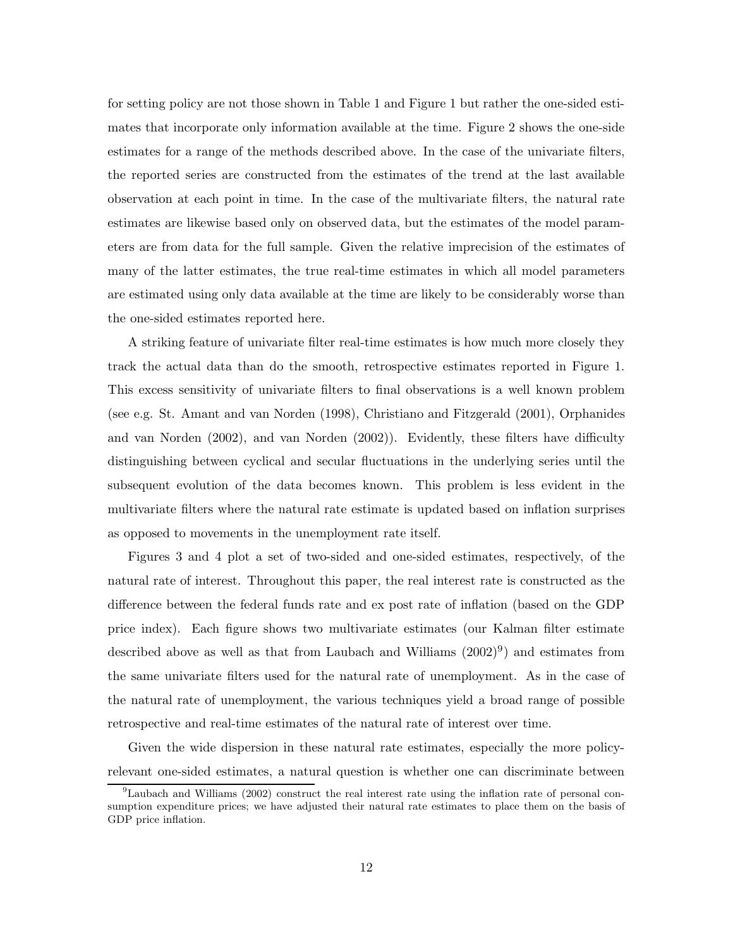for setting policy are not those shown in Table 1 and Figure 1 but rather the one-sided estimates that incorporate only information available at the time. Figure 2 shows the one-side estimates for a range of the methods described above. In the case of the univariate filters, the reported series are constructed from the estimates of the trend at the last available observation at each point in time. In the case of the multivariate filters, the natural rate estimates are likewise based only on observed data, but the estimates of the model parameters are from data for the full sample. Given the relative imprecision of the estimates of many of the latter estimates, the true real-time estimates in which all model parameters are estimated using only data available at the time are likely to be considerably worse than the one-sided estimates reported here.

A striking feature of univariate filter real-time estimates is how much more closely they track the actual data than do the smooth, retrospective estimates reported in Figure 1. This excess sensitivity of univariate filters to final observations is a well known problem (see e.g. St. Amant and van Norden (1998), Christiano and Fitzgerald (2001), Orphanides and van Norden (2002), and van Norden (2002)). Evidently, these filters have difficulty distinguishing between cyclical and secular fluctuations in the underlying series until the subsequent evolution of the data becomes known. This problem is less evident in the multivariate filters where the natural rate estimate is updated based on inflation surprises as opposed to movements in the unemployment rate itself.

Figures 3 and 4 plot a set of two-sided and one-sided estimates, respectively, of the natural rate of interest. Throughout this paper, the real interest rate is constructed as the difference between the federal funds rate and ex post rate of inflation (based on the GDP price index). Each figure shows two multivariate estimates (our Kalman filter estimate described above as well as that from Laubach and Williams  $(2002)^9$ ) and estimates from the same univariate filters used for the natural rate of unemployment. As in the case of the natural rate of unemployment, the various techniques yield a broad range of possible retrospective and real-time estimates of the natural rate of interest over time.

Given the wide dispersion in these natural rate estimates, especially the more policyrelevant one-sided estimates, a natural question is whether one can discriminate between

 $<sup>9</sup>$ Laubach and Williams (2002) construct the real interest rate using the inflation rate of personal con-</sup> sumption expenditure prices; we have adjusted their natural rate estimates to place them on the basis of GDP price inflation.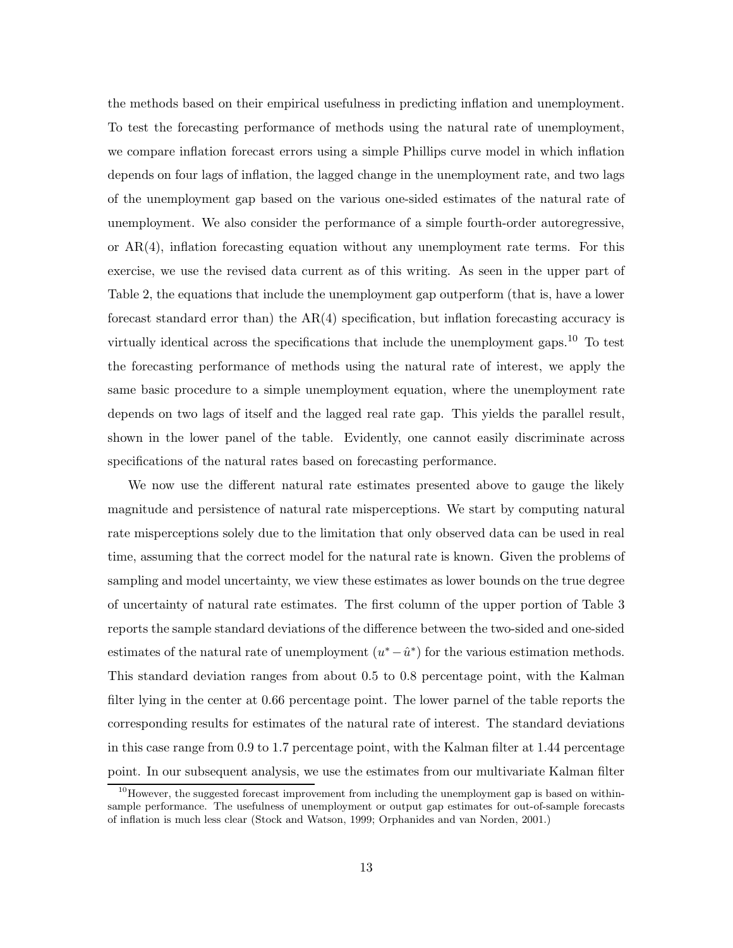the methods based on their empirical usefulness in predicting inflation and unemployment. To test the forecasting performance of methods using the natural rate of unemployment, we compare inflation forecast errors using a simple Phillips curve model in which inflation depends on four lags of inflation, the lagged change in the unemployment rate, and two lags of the unemployment gap based on the various one-sided estimates of the natural rate of unemployment. We also consider the performance of a simple fourth-order autoregressive, or AR(4), inflation forecasting equation without any unemployment rate terms. For this exercise, we use the revised data current as of this writing. As seen in the upper part of Table 2, the equations that include the unemployment gap outperform (that is, have a lower forecast standard error than) the  $AR(4)$  specification, but inflation forecasting accuracy is virtually identical across the specifications that include the unemployment gaps.<sup>10</sup> To test the forecasting performance of methods using the natural rate of interest, we apply the same basic procedure to a simple unemployment equation, where the unemployment rate depends on two lags of itself and the lagged real rate gap. This yields the parallel result, shown in the lower panel of the table. Evidently, one cannot easily discriminate across specifications of the natural rates based on forecasting performance.

We now use the different natural rate estimates presented above to gauge the likely magnitude and persistence of natural rate misperceptions. We start by computing natural rate misperceptions solely due to the limitation that only observed data can be used in real time, assuming that the correct model for the natural rate is known. Given the problems of sampling and model uncertainty, we view these estimates as lower bounds on the true degree of uncertainty of natural rate estimates. The first column of the upper portion of Table 3 reports the sample standard deviations of the difference between the two-sided and one-sided estimates of the natural rate of unemployment  $(u^*-\hat{u}^*)$  for the various estimation methods. This standard deviation ranges from about 0.5 to 0.8 percentage point, with the Kalman filter lying in the center at 0.66 percentage point. The lower parnel of the table reports the corresponding results for estimates of the natural rate of interest. The standard deviations in this case range from 0.9 to 1.7 percentage point, with the Kalman filter at 1.44 percentage point. In our subsequent analysis, we use the estimates from our multivariate Kalman filter

 $10<sup>10</sup>$  However, the suggested forecast improvement from including the unemployment gap is based on withinsample performance. The usefulness of unemployment or output gap estimates for out-of-sample forecasts of inflation is much less clear (Stock and Watson, 1999; Orphanides and van Norden, 2001.)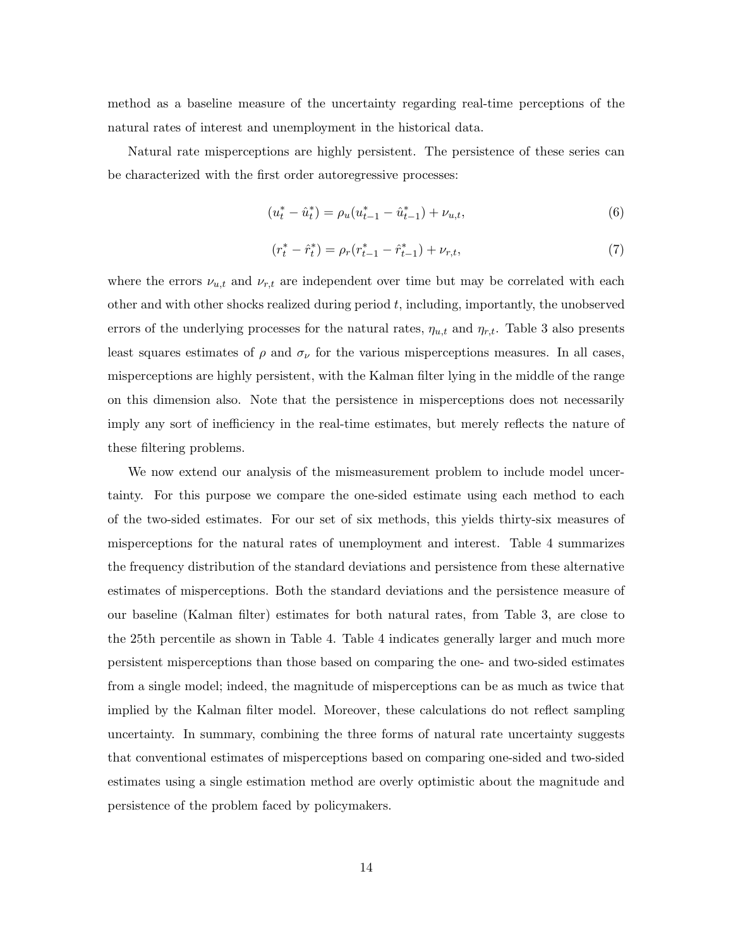method as a baseline measure of the uncertainty regarding real-time perceptions of the natural rates of interest and unemployment in the historical data.

Natural rate misperceptions are highly persistent. The persistence of these series can be characterized with the first order autoregressive processes:

$$
(u_t^* - \hat{u}_t^*) = \rho_u(u_{t-1}^* - \hat{u}_{t-1}^*) + \nu_{u,t},
$$
\n(6)

$$
(r_t^* - \hat{r}_t^*) = \rho_r (r_{t-1}^* - \hat{r}_{t-1}^*) + \nu_{r,t},
$$
\n<sup>(7)</sup>

where the errors  $\nu_{u,t}$  and  $\nu_{r,t}$  are independent over time but may be correlated with each other and with other shocks realized during period  $t$ , including, importantly, the unobserved errors of the underlying processes for the natural rates,  $\eta_{u,t}$  and  $\eta_{r,t}$ . Table 3 also presents least squares estimates of  $\rho$  and  $\sigma_{\nu}$  for the various misperceptions measures. In all cases, misperceptions are highly persistent, with the Kalman filter lying in the middle of the range on this dimension also. Note that the persistence in misperceptions does not necessarily imply any sort of inefficiency in the real-time estimates, but merely reflects the nature of these filtering problems.

We now extend our analysis of the mismeasurement problem to include model uncertainty. For this purpose we compare the one-sided estimate using each method to each of the two-sided estimates. For our set of six methods, this yields thirty-six measures of misperceptions for the natural rates of unemployment and interest. Table 4 summarizes the frequency distribution of the standard deviations and persistence from these alternative estimates of misperceptions. Both the standard deviations and the persistence measure of our baseline (Kalman filter) estimates for both natural rates, from Table 3, are close to the 25th percentile as shown in Table 4. Table 4 indicates generally larger and much more persistent misperceptions than those based on comparing the one- and two-sided estimates from a single model; indeed, the magnitude of misperceptions can be as much as twice that implied by the Kalman filter model. Moreover, these calculations do not reflect sampling uncertainty. In summary, combining the three forms of natural rate uncertainty suggests that conventional estimates of misperceptions based on comparing one-sided and two-sided estimates using a single estimation method are overly optimistic about the magnitude and persistence of the problem faced by policymakers.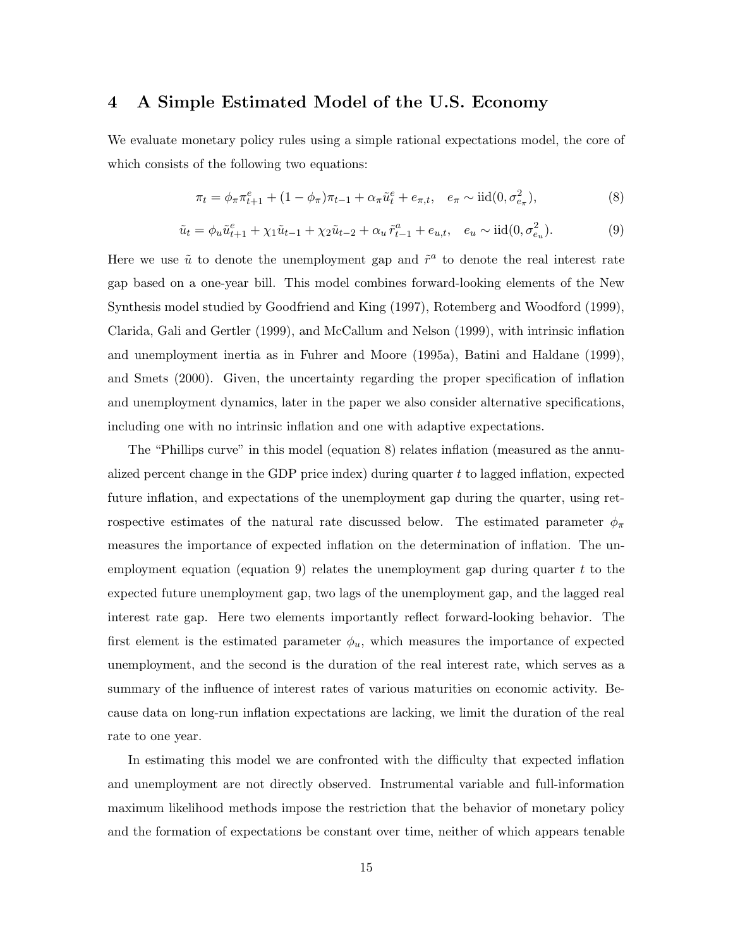# **4 A Simple Estimated Model of the U.S. Economy**

We evaluate monetary policy rules using a simple rational expectations model, the core of which consists of the following two equations:

$$
\pi_t = \phi_\pi \pi_{t+1}^e + (1 - \phi_\pi) \pi_{t-1} + \alpha_\pi \tilde{u}_t^e + e_{\pi, t}, \quad e_\pi \sim \text{iid}(0, \sigma_{e_\pi}^2),
$$
\n(8)

$$
\tilde{u}_t = \phi_u \tilde{u}_{t+1}^e + \chi_1 \tilde{u}_{t-1} + \chi_2 \tilde{u}_{t-2} + \alpha_u \tilde{r}_{t-1}^a + e_{u,t}, \quad e_u \sim \text{iid}(0, \sigma_{e_u}^2). \tag{9}
$$

Here we use  $\tilde{u}$  to denote the unemployment gap and  $\tilde{r}^a$  to denote the real interest rate gap based on a one-year bill. This model combines forward-looking elements of the New Synthesis model studied by Goodfriend and King (1997), Rotemberg and Woodford (1999), Clarida, Gali and Gertler (1999), and McCallum and Nelson (1999), with intrinsic inflation and unemployment inertia as in Fuhrer and Moore (1995a), Batini and Haldane (1999), and Smets (2000). Given, the uncertainty regarding the proper specification of inflation and unemployment dynamics, later in the paper we also consider alternative specifications, including one with no intrinsic inflation and one with adaptive expectations.

The "Phillips curve" in this model (equation 8) relates inflation (measured as the annualized percent change in the GDP price index) during quarter  $t$  to lagged inflation, expected future inflation, and expectations of the unemployment gap during the quarter, using retrospective estimates of the natural rate discussed below. The estimated parameter  $\phi_{\pi}$ measures the importance of expected inflation on the determination of inflation. The unemployment equation (equation 9) relates the unemployment gap during quarter  $t$  to the expected future unemployment gap, two lags of the unemployment gap, and the lagged real interest rate gap. Here two elements importantly reflect forward-looking behavior. The first element is the estimated parameter  $\phi_u$ , which measures the importance of expected unemployment, and the second is the duration of the real interest rate, which serves as a summary of the influence of interest rates of various maturities on economic activity. Because data on long-run inflation expectations are lacking, we limit the duration of the real rate to one year.

In estimating this model we are confronted with the difficulty that expected inflation and unemployment are not directly observed. Instrumental variable and full-information maximum likelihood methods impose the restriction that the behavior of monetary policy and the formation of expectations be constant over time, neither of which appears tenable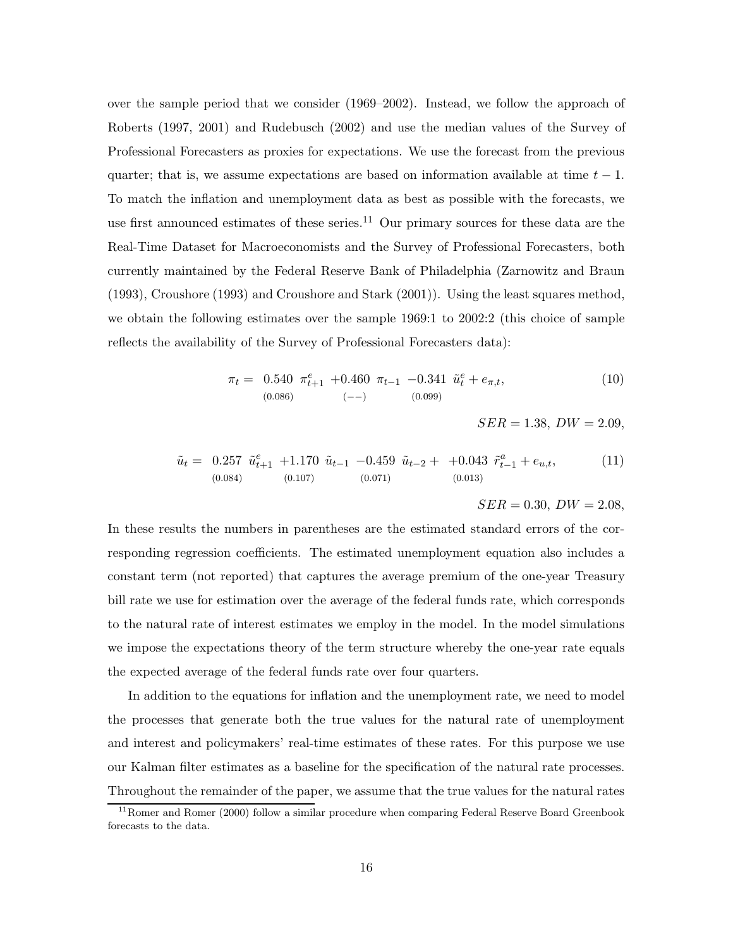over the sample period that we consider (1969–2002). Instead, we follow the approach of Roberts (1997, 2001) and Rudebusch (2002) and use the median values of the Survey of Professional Forecasters as proxies for expectations. We use the forecast from the previous quarter; that is, we assume expectations are based on information available at time  $t - 1$ . To match the inflation and unemployment data as best as possible with the forecasts, we use first announced estimates of these series.<sup>11</sup> Our primary sources for these data are the Real-Time Dataset for Macroeconomists and the Survey of Professional Forecasters, both currently maintained by the Federal Reserve Bank of Philadelphia (Zarnowitz and Braun (1993), Croushore (1993) and Croushore and Stark (2001)). Using the least squares method, we obtain the following estimates over the sample 1969:1 to 2002:2 (this choice of sample reflects the availability of the Survey of Professional Forecasters data):

$$
\pi_t = \begin{array}{cccc} 0.540 & \pi_{t+1}^e & +0.460 & \pi_{t-1} & -0.341 & \tilde{u}_t^e + e_{\pi,t}, \\ (0.086) & & (-) & (0.099) \end{array} \tag{10}
$$

 $SER = 1.38, DW = 2.09,$ 

$$
\tilde{u}_t = 0.257 \ \tilde{u}_{t+1}^e + 1.170 \ \tilde{u}_{t-1} - 0.459 \ \tilde{u}_{t-2} + +0.043 \ \tilde{r}_{t-1}^a + e_{u,t},
$$
\n(11)  
\n(0.084) (0.107) (0.071) (0.013)

 $SER = 0.30, DW = 2.08,$ 

In these results the numbers in parentheses are the estimated standard errors of the corresponding regression coefficients. The estimated unemployment equation also includes a constant term (not reported) that captures the average premium of the one-year Treasury bill rate we use for estimation over the average of the federal funds rate, which corresponds to the natural rate of interest estimates we employ in the model. In the model simulations we impose the expectations theory of the term structure whereby the one-year rate equals the expected average of the federal funds rate over four quarters.

In addition to the equations for inflation and the unemployment rate, we need to model the processes that generate both the true values for the natural rate of unemployment and interest and policymakers' real-time estimates of these rates. For this purpose we use our Kalman filter estimates as a baseline for the specification of the natural rate processes. Throughout the remainder of the paper, we assume that the true values for the natural rates

<sup>&</sup>lt;sup>11</sup> Romer and Romer (2000) follow a similar procedure when comparing Federal Reserve Board Greenbook forecasts to the data.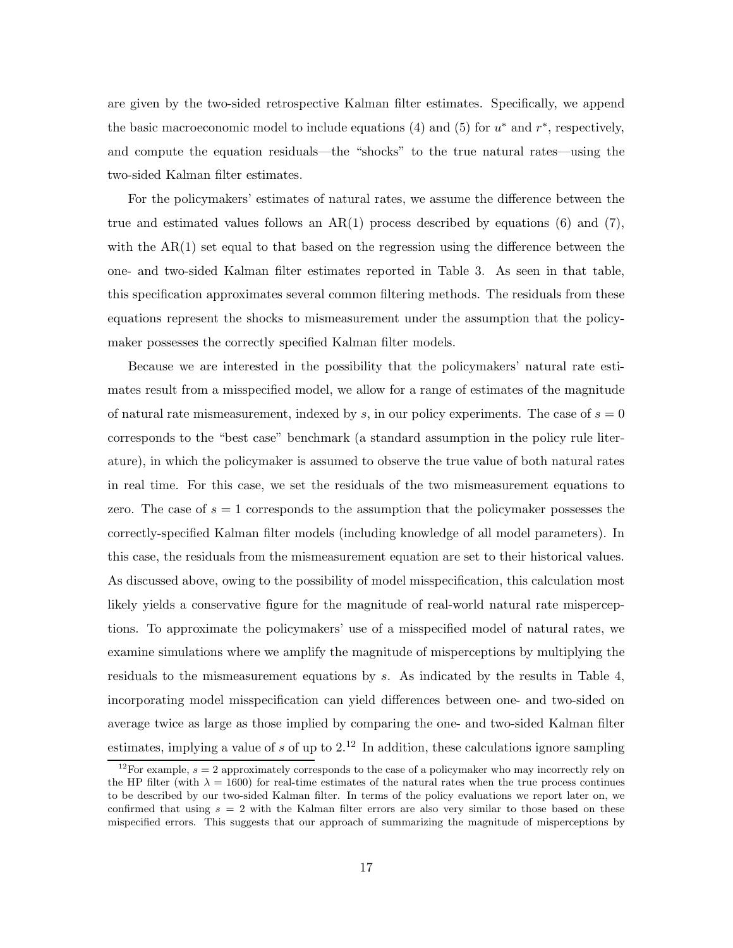are given by the two-sided retrospective Kalman filter estimates. Specifically, we append the basic macroeconomic model to include equations (4) and (5) for  $u^*$  and  $r^*$ , respectively, and compute the equation residuals—the "shocks" to the true natural rates—using the two-sided Kalman filter estimates.

For the policymakers' estimates of natural rates, we assume the difference between the true and estimated values follows an  $AR(1)$  process described by equations (6) and (7), with the  $AR(1)$  set equal to that based on the regression using the difference between the one- and two-sided Kalman filter estimates reported in Table 3. As seen in that table, this specification approximates several common filtering methods. The residuals from these equations represent the shocks to mismeasurement under the assumption that the policymaker possesses the correctly specified Kalman filter models.

Because we are interested in the possibility that the policymakers' natural rate estimates result from a misspecified model, we allow for a range of estimates of the magnitude of natural rate mismeasurement, indexed by s, in our policy experiments. The case of  $s = 0$ corresponds to the "best case" benchmark (a standard assumption in the policy rule literature), in which the policymaker is assumed to observe the true value of both natural rates in real time. For this case, we set the residuals of the two mismeasurement equations to zero. The case of  $s = 1$  corresponds to the assumption that the policymaker possesses the correctly-specified Kalman filter models (including knowledge of all model parameters). In this case, the residuals from the mismeasurement equation are set to their historical values. As discussed above, owing to the possibility of model misspecification, this calculation most likely yields a conservative figure for the magnitude of real-world natural rate misperceptions. To approximate the policymakers' use of a misspecified model of natural rates, we examine simulations where we amplify the magnitude of misperceptions by multiplying the residuals to the mismeasurement equations by s. As indicated by the results in Table 4, incorporating model misspecification can yield differences between one- and two-sided on average twice as large as those implied by comparing the one- and two-sided Kalman filter estimates, implying a value of s of up to  $2<sup>12</sup>$  In addition, these calculations ignore sampling

<sup>&</sup>lt;sup>12</sup>For example,  $s = 2$  approximately corresponds to the case of a policymaker who may incorrectly rely on the HP filter (with  $\lambda = 1600$ ) for real-time estimates of the natural rates when the true process continues to be described by our two-sided Kalman filter. In terms of the policy evaluations we report later on, we confirmed that using  $s = 2$  with the Kalman filter errors are also very similar to those based on these mispecified errors. This suggests that our approach of summarizing the magnitude of misperceptions by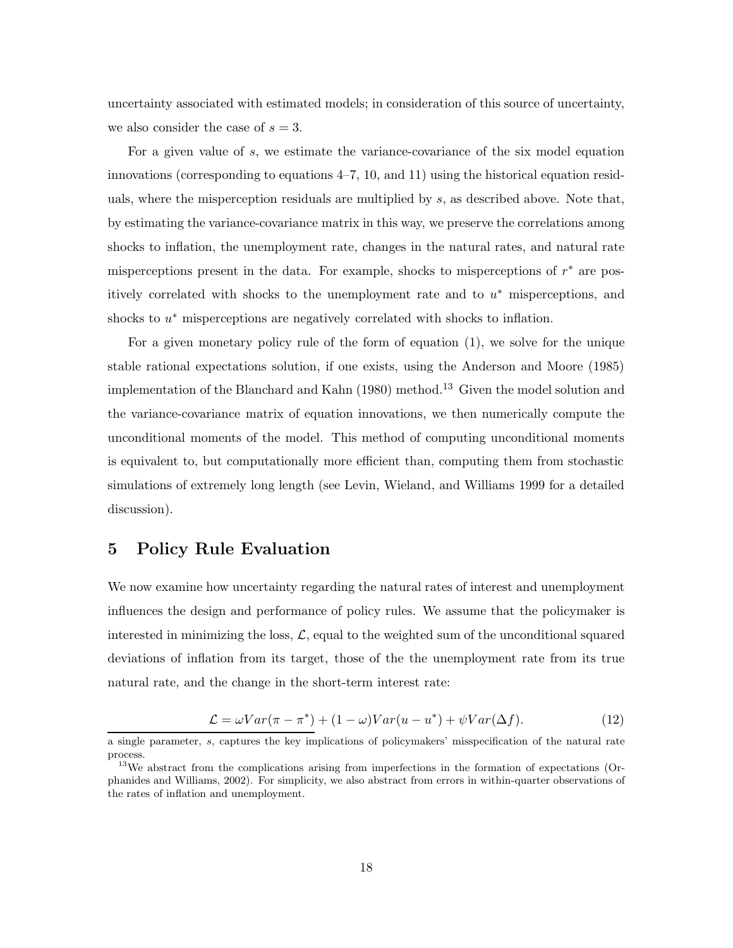uncertainty associated with estimated models; in consideration of this source of uncertainty, we also consider the case of  $s = 3$ .

For a given value of s, we estimate the variance-covariance of the six model equation innovations (corresponding to equations  $4-7$ , 10, and 11) using the historical equation residuals, where the misperception residuals are multiplied by s, as described above. Note that, by estimating the variance-covariance matrix in this way, we preserve the correlations among shocks to inflation, the unemployment rate, changes in the natural rates, and natural rate misperceptions present in the data. For example, shocks to misperceptions of  $r^*$  are positively correlated with shocks to the unemployment rate and to  $u^*$  misperceptions, and shocks to  $u^*$  misperceptions are negatively correlated with shocks to inflation.

For a given monetary policy rule of the form of equation (1), we solve for the unique stable rational expectations solution, if one exists, using the Anderson and Moore (1985) implementation of the Blanchard and Kahn  $(1980)$  method.<sup>13</sup> Given the model solution and the variance-covariance matrix of equation innovations, we then numerically compute the unconditional moments of the model. This method of computing unconditional moments is equivalent to, but computationally more efficient than, computing them from stochastic simulations of extremely long length (see Levin, Wieland, and Williams 1999 for a detailed discussion).

# **5 Policy Rule Evaluation**

We now examine how uncertainty regarding the natural rates of interest and unemployment influences the design and performance of policy rules. We assume that the policymaker is interested in minimizing the loss,  $\mathcal{L}$ , equal to the weighted sum of the unconditional squared deviations of inflation from its target, those of the the unemployment rate from its true natural rate, and the change in the short-term interest rate:

$$
\mathcal{L} = \omega Var(\pi - \pi^*) + (1 - \omega)Var(u - u^*) + \psi Var(\Delta f). \tag{12}
$$

a single parameter, s, captures the key implications of policymakers' misspecification of the natural rate process.

<sup>&</sup>lt;sup>13</sup>We abstract from the complications arising from imperfections in the formation of expectations (Orphanides and Williams, 2002). For simplicity, we also abstract from errors in within-quarter observations of the rates of inflation and unemployment.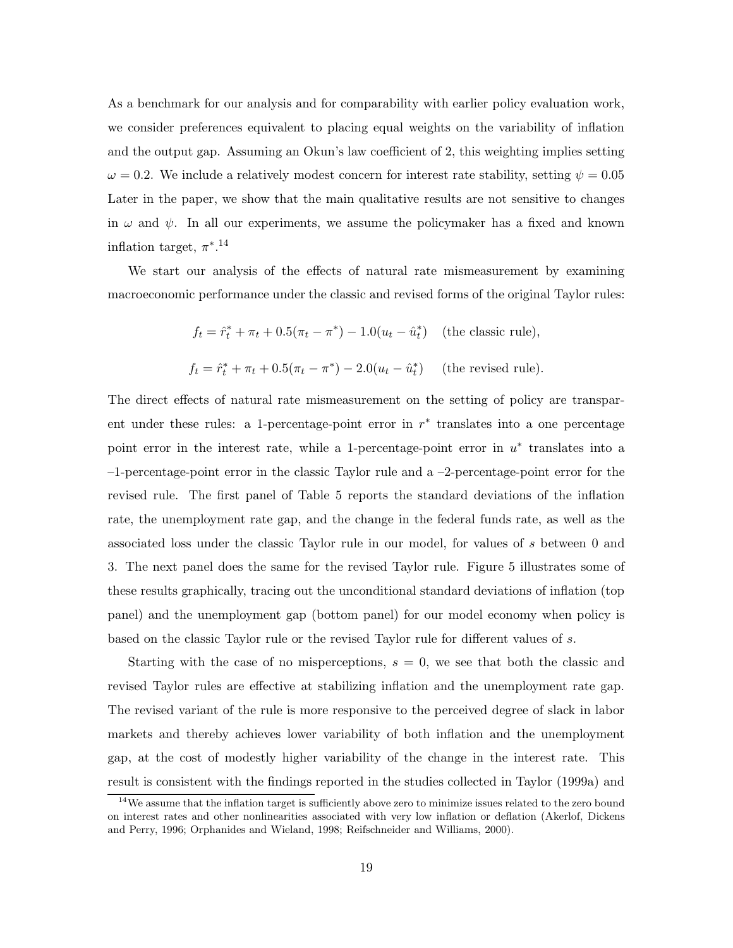As a benchmark for our analysis and for comparability with earlier policy evaluation work, we consider preferences equivalent to placing equal weights on the variability of inflation and the output gap. Assuming an Okun's law coefficient of 2, this weighting implies setting  $\omega = 0.2$ . We include a relatively modest concern for interest rate stability, setting  $\psi = 0.05$ Later in the paper, we show that the main qualitative results are not sensitive to changes in  $\omega$  and  $\psi$ . In all our experiments, we assume the policymaker has a fixed and known inflation target,  $\pi^{*,14}$ 

We start our analysis of the effects of natural rate mismeasurement by examining macroeconomic performance under the classic and revised forms of the original Taylor rules:

$$
f_t = \hat{r}_t^* + \pi_t + 0.5(\pi_t - \pi^*) - 1.0(u_t - \hat{u}_t^*)
$$
 (the classic rule),  

$$
f_t = \hat{r}_t^* + \pi_t + 0.5(\pi_t - \pi^*) - 2.0(u_t - \hat{u}_t^*)
$$
 (the revised rule).

The direct effects of natural rate mismeasurement on the setting of policy are transparent under these rules: a 1-percentage-point error in  $r^*$  translates into a one percentage point error in the interest rate, while a 1-percentage-point error in  $u^*$  translates into a –1-percentage-point error in the classic Taylor rule and a –2-percentage-point error for the revised rule. The first panel of Table 5 reports the standard deviations of the inflation rate, the unemployment rate gap, and the change in the federal funds rate, as well as the associated loss under the classic Taylor rule in our model, for values of s between 0 and 3. The next panel does the same for the revised Taylor rule. Figure 5 illustrates some of these results graphically, tracing out the unconditional standard deviations of inflation (top panel) and the unemployment gap (bottom panel) for our model economy when policy is based on the classic Taylor rule or the revised Taylor rule for different values of s.

Starting with the case of no misperceptions,  $s = 0$ , we see that both the classic and revised Taylor rules are effective at stabilizing inflation and the unemployment rate gap. The revised variant of the rule is more responsive to the perceived degree of slack in labor markets and thereby achieves lower variability of both inflation and the unemployment gap, at the cost of modestly higher variability of the change in the interest rate. This result is consistent with the findings reported in the studies collected in Taylor (1999a) and

 $14\text{We assume that the inflation target is sufficiently above zero to minimize issues related to the zero bound.}$ on interest rates and other nonlinearities associated with very low inflation or deflation (Akerlof, Dickens and Perry, 1996; Orphanides and Wieland, 1998; Reifschneider and Williams, 2000).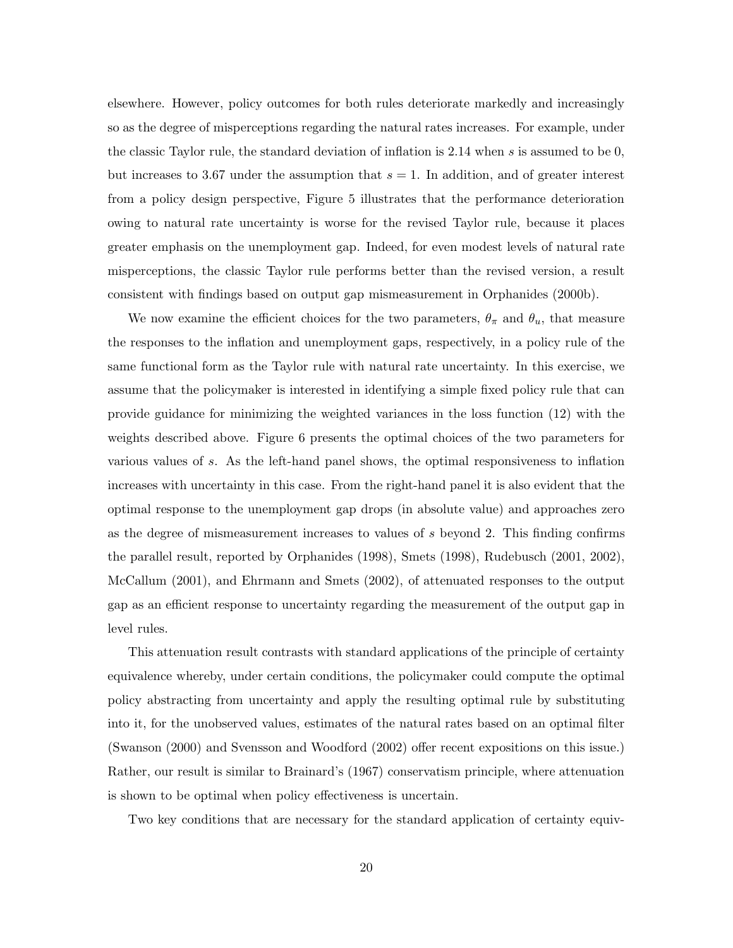elsewhere. However, policy outcomes for both rules deteriorate markedly and increasingly so as the degree of misperceptions regarding the natural rates increases. For example, under the classic Taylor rule, the standard deviation of inflation is  $2.14$  when s is assumed to be 0, but increases to 3.67 under the assumption that  $s = 1$ . In addition, and of greater interest from a policy design perspective, Figure 5 illustrates that the performance deterioration owing to natural rate uncertainty is worse for the revised Taylor rule, because it places greater emphasis on the unemployment gap. Indeed, for even modest levels of natural rate misperceptions, the classic Taylor rule performs better than the revised version, a result consistent with findings based on output gap mismeasurement in Orphanides (2000b).

We now examine the efficient choices for the two parameters,  $\theta_{\pi}$  and  $\theta_{u}$ , that measure the responses to the inflation and unemployment gaps, respectively, in a policy rule of the same functional form as the Taylor rule with natural rate uncertainty. In this exercise, we assume that the policymaker is interested in identifying a simple fixed policy rule that can provide guidance for minimizing the weighted variances in the loss function (12) with the weights described above. Figure 6 presents the optimal choices of the two parameters for various values of s. As the left-hand panel shows, the optimal responsiveness to inflation increases with uncertainty in this case. From the right-hand panel it is also evident that the optimal response to the unemployment gap drops (in absolute value) and approaches zero as the degree of mismeasurement increases to values of s beyond 2. This finding confirms the parallel result, reported by Orphanides (1998), Smets (1998), Rudebusch (2001, 2002), McCallum (2001), and Ehrmann and Smets (2002), of attenuated responses to the output gap as an efficient response to uncertainty regarding the measurement of the output gap in level rules.

This attenuation result contrasts with standard applications of the principle of certainty equivalence whereby, under certain conditions, the policymaker could compute the optimal policy abstracting from uncertainty and apply the resulting optimal rule by substituting into it, for the unobserved values, estimates of the natural rates based on an optimal filter (Swanson (2000) and Svensson and Woodford (2002) offer recent expositions on this issue.) Rather, our result is similar to Brainard's (1967) conservatism principle, where attenuation is shown to be optimal when policy effectiveness is uncertain.

Two key conditions that are necessary for the standard application of certainty equiv-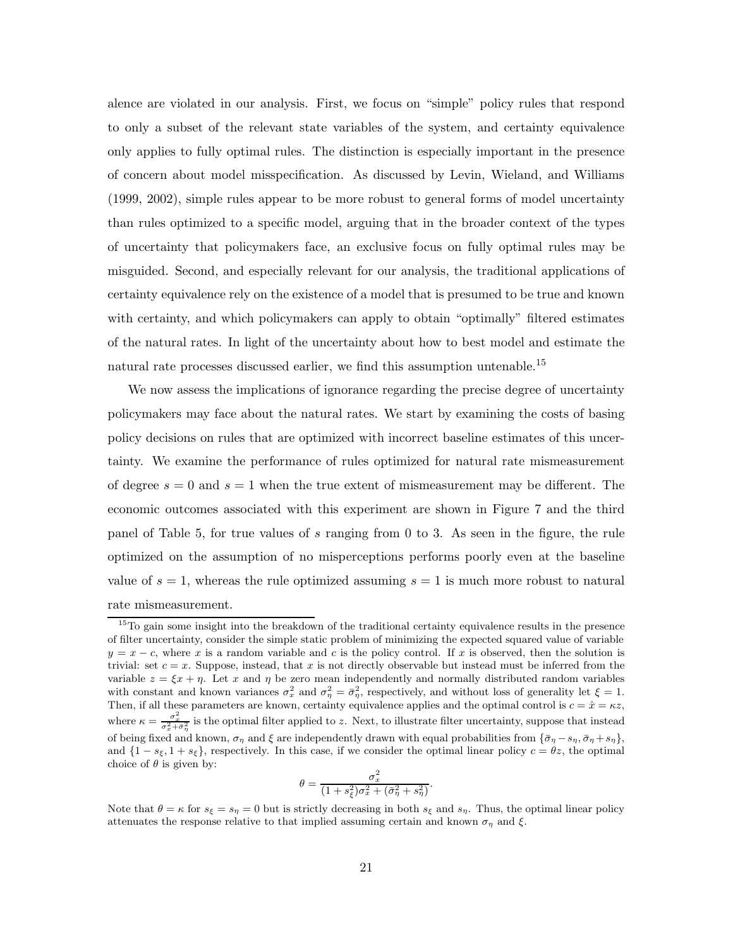alence are violated in our analysis. First, we focus on "simple" policy rules that respond to only a subset of the relevant state variables of the system, and certainty equivalence only applies to fully optimal rules. The distinction is especially important in the presence of concern about model misspecification. As discussed by Levin, Wieland, and Williams (1999, 2002), simple rules appear to be more robust to general forms of model uncertainty than rules optimized to a specific model, arguing that in the broader context of the types of uncertainty that policymakers face, an exclusive focus on fully optimal rules may be misguided. Second, and especially relevant for our analysis, the traditional applications of certainty equivalence rely on the existence of a model that is presumed to be true and known with certainty, and which policymakers can apply to obtain "optimally" filtered estimates of the natural rates. In light of the uncertainty about how to best model and estimate the natural rate processes discussed earlier, we find this assumption untenable.<sup>15</sup>

We now assess the implications of ignorance regarding the precise degree of uncertainty policymakers may face about the natural rates. We start by examining the costs of basing policy decisions on rules that are optimized with incorrect baseline estimates of this uncertainty. We examine the performance of rules optimized for natural rate mismeasurement of degree  $s = 0$  and  $s = 1$  when the true extent of mismeasurement may be different. The economic outcomes associated with this experiment are shown in Figure 7 and the third panel of Table 5, for true values of s ranging from 0 to 3. As seen in the figure, the rule optimized on the assumption of no misperceptions performs poorly even at the baseline value of  $s = 1$ , whereas the rule optimized assuming  $s = 1$  is much more robust to natural rate mismeasurement.

$$
\theta = \frac{\sigma_x^2}{(1 + s_{\xi}^2)\sigma_x^2 + (\bar{\sigma}_{\eta}^2 + s_{\eta}^2)}.
$$

Note that  $\theta = \kappa$  for  $s_{\xi} = s_{\eta} = 0$  but is strictly decreasing in both  $s_{\xi}$  and  $s_{\eta}$ . Thus, the optimal linear policy attenuates the response relative to that implied assuming certain and known  $\sigma_{\eta}$  and  $\xi$ .

<sup>&</sup>lt;sup>15</sup>To gain some insight into the breakdown of the traditional certainty equivalence results in the presence of filter uncertainty, consider the simple static problem of minimizing the expected squared value of variable  $y = x - c$ , where x is a random variable and c is the policy control. If x is observed, then the solution is trivial: set  $c = x$ . Suppose, instead, that x is not directly observable but instead must be inferred from the variable  $z = \xi x + \eta$ . Let x and  $\eta$  be zero mean independently and normally distributed random variables with constant and known variances  $\sigma_x^2$  and  $\sigma_{\eta}^2 = \bar{\sigma}_{\eta}^2$ , respectively, and without loss of generality let  $\xi = 1$ . Then, if all these parameters are known, certainty equivalence applies and the optimal control is  $c = \hat{x} = \kappa z$ , where  $\kappa = \frac{\sigma_x^2}{\sigma_x^2 + \bar{\sigma}_y^2}$  is the optimal filter applied to z. Next, to illustrate filter uncertainty, suppose that instead of being fixed and known,  $\sigma_{\eta}$  and  $\xi$  are independently drawn with equal probabilities from  $\{\bar{\sigma}_{\eta} - s_{\eta}, \bar{\sigma}_{\eta} + s_{\eta}\}\$ and  $\{1 - s_{\xi}, 1 + s_{\xi}\}\$ , respectively. In this case, if we consider the optimal linear policy  $c = \theta z$ , the optimal choice of  $\theta$  is given by: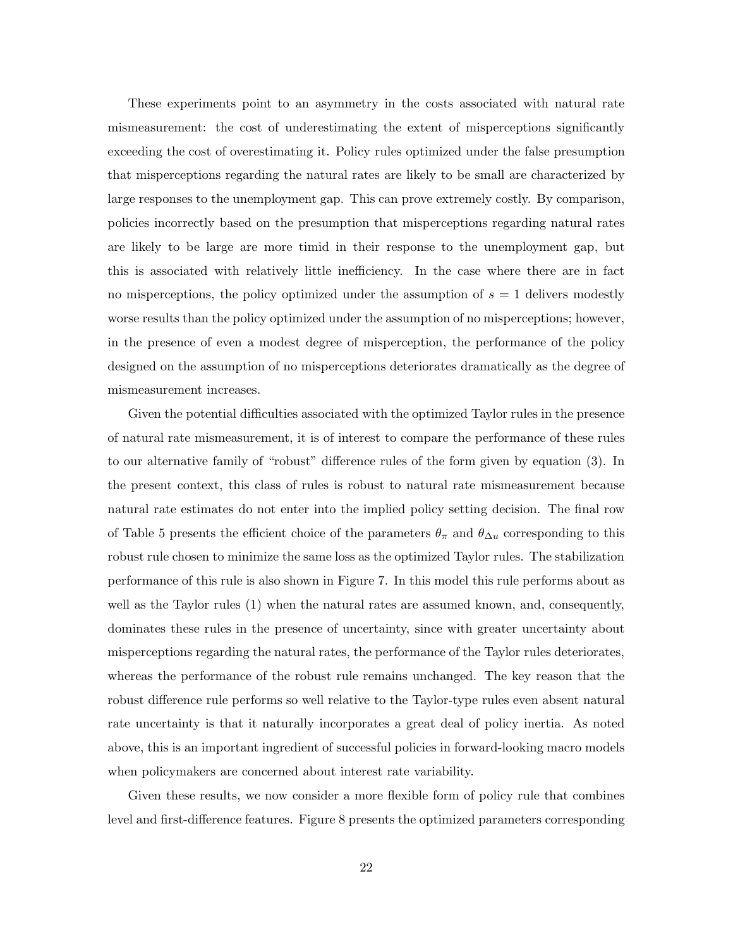These experiments point to an asymmetry in the costs associated with natural rate mismeasurement: the cost of underestimating the extent of misperceptions significantly exceeding the cost of overestimating it. Policy rules optimized under the false presumption that misperceptions regarding the natural rates are likely to be small are characterized by large responses to the unemployment gap. This can prove extremely costly. By comparison, policies incorrectly based on the presumption that misperceptions regarding natural rates are likely to be large are more timid in their response to the unemployment gap, but this is associated with relatively little inefficiency. In the case where there are in fact no misperceptions, the policy optimized under the assumption of  $s = 1$  delivers modestly worse results than the policy optimized under the assumption of no misperceptions; however, in the presence of even a modest degree of misperception, the performance of the policy designed on the assumption of no misperceptions deteriorates dramatically as the degree of mismeasurement increases.

Given the potential difficulties associated with the optimized Taylor rules in the presence of natural rate mismeasurement, it is of interest to compare the performance of these rules to our alternative family of "robust" difference rules of the form given by equation (3). In the present context, this class of rules is robust to natural rate mismeasurement because natural rate estimates do not enter into the implied policy setting decision. The final row of Table 5 presents the efficient choice of the parameters  $\theta_{\pi}$  and  $\theta_{\Delta u}$  corresponding to this robust rule chosen to minimize the same loss as the optimized Taylor rules. The stabilization performance of this rule is also shown in Figure 7. In this model this rule performs about as well as the Taylor rules (1) when the natural rates are assumed known, and, consequently, dominates these rules in the presence of uncertainty, since with greater uncertainty about misperceptions regarding the natural rates, the performance of the Taylor rules deteriorates, whereas the performance of the robust rule remains unchanged. The key reason that the robust difference rule performs so well relative to the Taylor-type rules even absent natural rate uncertainty is that it naturally incorporates a great deal of policy inertia. As noted above, this is an important ingredient of successful policies in forward-looking macro models when policymakers are concerned about interest rate variability.

Given these results, we now consider a more flexible form of policy rule that combines level and first-difference features. Figure 8 presents the optimized parameters corresponding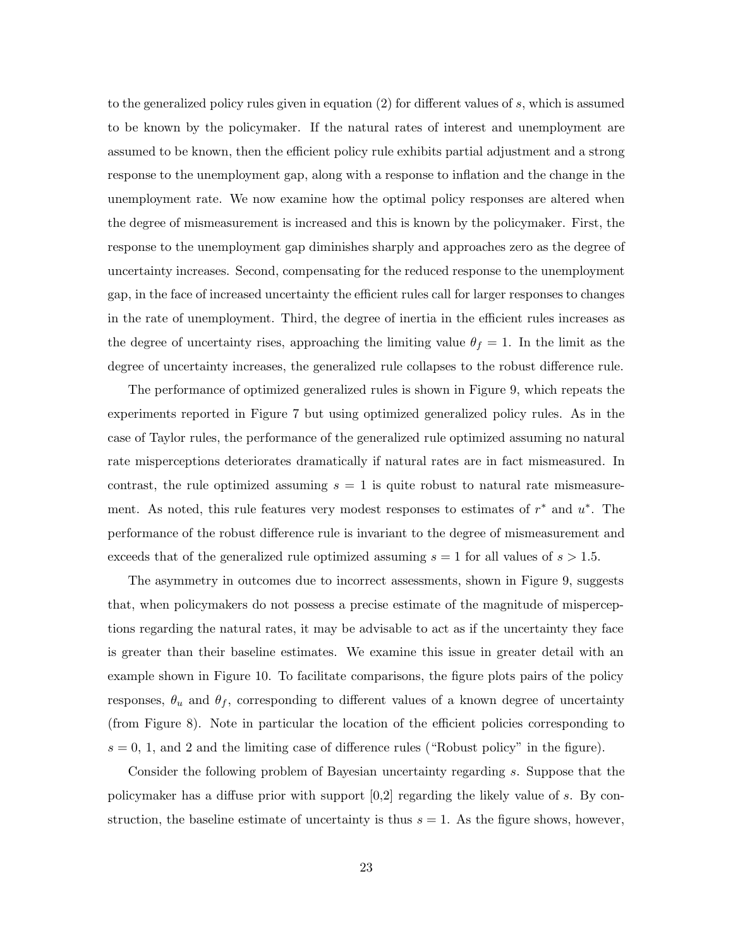to the generalized policy rules given in equation  $(2)$  for different values of s, which is assumed to be known by the policymaker. If the natural rates of interest and unemployment are assumed to be known, then the efficient policy rule exhibits partial adjustment and a strong response to the unemployment gap, along with a response to inflation and the change in the unemployment rate. We now examine how the optimal policy responses are altered when the degree of mismeasurement is increased and this is known by the policymaker. First, the response to the unemployment gap diminishes sharply and approaches zero as the degree of uncertainty increases. Second, compensating for the reduced response to the unemployment gap, in the face of increased uncertainty the efficient rules call for larger responses to changes in the rate of unemployment. Third, the degree of inertia in the efficient rules increases as the degree of uncertainty rises, approaching the limiting value  $\theta_f = 1$ . In the limit as the degree of uncertainty increases, the generalized rule collapses to the robust difference rule.

The performance of optimized generalized rules is shown in Figure 9, which repeats the experiments reported in Figure 7 but using optimized generalized policy rules. As in the case of Taylor rules, the performance of the generalized rule optimized assuming no natural rate misperceptions deteriorates dramatically if natural rates are in fact mismeasured. In contrast, the rule optimized assuming  $s = 1$  is quite robust to natural rate mismeasurement. As noted, this rule features very modest responses to estimates of  $r^*$  and  $u^*$ . The performance of the robust difference rule is invariant to the degree of mismeasurement and exceeds that of the generalized rule optimized assuming  $s = 1$  for all values of  $s > 1.5$ .

The asymmetry in outcomes due to incorrect assessments, shown in Figure 9, suggests that, when policymakers do not possess a precise estimate of the magnitude of misperceptions regarding the natural rates, it may be advisable to act as if the uncertainty they face is greater than their baseline estimates. We examine this issue in greater detail with an example shown in Figure 10. To facilitate comparisons, the figure plots pairs of the policy responses,  $\theta_u$  and  $\theta_f$ , corresponding to different values of a known degree of uncertainty (from Figure 8). Note in particular the location of the efficient policies corresponding to  $s = 0, 1$ , and 2 and the limiting case of difference rules ("Robust policy" in the figure).

Consider the following problem of Bayesian uncertainty regarding s. Suppose that the policymaker has a diffuse prior with support  $[0,2]$  regarding the likely value of s. By construction, the baseline estimate of uncertainty is thus  $s = 1$ . As the figure shows, however,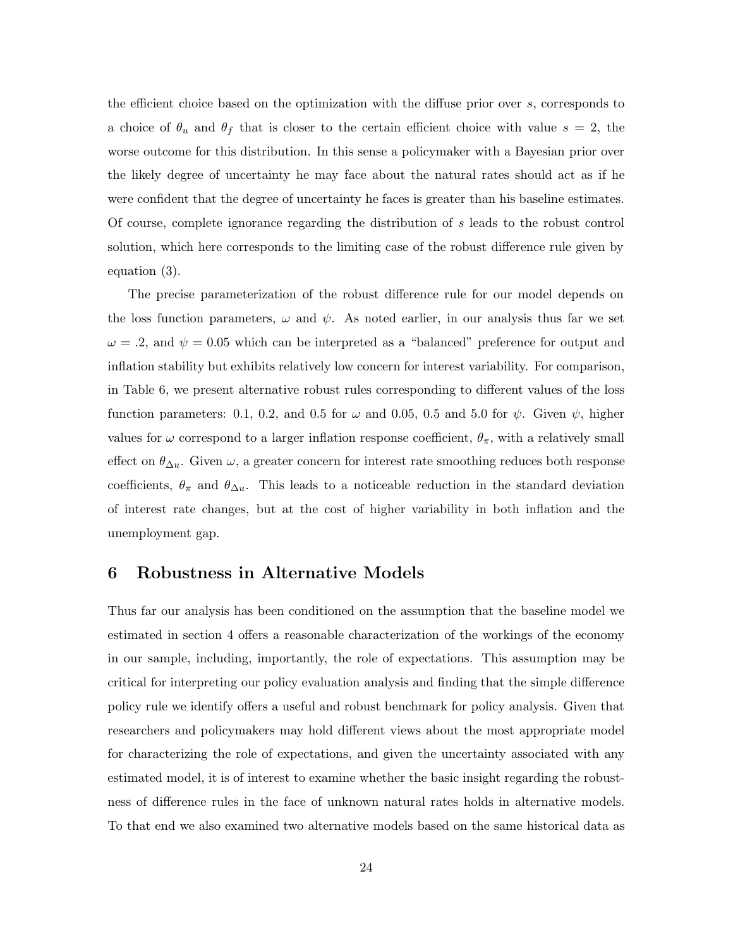the efficient choice based on the optimization with the diffuse prior over s, corresponds to a choice of  $\theta_u$  and  $\theta_f$  that is closer to the certain efficient choice with value  $s = 2$ , the worse outcome for this distribution. In this sense a policymaker with a Bayesian prior over the likely degree of uncertainty he may face about the natural rates should act as if he were confident that the degree of uncertainty he faces is greater than his baseline estimates. Of course, complete ignorance regarding the distribution of s leads to the robust control solution, which here corresponds to the limiting case of the robust difference rule given by equation (3).

The precise parameterization of the robust difference rule for our model depends on the loss function parameters,  $\omega$  and  $\psi$ . As noted earlier, in our analysis thus far we set  $\omega = .2$ , and  $\psi = 0.05$  which can be interpreted as a "balanced" preference for output and inflation stability but exhibits relatively low concern for interest variability. For comparison, in Table 6, we present alternative robust rules corresponding to different values of the loss function parameters: 0.1, 0.2, and 0.5 for  $\omega$  and 0.05, 0.5 and 5.0 for  $\psi$ . Given  $\psi$ , higher values for  $\omega$  correspond to a larger inflation response coefficient,  $\theta_{\pi}$ , with a relatively small effect on  $\theta_{\Delta u}$ . Given  $\omega$ , a greater concern for interest rate smoothing reduces both response coefficients,  $\theta_{\pi}$  and  $\theta_{\Delta u}$ . This leads to a noticeable reduction in the standard deviation of interest rate changes, but at the cost of higher variability in both inflation and the unemployment gap.

# **6 Robustness in Alternative Models**

Thus far our analysis has been conditioned on the assumption that the baseline model we estimated in section 4 offers a reasonable characterization of the workings of the economy in our sample, including, importantly, the role of expectations. This assumption may be critical for interpreting our policy evaluation analysis and finding that the simple difference policy rule we identify offers a useful and robust benchmark for policy analysis. Given that researchers and policymakers may hold different views about the most appropriate model for characterizing the role of expectations, and given the uncertainty associated with any estimated model, it is of interest to examine whether the basic insight regarding the robustness of difference rules in the face of unknown natural rates holds in alternative models. To that end we also examined two alternative models based on the same historical data as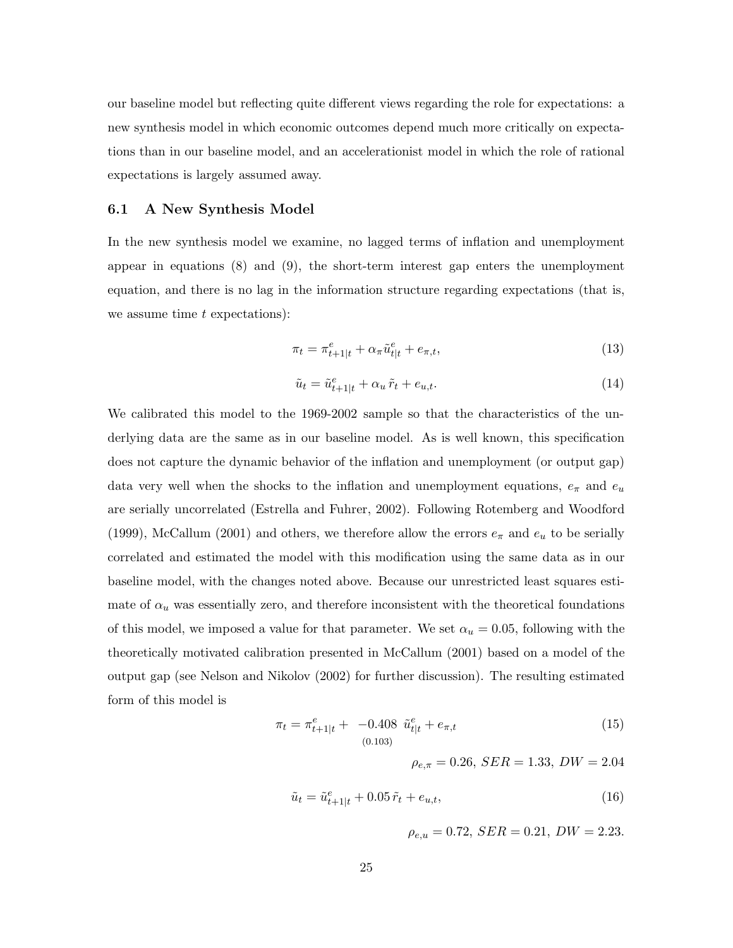our baseline model but reflecting quite different views regarding the role for expectations: a new synthesis model in which economic outcomes depend much more critically on expectations than in our baseline model, and an accelerationist model in which the role of rational expectations is largely assumed away.

## **6.1 A New Synthesis Model**

In the new synthesis model we examine, no lagged terms of inflation and unemployment appear in equations (8) and (9), the short-term interest gap enters the unemployment equation, and there is no lag in the information structure regarding expectations (that is, we assume time  $t$  expectations):

$$
\pi_t = \pi_{t+1|t}^e + \alpha_\pi \tilde{u}_{t|t}^e + e_{\pi,t},\tag{13}
$$

$$
\tilde{u}_t = \tilde{u}_{t+1|t}^e + \alpha_u \tilde{r}_t + e_{u,t}.\tag{14}
$$

We calibrated this model to the 1969-2002 sample so that the characteristics of the underlying data are the same as in our baseline model. As is well known, this specification does not capture the dynamic behavior of the inflation and unemployment (or output gap) data very well when the shocks to the inflation and unemployment equations,  $e_{\pi}$  and  $e_u$ are serially uncorrelated (Estrella and Fuhrer, 2002). Following Rotemberg and Woodford (1999), McCallum (2001) and others, we therefore allow the errors  $e_{\pi}$  and  $e_{u}$  to be serially correlated and estimated the model with this modification using the same data as in our baseline model, with the changes noted above. Because our unrestricted least squares estimate of  $\alpha_u$  was essentially zero, and therefore inconsistent with the theoretical foundations of this model, we imposed a value for that parameter. We set  $\alpha_u = 0.05$ , following with the theoretically motivated calibration presented in McCallum (2001) based on a model of the output gap (see Nelson and Nikolov (2002) for further discussion). The resulting estimated form of this model is

$$
\pi_t = \pi_{t+1|t}^e + -0.408 \tilde{u}_{t|t}^e + e_{\pi,t}
$$
\n(15)  
\n(15)

 $\rho_{e,\pi} = 0.26$ ,  $SER = 1.33$ ,  $DW = 2.04$ 

$$
\tilde{u}_t = \tilde{u}_{t+1|t}^e + 0.05\,\tilde{r}_t + e_{u,t},\tag{16}
$$

 $\rho_{e,u} = 0.72$ ,  $SER = 0.21$ ,  $DW = 2.23$ .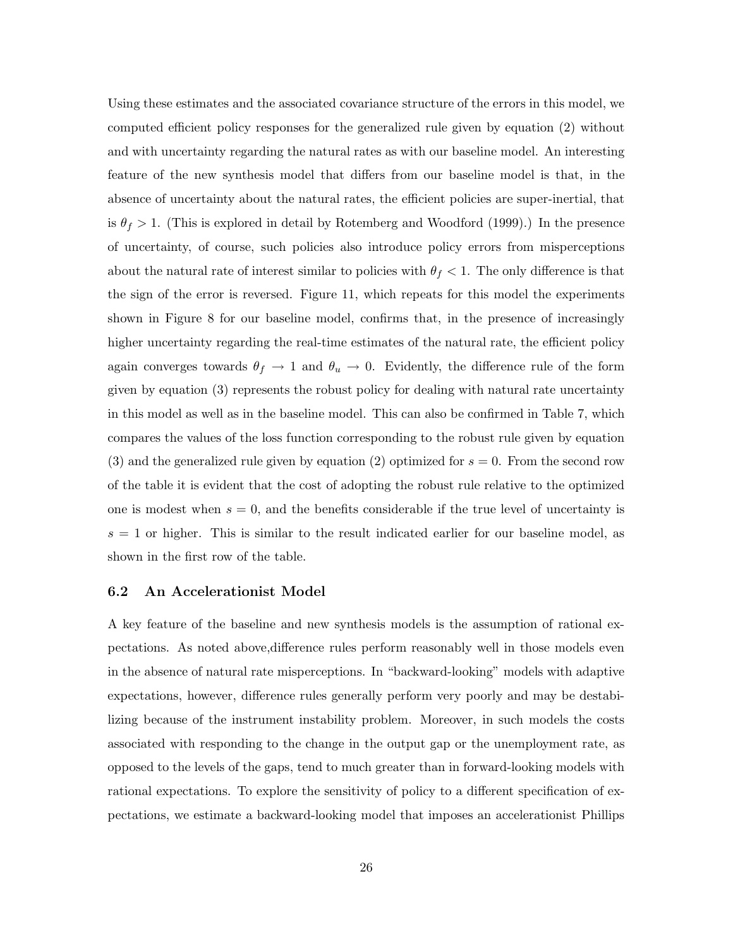Using these estimates and the associated covariance structure of the errors in this model, we computed efficient policy responses for the generalized rule given by equation (2) without and with uncertainty regarding the natural rates as with our baseline model. An interesting feature of the new synthesis model that differs from our baseline model is that, in the absence of uncertainty about the natural rates, the efficient policies are super-inertial, that is  $\theta_f > 1$ . (This is explored in detail by Rotemberg and Woodford (1999).) In the presence of uncertainty, of course, such policies also introduce policy errors from misperceptions about the natural rate of interest similar to policies with  $\theta_f < 1$ . The only difference is that the sign of the error is reversed. Figure 11, which repeats for this model the experiments shown in Figure 8 for our baseline model, confirms that, in the presence of increasingly higher uncertainty regarding the real-time estimates of the natural rate, the efficient policy again converges towards  $\theta_f \to 1$  and  $\theta_u \to 0$ . Evidently, the difference rule of the form given by equation (3) represents the robust policy for dealing with natural rate uncertainty in this model as well as in the baseline model. This can also be confirmed in Table 7, which compares the values of the loss function corresponding to the robust rule given by equation (3) and the generalized rule given by equation (2) optimized for  $s = 0$ . From the second row of the table it is evident that the cost of adopting the robust rule relative to the optimized one is modest when  $s = 0$ , and the benefits considerable if the true level of uncertainty is  $s = 1$  or higher. This is similar to the result indicated earlier for our baseline model, as shown in the first row of the table.

### **6.2 An Accelerationist Model**

A key feature of the baseline and new synthesis models is the assumption of rational expectations. As noted above,difference rules perform reasonably well in those models even in the absence of natural rate misperceptions. In "backward-looking" models with adaptive expectations, however, difference rules generally perform very poorly and may be destabilizing because of the instrument instability problem. Moreover, in such models the costs associated with responding to the change in the output gap or the unemployment rate, as opposed to the levels of the gaps, tend to much greater than in forward-looking models with rational expectations. To explore the sensitivity of policy to a different specification of expectations, we estimate a backward-looking model that imposes an accelerationist Phillips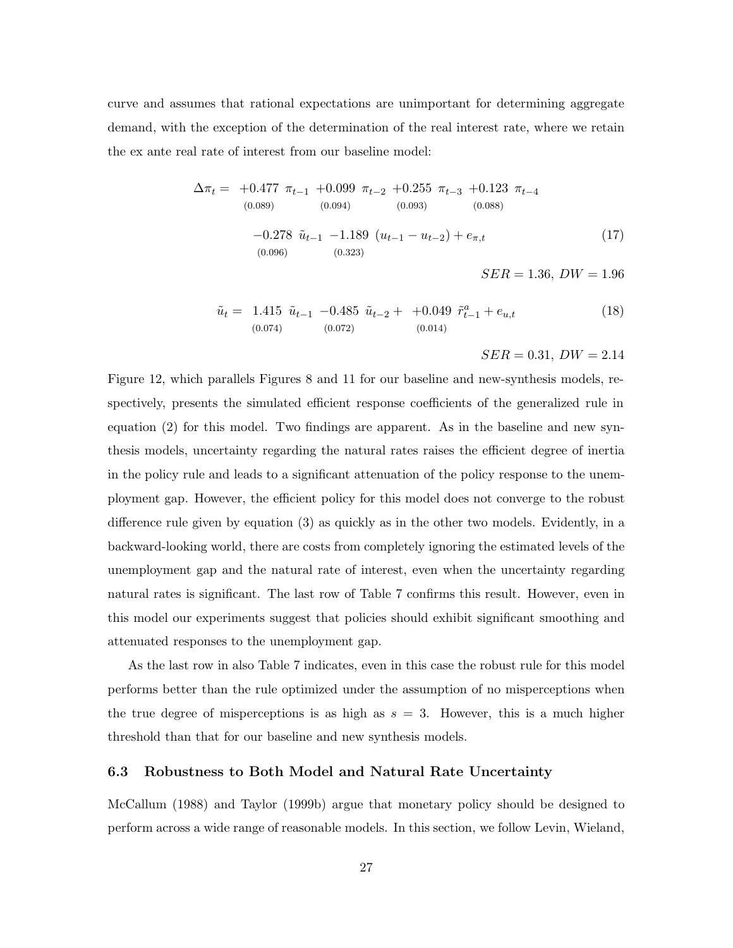curve and assumes that rational expectations are unimportant for determining aggregate demand, with the exception of the determination of the real interest rate, where we retain the ex ante real rate of interest from our baseline model:

$$
\Delta \pi_t = +0.477 \pi_{t-1} + 0.099 \pi_{t-2} + 0.255 \pi_{t-3} + 0.123 \pi_{t-4}
$$
  
\n(0.089)  
\n(0.094)  
\n(0.093)  
\n(0.093)  
\n(0.088)  
\n(0.088)  
\n(17)  
\n(17)  
\n(0.096)  
\n(0.323)  
\n(0.323)  
\n(18)  
\n(19)  
\n(19)  
\n(19)  
\n(19)  
\n(19)  
\n(19)  
\n(19)  
\n(19)  
\n(19)  
\n(19)  
\n(19)  
\n(19)  
\n(19)  
\n(19)  
\n(19)  
\n(19)  
\n(19)  
\n(19)  
\n(19)  
\n(19)  
\n(19)  
\n(19)  
\n(19)  
\n(19)  
\n(19)  
\n(19)  
\n(19)  
\n(19)  
\n(19)  
\n(19)  
\n(19)  
\n(19)  
\n(19)  
\n(19)  
\n(19)  
\n(19)  
\n(19)  
\n(19)  
\n(19)  
\n(19)  
\n(19)  
\n(19)  
\n(19)  
\n(19)  
\n(19)  
\n(19)  
\n(19)  
\n(19)  
\n(19)  
\n(19)  
\n(19)  
\n(19)  
\n(19)  
\n(19)  
\n(19)  
\n(19)  
\n(19)  
\n(19)  
\n(19)  
\n(19)  
\n(19)  
\n(19)  
\n(19)  
\n(19)  
\n(19)  
\n(19)  
\n(19)  
\n(19)  
\n(19)  
\n(19)  
\n(19)  
\n(19)  
\n(19)  
\n(19)  
\n(19)  
\n(19)  
\n(19)  
\n(19)  
\n(19)  
\n(19)  
\n(19)  
\n(19)  
\n(19)  
\n(1

$$
\tilde{u}_t = 1.415 \ \tilde{u}_{t-1} - 0.485 \ \tilde{u}_{t-2} + +0.049 \ \tilde{r}_{t-1}^a + e_{u,t} \tag{18}
$$
\n
$$
(0.074) \ (0.072) \ (0.014)
$$

 $SER = 0.31, DW = 2.14$ 

Figure 12, which parallels Figures 8 and 11 for our baseline and new-synthesis models, respectively, presents the simulated efficient response coefficients of the generalized rule in equation (2) for this model. Two findings are apparent. As in the baseline and new synthesis models, uncertainty regarding the natural rates raises the efficient degree of inertia in the policy rule and leads to a significant attenuation of the policy response to the unemployment gap. However, the efficient policy for this model does not converge to the robust difference rule given by equation (3) as quickly as in the other two models. Evidently, in a backward-looking world, there are costs from completely ignoring the estimated levels of the unemployment gap and the natural rate of interest, even when the uncertainty regarding natural rates is significant. The last row of Table 7 confirms this result. However, even in this model our experiments suggest that policies should exhibit significant smoothing and attenuated responses to the unemployment gap.

As the last row in also Table 7 indicates, even in this case the robust rule for this model performs better than the rule optimized under the assumption of no misperceptions when the true degree of misperceptions is as high as  $s = 3$ . However, this is a much higher threshold than that for our baseline and new synthesis models.

### **6.3 Robustness to Both Model and Natural Rate Uncertainty**

McCallum (1988) and Taylor (1999b) argue that monetary policy should be designed to perform across a wide range of reasonable models. In this section, we follow Levin, Wieland,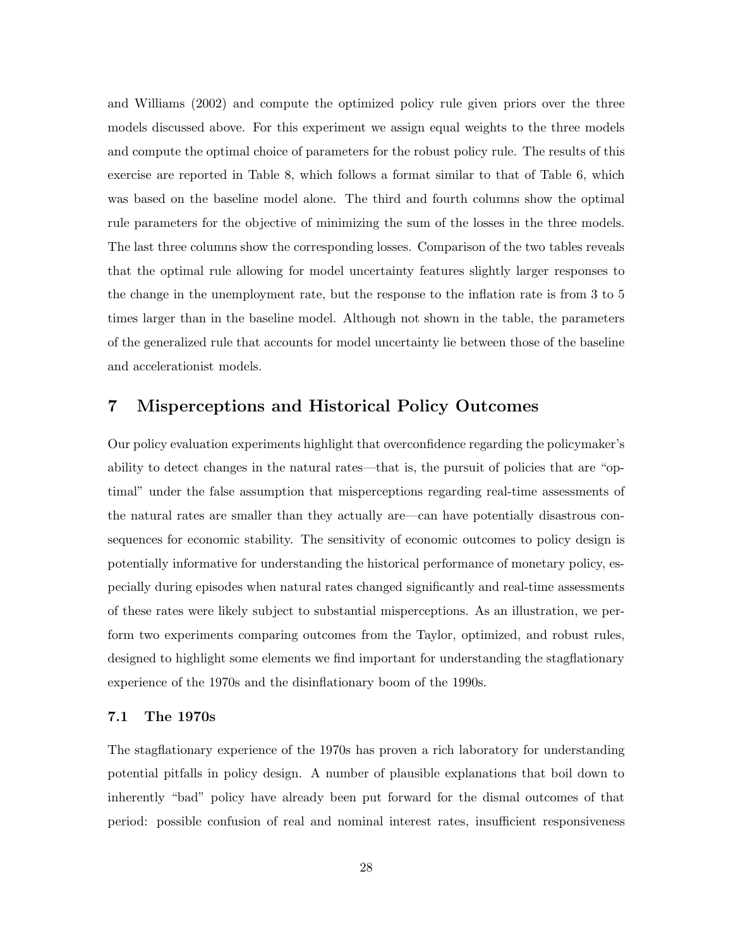and Williams (2002) and compute the optimized policy rule given priors over the three models discussed above. For this experiment we assign equal weights to the three models and compute the optimal choice of parameters for the robust policy rule. The results of this exercise are reported in Table 8, which follows a format similar to that of Table 6, which was based on the baseline model alone. The third and fourth columns show the optimal rule parameters for the objective of minimizing the sum of the losses in the three models. The last three columns show the corresponding losses. Comparison of the two tables reveals that the optimal rule allowing for model uncertainty features slightly larger responses to the change in the unemployment rate, but the response to the inflation rate is from 3 to 5 times larger than in the baseline model. Although not shown in the table, the parameters of the generalized rule that accounts for model uncertainty lie between those of the baseline and accelerationist models.

# **7 Misperceptions and Historical Policy Outcomes**

Our policy evaluation experiments highlight that overconfidence regarding the policymaker's ability to detect changes in the natural rates—that is, the pursuit of policies that are "optimal" under the false assumption that misperceptions regarding real-time assessments of the natural rates are smaller than they actually are—can have potentially disastrous consequences for economic stability. The sensitivity of economic outcomes to policy design is potentially informative for understanding the historical performance of monetary policy, especially during episodes when natural rates changed significantly and real-time assessments of these rates were likely subject to substantial misperceptions. As an illustration, we perform two experiments comparing outcomes from the Taylor, optimized, and robust rules, designed to highlight some elements we find important for understanding the stagflationary experience of the 1970s and the disinflationary boom of the 1990s.

### **7.1 The 1970s**

The stagflationary experience of the 1970s has proven a rich laboratory for understanding potential pitfalls in policy design. A number of plausible explanations that boil down to inherently "bad" policy have already been put forward for the dismal outcomes of that period: possible confusion of real and nominal interest rates, insufficient responsiveness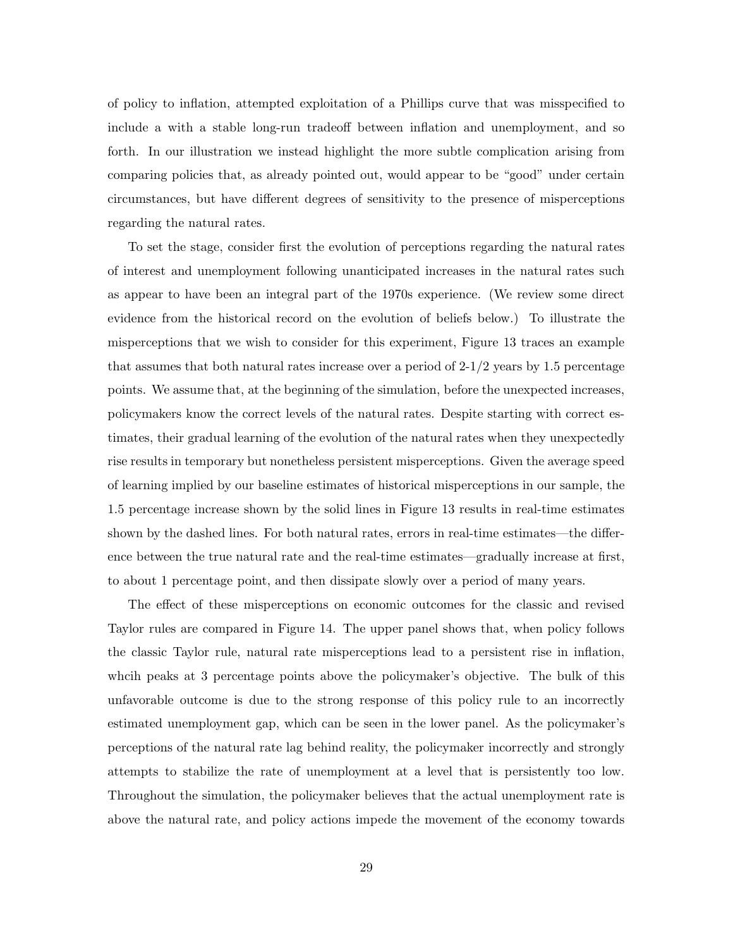of policy to inflation, attempted exploitation of a Phillips curve that was misspecified to include a with a stable long-run tradeoff between inflation and unemployment, and so forth. In our illustration we instead highlight the more subtle complication arising from comparing policies that, as already pointed out, would appear to be "good" under certain circumstances, but have different degrees of sensitivity to the presence of misperceptions regarding the natural rates.

To set the stage, consider first the evolution of perceptions regarding the natural rates of interest and unemployment following unanticipated increases in the natural rates such as appear to have been an integral part of the 1970s experience. (We review some direct evidence from the historical record on the evolution of beliefs below.) To illustrate the misperceptions that we wish to consider for this experiment, Figure 13 traces an example that assumes that both natural rates increase over a period of  $2-1/2$  years by 1.5 percentage points. We assume that, at the beginning of the simulation, before the unexpected increases, policymakers know the correct levels of the natural rates. Despite starting with correct estimates, their gradual learning of the evolution of the natural rates when they unexpectedly rise results in temporary but nonetheless persistent misperceptions. Given the average speed of learning implied by our baseline estimates of historical misperceptions in our sample, the 1.5 percentage increase shown by the solid lines in Figure 13 results in real-time estimates shown by the dashed lines. For both natural rates, errors in real-time estimates—the difference between the true natural rate and the real-time estimates—gradually increase at first, to about 1 percentage point, and then dissipate slowly over a period of many years.

The effect of these misperceptions on economic outcomes for the classic and revised Taylor rules are compared in Figure 14. The upper panel shows that, when policy follows the classic Taylor rule, natural rate misperceptions lead to a persistent rise in inflation, whcih peaks at 3 percentage points above the policymaker's objective. The bulk of this unfavorable outcome is due to the strong response of this policy rule to an incorrectly estimated unemployment gap, which can be seen in the lower panel. As the policymaker's perceptions of the natural rate lag behind reality, the policymaker incorrectly and strongly attempts to stabilize the rate of unemployment at a level that is persistently too low. Throughout the simulation, the policymaker believes that the actual unemployment rate is above the natural rate, and policy actions impede the movement of the economy towards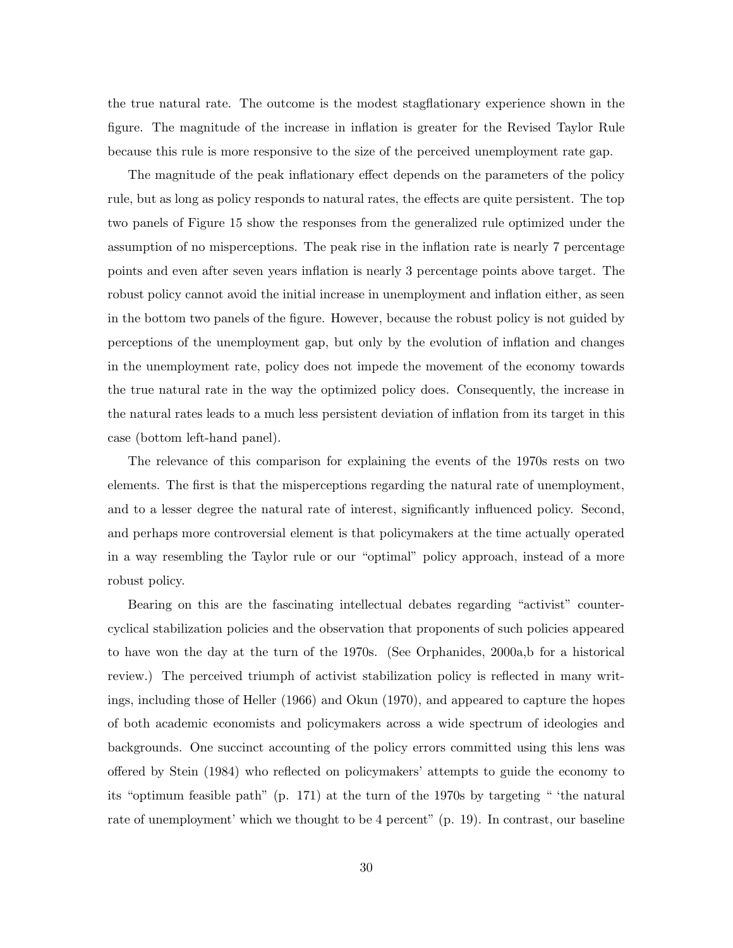the true natural rate. The outcome is the modest stagflationary experience shown in the figure. The magnitude of the increase in inflation is greater for the Revised Taylor Rule because this rule is more responsive to the size of the perceived unemployment rate gap.

The magnitude of the peak inflationary effect depends on the parameters of the policy rule, but as long as policy responds to natural rates, the effects are quite persistent. The top two panels of Figure 15 show the responses from the generalized rule optimized under the assumption of no misperceptions. The peak rise in the inflation rate is nearly 7 percentage points and even after seven years inflation is nearly 3 percentage points above target. The robust policy cannot avoid the initial increase in unemployment and inflation either, as seen in the bottom two panels of the figure. However, because the robust policy is not guided by perceptions of the unemployment gap, but only by the evolution of inflation and changes in the unemployment rate, policy does not impede the movement of the economy towards the true natural rate in the way the optimized policy does. Consequently, the increase in the natural rates leads to a much less persistent deviation of inflation from its target in this case (bottom left-hand panel).

The relevance of this comparison for explaining the events of the 1970s rests on two elements. The first is that the misperceptions regarding the natural rate of unemployment, and to a lesser degree the natural rate of interest, significantly influenced policy. Second, and perhaps more controversial element is that policymakers at the time actually operated in a way resembling the Taylor rule or our "optimal" policy approach, instead of a more robust policy.

Bearing on this are the fascinating intellectual debates regarding "activist" countercyclical stabilization policies and the observation that proponents of such policies appeared to have won the day at the turn of the 1970s. (See Orphanides, 2000a,b for a historical review.) The perceived triumph of activist stabilization policy is reflected in many writings, including those of Heller (1966) and Okun (1970), and appeared to capture the hopes of both academic economists and policymakers across a wide spectrum of ideologies and backgrounds. One succinct accounting of the policy errors committed using this lens was offered by Stein (1984) who reflected on policymakers' attempts to guide the economy to its "optimum feasible path" (p. 171) at the turn of the 1970s by targeting " 'the natural rate of unemployment' which we thought to be 4 percent" (p. 19). In contrast, our baseline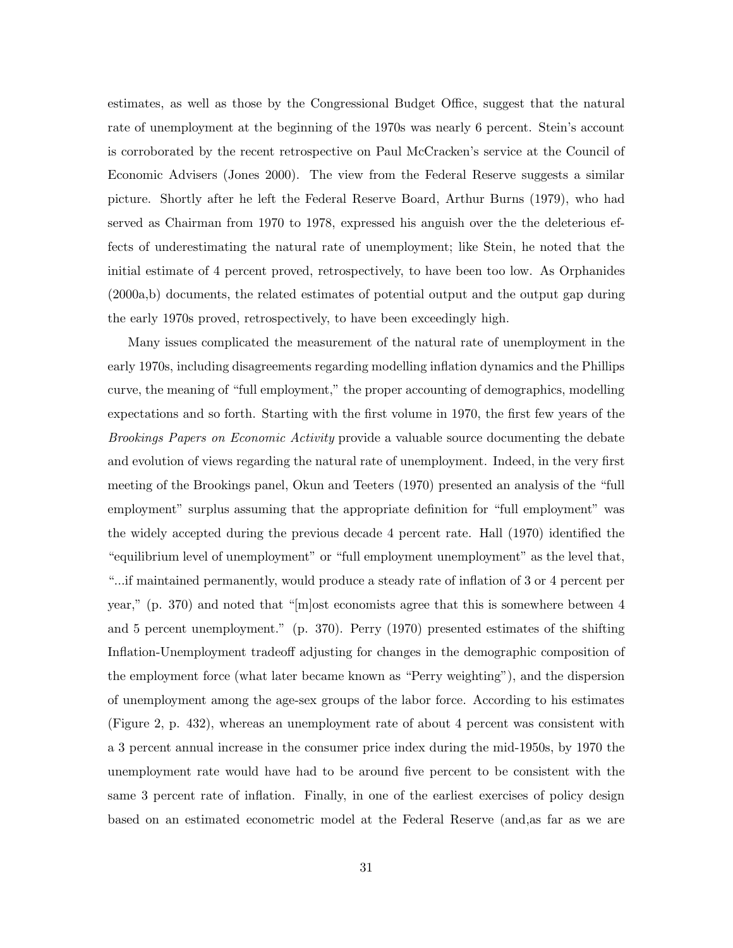estimates, as well as those by the Congressional Budget Office, suggest that the natural rate of unemployment at the beginning of the 1970s was nearly 6 percent. Stein's account is corroborated by the recent retrospective on Paul McCracken's service at the Council of Economic Advisers (Jones 2000). The view from the Federal Reserve suggests a similar picture. Shortly after he left the Federal Reserve Board, Arthur Burns (1979), who had served as Chairman from 1970 to 1978, expressed his anguish over the the deleterious effects of underestimating the natural rate of unemployment; like Stein, he noted that the initial estimate of 4 percent proved, retrospectively, to have been too low. As Orphanides (2000a,b) documents, the related estimates of potential output and the output gap during the early 1970s proved, retrospectively, to have been exceedingly high.

Many issues complicated the measurement of the natural rate of unemployment in the early 1970s, including disagreements regarding modelling inflation dynamics and the Phillips curve, the meaning of "full employment," the proper accounting of demographics, modelling expectations and so forth. Starting with the first volume in 1970, the first few years of the *Brookings Papers on Economic Activity* provide a valuable source documenting the debate and evolution of views regarding the natural rate of unemployment. Indeed, in the very first meeting of the Brookings panel, Okun and Teeters (1970) presented an analysis of the "full employment" surplus assuming that the appropriate definition for "full employment" was the widely accepted during the previous decade 4 percent rate. Hall (1970) identified the "equilibrium level of unemployment" or "full employment unemployment" as the level that, "...if maintained permanently, would produce a steady rate of inflation of 3 or 4 percent per year," (p. 370) and noted that "[m]ost economists agree that this is somewhere between 4 and 5 percent unemployment." (p. 370). Perry (1970) presented estimates of the shifting Inflation-Unemployment tradeoff adjusting for changes in the demographic composition of the employment force (what later became known as "Perry weighting"), and the dispersion of unemployment among the age-sex groups of the labor force. According to his estimates (Figure 2, p. 432), whereas an unemployment rate of about 4 percent was consistent with a 3 percent annual increase in the consumer price index during the mid-1950s, by 1970 the unemployment rate would have had to be around five percent to be consistent with the same 3 percent rate of inflation. Finally, in one of the earliest exercises of policy design based on an estimated econometric model at the Federal Reserve (and,as far as we are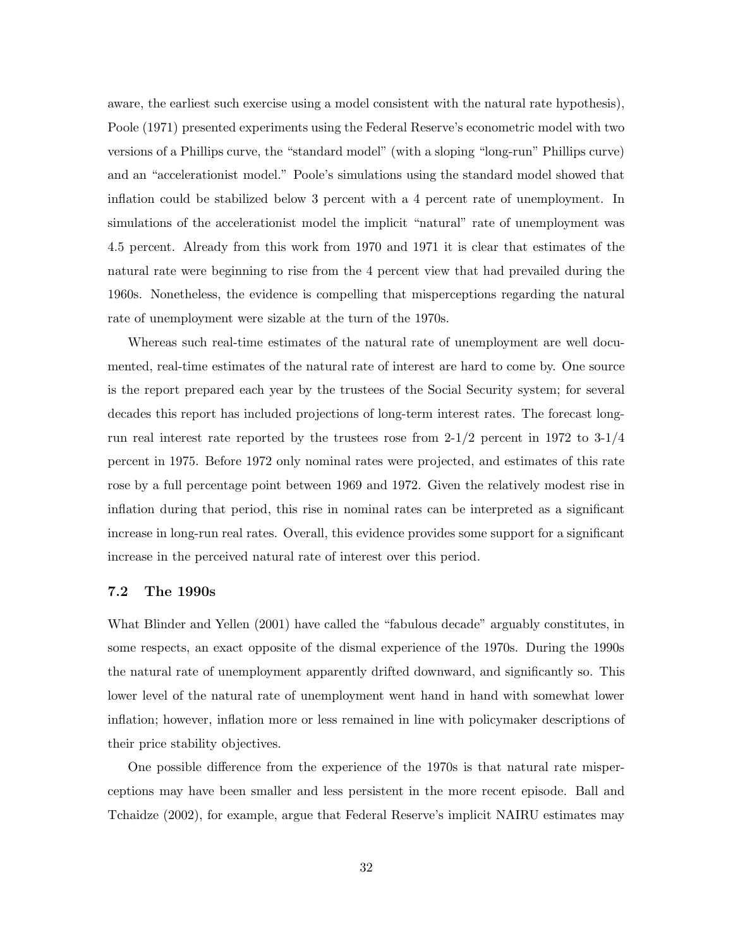aware, the earliest such exercise using a model consistent with the natural rate hypothesis), Poole (1971) presented experiments using the Federal Reserve's econometric model with two versions of a Phillips curve, the "standard model" (with a sloping "long-run" Phillips curve) and an "accelerationist model." Poole's simulations using the standard model showed that inflation could be stabilized below 3 percent with a 4 percent rate of unemployment. In simulations of the accelerationist model the implicit "natural" rate of unemployment was 4.5 percent. Already from this work from 1970 and 1971 it is clear that estimates of the natural rate were beginning to rise from the 4 percent view that had prevailed during the 1960s. Nonetheless, the evidence is compelling that misperceptions regarding the natural rate of unemployment were sizable at the turn of the 1970s.

Whereas such real-time estimates of the natural rate of unemployment are well documented, real-time estimates of the natural rate of interest are hard to come by. One source is the report prepared each year by the trustees of the Social Security system; for several decades this report has included projections of long-term interest rates. The forecast longrun real interest rate reported by the trustees rose from  $2\frac{1}{2}$  percent in 1972 to  $3\frac{1}{4}$ percent in 1975. Before 1972 only nominal rates were projected, and estimates of this rate rose by a full percentage point between 1969 and 1972. Given the relatively modest rise in inflation during that period, this rise in nominal rates can be interpreted as a significant increase in long-run real rates. Overall, this evidence provides some support for a significant increase in the perceived natural rate of interest over this period.

## **7.2 The 1990s**

What Blinder and Yellen (2001) have called the "fabulous decade" arguably constitutes, in some respects, an exact opposite of the dismal experience of the 1970s. During the 1990s the natural rate of unemployment apparently drifted downward, and significantly so. This lower level of the natural rate of unemployment went hand in hand with somewhat lower inflation; however, inflation more or less remained in line with policymaker descriptions of their price stability objectives.

One possible difference from the experience of the 1970s is that natural rate misperceptions may have been smaller and less persistent in the more recent episode. Ball and Tchaidze (2002), for example, argue that Federal Reserve's implicit NAIRU estimates may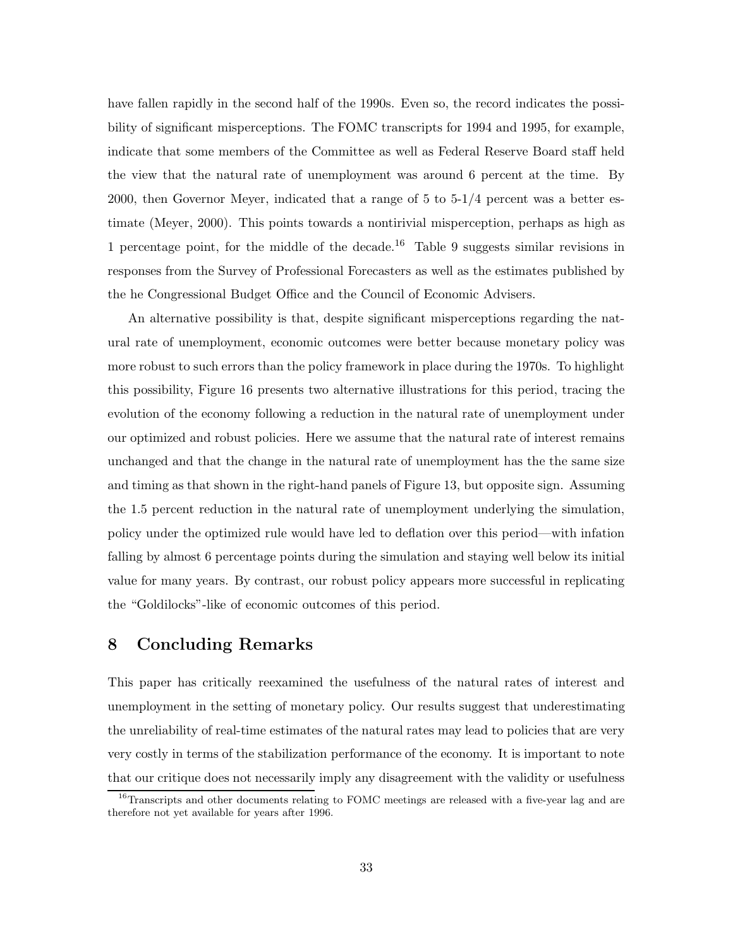have fallen rapidly in the second half of the 1990s. Even so, the record indicates the possibility of significant misperceptions. The FOMC transcripts for 1994 and 1995, for example, indicate that some members of the Committee as well as Federal Reserve Board staff held the view that the natural rate of unemployment was around 6 percent at the time. By 2000, then Governor Meyer, indicated that a range of 5 to 5-1/4 percent was a better estimate (Meyer, 2000). This points towards a nontirivial misperception, perhaps as high as 1 percentage point, for the middle of the decade.<sup>16</sup> Table 9 suggests similar revisions in responses from the Survey of Professional Forecasters as well as the estimates published by the he Congressional Budget Office and the Council of Economic Advisers.

An alternative possibility is that, despite significant misperceptions regarding the natural rate of unemployment, economic outcomes were better because monetary policy was more robust to such errors than the policy framework in place during the 1970s. To highlight this possibility, Figure 16 presents two alternative illustrations for this period, tracing the evolution of the economy following a reduction in the natural rate of unemployment under our optimized and robust policies. Here we assume that the natural rate of interest remains unchanged and that the change in the natural rate of unemployment has the the same size and timing as that shown in the right-hand panels of Figure 13, but opposite sign. Assuming the 1.5 percent reduction in the natural rate of unemployment underlying the simulation, policy under the optimized rule would have led to deflation over this period—with infation falling by almost 6 percentage points during the simulation and staying well below its initial value for many years. By contrast, our robust policy appears more successful in replicating the "Goldilocks"-like of economic outcomes of this period.

# **8 Concluding Remarks**

This paper has critically reexamined the usefulness of the natural rates of interest and unemployment in the setting of monetary policy. Our results suggest that underestimating the unreliability of real-time estimates of the natural rates may lead to policies that are very very costly in terms of the stabilization performance of the economy. It is important to note that our critique does not necessarily imply any disagreement with the validity or usefulness

<sup>&</sup>lt;sup>16</sup>Transcripts and other documents relating to FOMC meetings are released with a five-year lag and are therefore not yet available for years after 1996.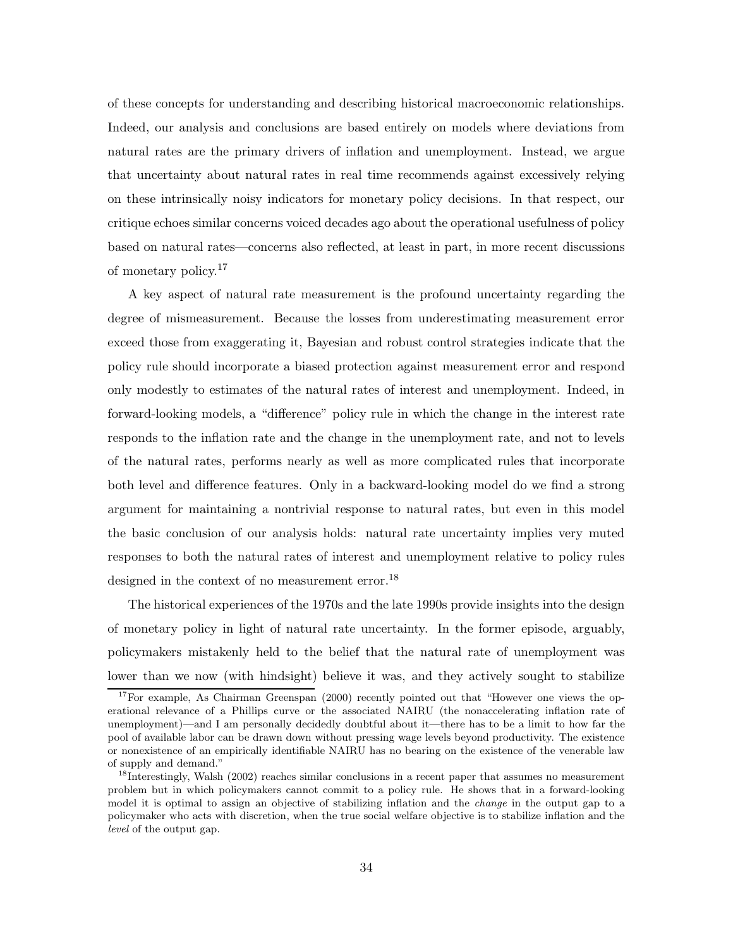of these concepts for understanding and describing historical macroeconomic relationships. Indeed, our analysis and conclusions are based entirely on models where deviations from natural rates are the primary drivers of inflation and unemployment. Instead, we argue that uncertainty about natural rates in real time recommends against excessively relying on these intrinsically noisy indicators for monetary policy decisions. In that respect, our critique echoes similar concerns voiced decades ago about the operational usefulness of policy based on natural rates—concerns also reflected, at least in part, in more recent discussions of monetary policy.<sup>17</sup>

A key aspect of natural rate measurement is the profound uncertainty regarding the degree of mismeasurement. Because the losses from underestimating measurement error exceed those from exaggerating it, Bayesian and robust control strategies indicate that the policy rule should incorporate a biased protection against measurement error and respond only modestly to estimates of the natural rates of interest and unemployment. Indeed, in forward-looking models, a "difference" policy rule in which the change in the interest rate responds to the inflation rate and the change in the unemployment rate, and not to levels of the natural rates, performs nearly as well as more complicated rules that incorporate both level and difference features. Only in a backward-looking model do we find a strong argument for maintaining a nontrivial response to natural rates, but even in this model the basic conclusion of our analysis holds: natural rate uncertainty implies very muted responses to both the natural rates of interest and unemployment relative to policy rules designed in the context of no measurement error.<sup>18</sup>

The historical experiences of the 1970s and the late 1990s provide insights into the design of monetary policy in light of natural rate uncertainty. In the former episode, arguably, policymakers mistakenly held to the belief that the natural rate of unemployment was lower than we now (with hindsight) believe it was, and they actively sought to stabilize

<sup>&</sup>lt;sup>17</sup>For example, As Chairman Greenspan (2000) recently pointed out that "However one views the operational relevance of a Phillips curve or the associated NAIRU (the nonaccelerating inflation rate of unemployment)—and I am personally decidedly doubtful about it—there has to be a limit to how far the pool of available labor can be drawn down without pressing wage levels beyond productivity. The existence or nonexistence of an empirically identifiable NAIRU has no bearing on the existence of the venerable law of supply and demand."

<sup>&</sup>lt;sup>18</sup>Interestingly, Walsh (2002) reaches similar conclusions in a recent paper that assumes no measurement problem but in which policymakers cannot commit to a policy rule. He shows that in a forward-looking model it is optimal to assign an objective of stabilizing inflation and the *change* in the output gap to a policymaker who acts with discretion, when the true social welfare objective is to stabilize inflation and the level of the output gap.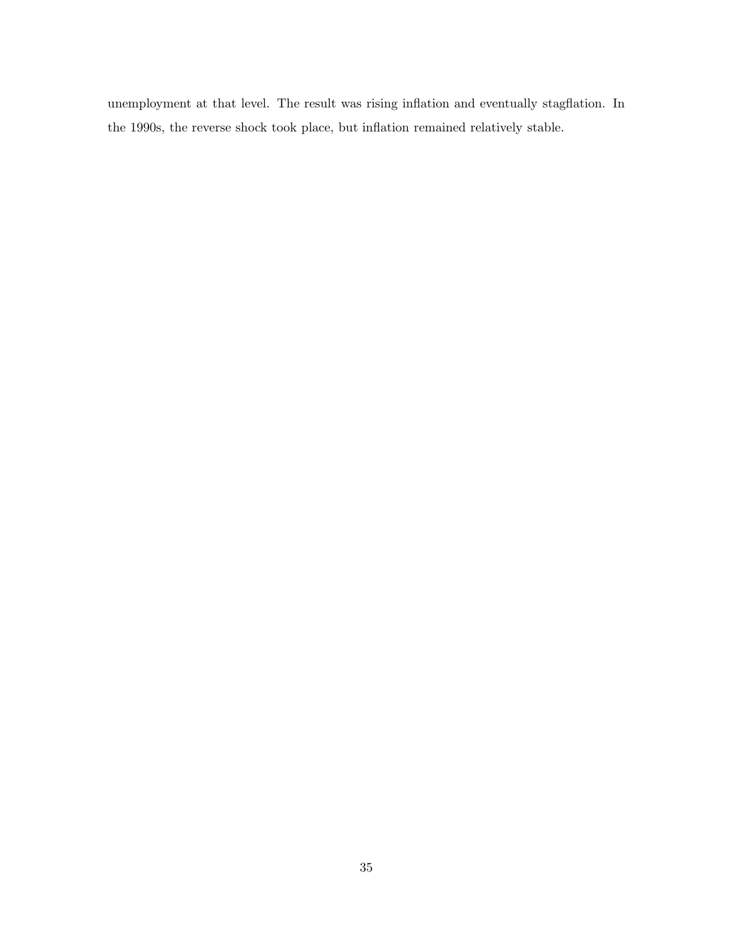unemployment at that level. The result was rising inflation and eventually stagflation. In the 1990s, the reverse shock took place, but inflation remained relatively stable.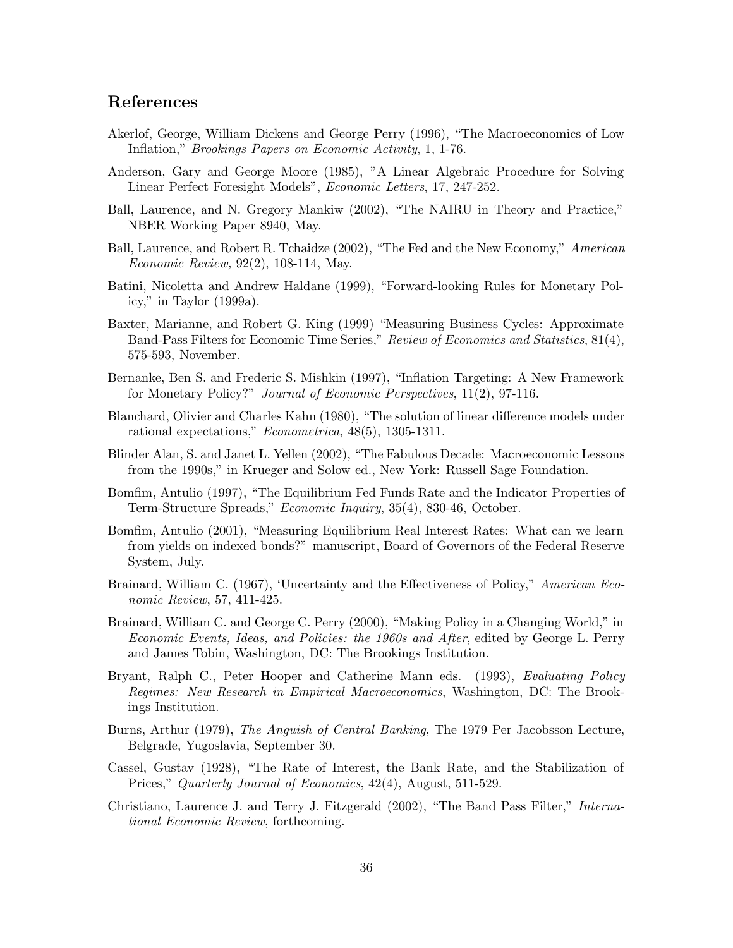# **References**

- Akerlof, George, William Dickens and George Perry (1996), "The Macroeconomics of Low Inflation," *Brookings Papers on Economic Activity*, 1, 1-76.
- Anderson, Gary and George Moore (1985), "A Linear Algebraic Procedure for Solving Linear Perfect Foresight Models", *Economic Letters*, 17, 247-252.
- Ball, Laurence, and N. Gregory Mankiw (2002), "The NAIRU in Theory and Practice," NBER Working Paper 8940, May.
- Ball, Laurence, and Robert R. Tchaidze (2002), "The Fed and the New Economy," *American Economic Review,* 92(2), 108-114, May.
- Batini, Nicoletta and Andrew Haldane (1999), "Forward-looking Rules for Monetary Policy," in Taylor (1999a).
- Baxter, Marianne, and Robert G. King (1999) "Measuring Business Cycles: Approximate Band-Pass Filters for Economic Time Series," *Review of Economics and Statistics*, 81(4), 575-593, November.
- Bernanke, Ben S. and Frederic S. Mishkin (1997), "Inflation Targeting: A New Framework for Monetary Policy?" *Journal of Economic Perspectives*, 11(2), 97-116.
- Blanchard, Olivier and Charles Kahn (1980), "The solution of linear difference models under rational expectations," *Econometrica*, 48(5), 1305-1311.
- Blinder Alan, S. and Janet L. Yellen (2002), "The Fabulous Decade: Macroeconomic Lessons from the 1990s," in Krueger and Solow ed., New York: Russell Sage Foundation.
- Bomfim, Antulio (1997), "The Equilibrium Fed Funds Rate and the Indicator Properties of Term-Structure Spreads," *Economic Inquiry*, 35(4), 830-46, October.
- Bomfim, Antulio (2001), "Measuring Equilibrium Real Interest Rates: What can we learn from yields on indexed bonds?" manuscript, Board of Governors of the Federal Reserve System, July.
- Brainard, William C. (1967), 'Uncertainty and the Effectiveness of Policy," *American Economic Review*, 57, 411-425.
- Brainard, William C. and George C. Perry (2000), "Making Policy in a Changing World," in *Economic Events, Ideas, and Policies: the 1960s and After*, edited by George L. Perry and James Tobin, Washington, DC: The Brookings Institution.
- Bryant, Ralph C., Peter Hooper and Catherine Mann eds. (1993), *Evaluating Policy Regimes: New Research in Empirical Macroeconomics*, Washington, DC: The Brookings Institution.
- Burns, Arthur (1979), *The Anguish of Central Banking*, The 1979 Per Jacobsson Lecture, Belgrade, Yugoslavia, September 30.
- Cassel, Gustav (1928), "The Rate of Interest, the Bank Rate, and the Stabilization of Prices," *Quarterly Journal of Economics*, 42(4), August, 511-529.
- Christiano, Laurence J. and Terry J. Fitzgerald (2002), "The Band Pass Filter," *International Economic Review*, forthcoming.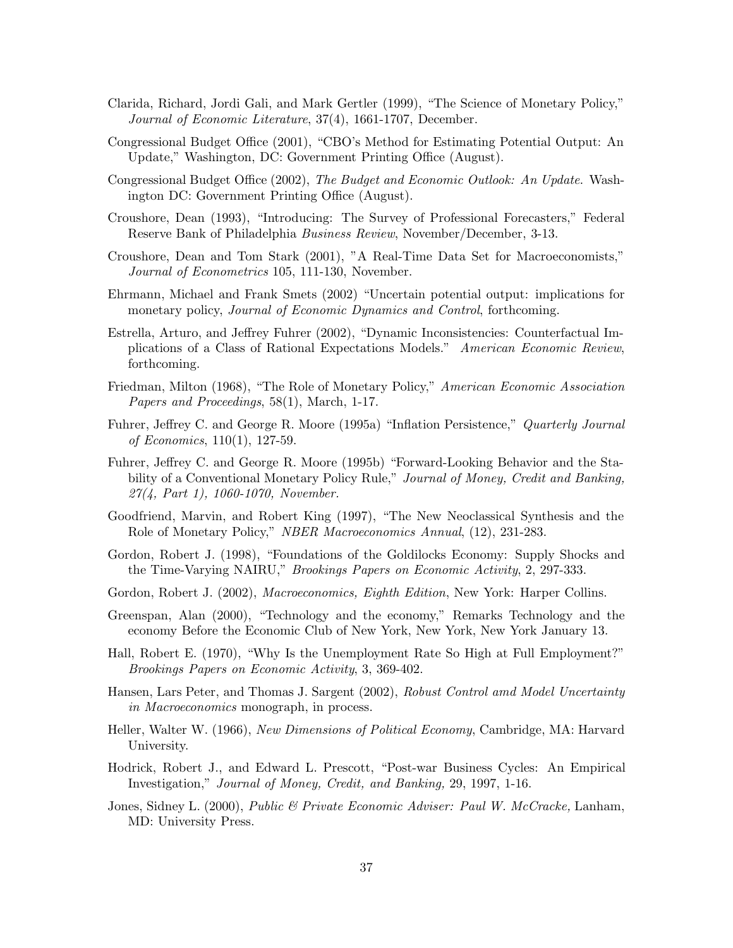- Clarida, Richard, Jordi Gali, and Mark Gertler (1999), "The Science of Monetary Policy," *Journal of Economic Literature*, 37(4), 1661-1707, December.
- Congressional Budget Office (2001), "CBO's Method for Estimating Potential Output: An Update," Washington, DC: Government Printing Office (August).
- Congressional Budget Office (2002), *The Budget and Economic Outlook: An Update*. Washington DC: Government Printing Office (August).
- Croushore, Dean (1993), "Introducing: The Survey of Professional Forecasters," Federal Reserve Bank of Philadelphia *Business Review*, November/December, 3-13.
- Croushore, Dean and Tom Stark (2001), "A Real-Time Data Set for Macroeconomists," *Journal of Econometrics* 105, 111-130, November.
- Ehrmann, Michael and Frank Smets (2002) "Uncertain potential output: implications for monetary policy, *Journal of Economic Dynamics and Control*, forthcoming.
- Estrella, Arturo, and Jeffrey Fuhrer (2002), "Dynamic Inconsistencies: Counterfactual Implications of a Class of Rational Expectations Models." *American Economic Review*, forthcoming.
- Friedman, Milton (1968), "The Role of Monetary Policy," *American Economic Association Papers and Proceedings*, 58(1), March, 1-17.
- Fuhrer, Jeffrey C. and George R. Moore (1995a) "Inflation Persistence," *Quarterly Journal of Economics*, 110(1), 127-59.
- Fuhrer, Jeffrey C. and George R. Moore (1995b) "Forward-Looking Behavior and the Stability of a Conventional Monetary Policy Rule," *Journal of Money, Credit and Banking, 27(4, Part 1), 1060-1070, November.*
- Goodfriend, Marvin, and Robert King (1997), "The New Neoclassical Synthesis and the Role of Monetary Policy," *NBER Macroeconomics Annual*, (12), 231-283.
- Gordon, Robert J. (1998), "Foundations of the Goldilocks Economy: Supply Shocks and the Time-Varying NAIRU," *Brookings Papers on Economic Activity*, 2, 297-333.
- Gordon, Robert J. (2002), *Macroeconomics, Eighth Edition*, New York: Harper Collins.
- Greenspan, Alan (2000), "Technology and the economy," Remarks Technology and the economy Before the Economic Club of New York, New York, New York January 13.
- Hall, Robert E. (1970), "Why Is the Unemployment Rate So High at Full Employment?" *Brookings Papers on Economic Activity*, 3, 369-402.
- Hansen, Lars Peter, and Thomas J. Sargent (2002), *Robust Control amd Model Uncertainty in Macroeconomics* monograph, in process.
- Heller, Walter W. (1966), *New Dimensions of Political Economy*, Cambridge, MA: Harvard University.
- Hodrick, Robert J., and Edward L. Prescott, "Post-war Business Cycles: An Empirical Investigation," *Journal of Money, Credit, and Banking,* 29, 1997, 1-16.
- Jones, Sidney L. (2000), *Public & Private Economic Adviser: Paul W. McCracke,* Lanham, MD: University Press.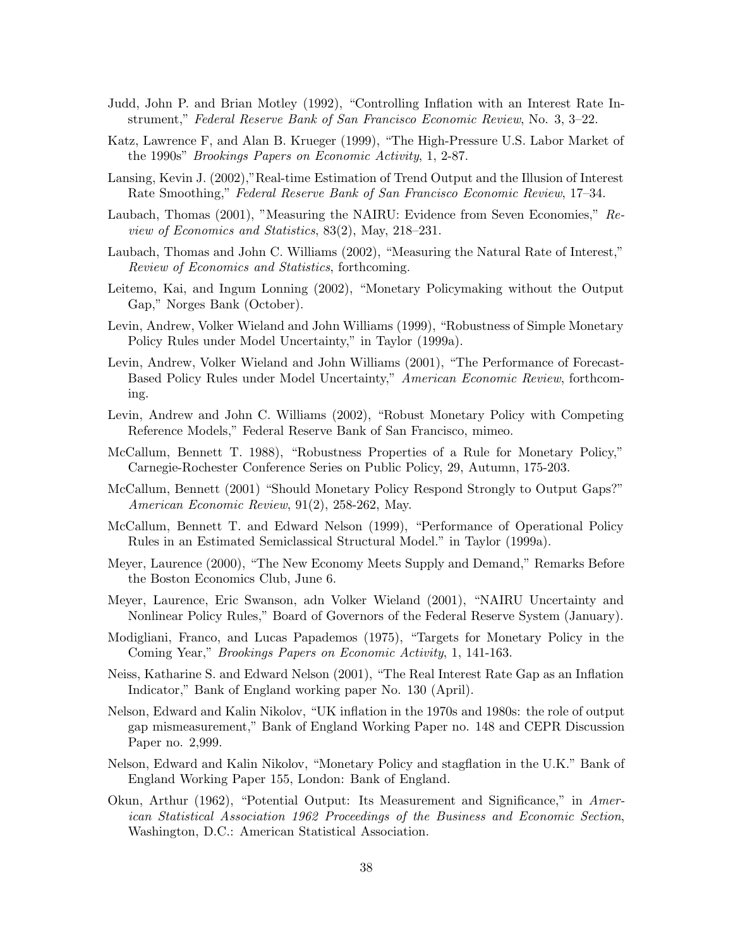- Judd, John P. and Brian Motley (1992), "Controlling Inflation with an Interest Rate Instrument," *Federal Reserve Bank of San Francisco Economic Review*, No. 3, 3–22.
- Katz, Lawrence F, and Alan B. Krueger (1999), "The High-Pressure U.S. Labor Market of the 1990s" *Brookings Papers on Economic Activity*, 1, 2-87.
- Lansing, Kevin J. (2002),"Real-time Estimation of Trend Output and the Illusion of Interest Rate Smoothing," *Federal Reserve Bank of San Francisco Economic Review*, 17–34.
- Laubach, Thomas (2001), "Measuring the NAIRU: Evidence from Seven Economies," *Review of Economics and Statistics*, 83(2), May, 218–231.
- Laubach, Thomas and John C. Williams (2002), "Measuring the Natural Rate of Interest," *Review of Economics and Statistics*, forthcoming.
- Leitemo, Kai, and Ingum Lonning (2002), "Monetary Policymaking without the Output Gap," Norges Bank (October).
- Levin, Andrew, Volker Wieland and John Williams (1999), "Robustness of Simple Monetary Policy Rules under Model Uncertainty," in Taylor (1999a).
- Levin, Andrew, Volker Wieland and John Williams (2001), "The Performance of Forecast-Based Policy Rules under Model Uncertainty," *American Economic Review*, forthcoming.
- Levin, Andrew and John C. Williams (2002), "Robust Monetary Policy with Competing Reference Models," Federal Reserve Bank of San Francisco, mimeo.
- McCallum, Bennett T. 1988), "Robustness Properties of a Rule for Monetary Policy," Carnegie-Rochester Conference Series on Public Policy, 29, Autumn, 175-203.
- McCallum, Bennett (2001) "Should Monetary Policy Respond Strongly to Output Gaps?" *American Economic Review*, 91(2), 258-262, May.
- McCallum, Bennett T. and Edward Nelson (1999), "Performance of Operational Policy Rules in an Estimated Semiclassical Structural Model." in Taylor (1999a).
- Meyer, Laurence (2000), "The New Economy Meets Supply and Demand," Remarks Before the Boston Economics Club, June 6.
- Meyer, Laurence, Eric Swanson, adn Volker Wieland (2001), "NAIRU Uncertainty and Nonlinear Policy Rules," Board of Governors of the Federal Reserve System (January).
- Modigliani, Franco, and Lucas Papademos (1975), "Targets for Monetary Policy in the Coming Year," *Brookings Papers on Economic Activity*, 1, 141-163.
- Neiss, Katharine S. and Edward Nelson (2001), "The Real Interest Rate Gap as an Inflation Indicator," Bank of England working paper No. 130 (April).
- Nelson, Edward and Kalin Nikolov, "UK inflation in the 1970s and 1980s: the role of output gap mismeasurement," Bank of England Working Paper no. 148 and CEPR Discussion Paper no. 2,999.
- Nelson, Edward and Kalin Nikolov, "Monetary Policy and stagflation in the U.K." Bank of England Working Paper 155, London: Bank of England.
- Okun, Arthur (1962), "Potential Output: Its Measurement and Significance," in *American Statistical Association 1962 Proceedings of the Business and Economic Section*, Washington, D.C.: American Statistical Association.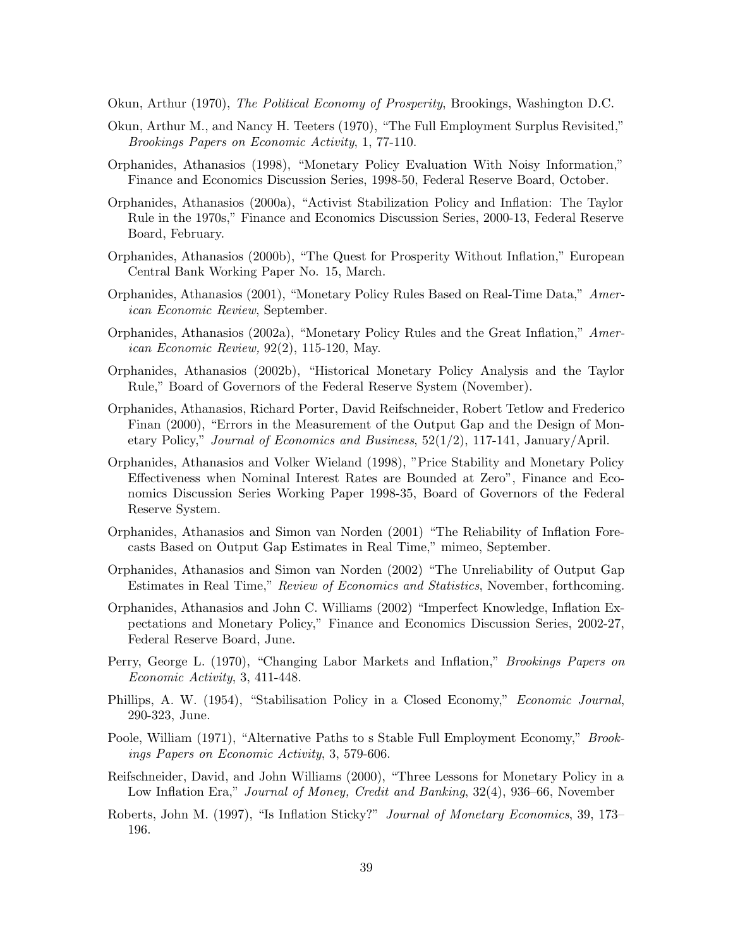Okun, Arthur (1970), *The Political Economy of Prosperity*, Brookings, Washington D.C.

- Okun, Arthur M., and Nancy H. Teeters (1970), "The Full Employment Surplus Revisited," *Brookings Papers on Economic Activity*, 1, 77-110.
- Orphanides, Athanasios (1998), "Monetary Policy Evaluation With Noisy Information," Finance and Economics Discussion Series, 1998-50, Federal Reserve Board, October.
- Orphanides, Athanasios (2000a), "Activist Stabilization Policy and Inflation: The Taylor Rule in the 1970s," Finance and Economics Discussion Series, 2000-13, Federal Reserve Board, February.
- Orphanides, Athanasios (2000b), "The Quest for Prosperity Without Inflation," European Central Bank Working Paper No. 15, March.
- Orphanides, Athanasios (2001), "Monetary Policy Rules Based on Real-Time Data," *American Economic Review*, September.
- Orphanides, Athanasios (2002a), "Monetary Policy Rules and the Great Inflation," *American Economic Review,* 92(2), 115-120, May.
- Orphanides, Athanasios (2002b), "Historical Monetary Policy Analysis and the Taylor Rule," Board of Governors of the Federal Reserve System (November).
- Orphanides, Athanasios, Richard Porter, David Reifschneider, Robert Tetlow and Frederico Finan (2000), "Errors in the Measurement of the Output Gap and the Design of Monetary Policy," *Journal of Economics and Business*, 52(1/2), 117-141, January/April.
- Orphanides, Athanasios and Volker Wieland (1998), "Price Stability and Monetary Policy Effectiveness when Nominal Interest Rates are Bounded at Zero", Finance and Economics Discussion Series Working Paper 1998-35, Board of Governors of the Federal Reserve System.
- Orphanides, Athanasios and Simon van Norden (2001) "The Reliability of Inflation Forecasts Based on Output Gap Estimates in Real Time," mimeo, September.
- Orphanides, Athanasios and Simon van Norden (2002) "The Unreliability of Output Gap Estimates in Real Time," *Review of Economics and Statistics*, November, forthcoming.
- Orphanides, Athanasios and John C. Williams (2002) "Imperfect Knowledge, Inflation Expectations and Monetary Policy," Finance and Economics Discussion Series, 2002-27, Federal Reserve Board, June.
- Perry, George L. (1970), "Changing Labor Markets and Inflation," *Brookings Papers on Economic Activity*, 3, 411-448.
- Phillips, A. W. (1954), "Stabilisation Policy in a Closed Economy," *Economic Journal*, 290-323, June.
- Poole, William (1971), "Alternative Paths to s Stable Full Employment Economy," *Brookings Papers on Economic Activity*, 3, 579-606.
- Reifschneider, David, and John Williams (2000), "Three Lessons for Monetary Policy in a Low Inflation Era," *Journal of Money, Credit and Banking*, 32(4), 936–66, November
- Roberts, John M. (1997), "Is Inflation Sticky?" *Journal of Monetary Economics*, 39, 173– 196.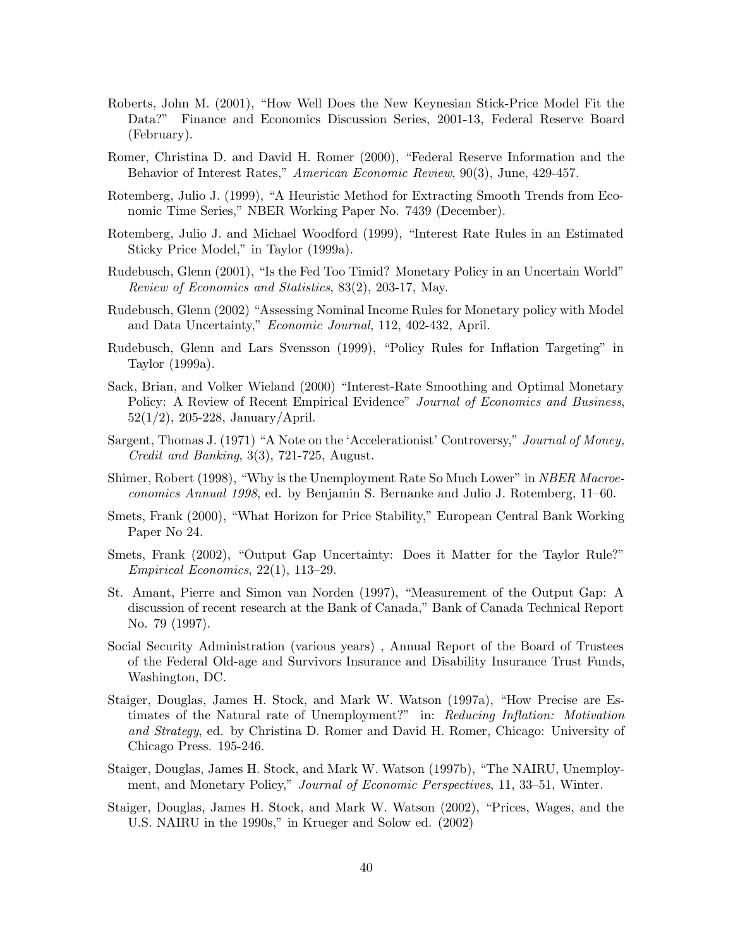- Roberts, John M. (2001), "How Well Does the New Keynesian Stick-Price Model Fit the Data?" Finance and Economics Discussion Series, 2001-13, Federal Reserve Board (February).
- Romer, Christina D. and David H. Romer (2000), "Federal Reserve Information and the Behavior of Interest Rates," *American Economic Review*, 90(3), June, 429-457.
- Rotemberg, Julio J. (1999), "A Heuristic Method for Extracting Smooth Trends from Economic Time Series," NBER Working Paper No. 7439 (December).
- Rotemberg, Julio J. and Michael Woodford (1999), "Interest Rate Rules in an Estimated Sticky Price Model," in Taylor (1999a).
- Rudebusch, Glenn (2001), "Is the Fed Too Timid? Monetary Policy in an Uncertain World" *Review of Economics and Statistics*, 83(2), 203-17, May.
- Rudebusch, Glenn (2002) "Assessing Nominal Income Rules for Monetary policy with Model and Data Uncertainty," *Economic Journal*, 112, 402-432, April.
- Rudebusch, Glenn and Lars Svensson (1999), "Policy Rules for Inflation Targeting" in Taylor (1999a).
- Sack, Brian, and Volker Wieland (2000) "Interest-Rate Smoothing and Optimal Monetary Policy: A Review of Recent Empirical Evidence" *Journal of Economics and Business*, 52(1/2), 205-228, January/April.
- Sargent, Thomas J. (1971) "A Note on the 'Accelerationist' Controversy," *Journal of Money, Credit and Banking*, 3(3), 721-725, August.
- Shimer, Robert (1998), "Why is the Unemployment Rate So Much Lower" in *NBER Macroeconomics Annual 1998*, ed. by Benjamin S. Bernanke and Julio J. Rotemberg, 11–60.
- Smets, Frank (2000), "What Horizon for Price Stability," European Central Bank Working Paper No 24.
- Smets, Frank (2002), "Output Gap Uncertainty: Does it Matter for the Taylor Rule?" *Empirical Economics*, 22(1), 113–29.
- St. Amant, Pierre and Simon van Norden (1997), "Measurement of the Output Gap: A discussion of recent research at the Bank of Canada," Bank of Canada Technical Report No. 79 (1997).
- Social Security Administration (various years) , Annual Report of the Board of Trustees of the Federal Old-age and Survivors Insurance and Disability Insurance Trust Funds, Washington, DC.
- Staiger, Douglas, James H. Stock, and Mark W. Watson (1997a), "How Precise are Estimates of the Natural rate of Unemployment?" in: *Reducing Inflation: Motivation and Strategy*, ed. by Christina D. Romer and David H. Romer, Chicago: University of Chicago Press. 195-246.
- Staiger, Douglas, James H. Stock, and Mark W. Watson (1997b), "The NAIRU, Unemployment, and Monetary Policy," *Journal of Economic Perspectives*, 11, 33–51, Winter.
- Staiger, Douglas, James H. Stock, and Mark W. Watson (2002), "Prices, Wages, and the U.S. NAIRU in the 1990s," in Krueger and Solow ed. (2002)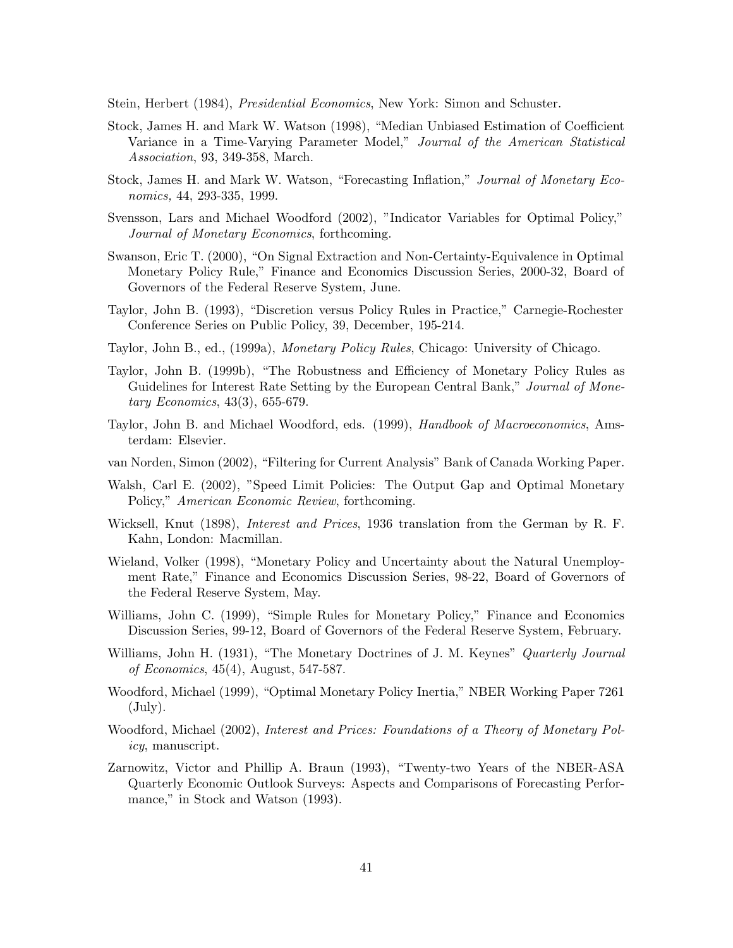Stein, Herbert (1984), *Presidential Economics*, New York: Simon and Schuster.

- Stock, James H. and Mark W. Watson (1998), "Median Unbiased Estimation of Coefficient Variance in a Time-Varying Parameter Model," *Journal of the American Statistical Association*, 93, 349-358, March.
- Stock, James H. and Mark W. Watson, "Forecasting Inflation," *Journal of Monetary Economics,* 44, 293-335, 1999.
- Svensson, Lars and Michael Woodford (2002), "Indicator Variables for Optimal Policy," *Journal of Monetary Economics*, forthcoming.
- Swanson, Eric T. (2000), "On Signal Extraction and Non-Certainty-Equivalence in Optimal Monetary Policy Rule," Finance and Economics Discussion Series, 2000-32, Board of Governors of the Federal Reserve System, June.
- Taylor, John B. (1993), "Discretion versus Policy Rules in Practice," Carnegie-Rochester Conference Series on Public Policy, 39, December, 195-214.
- Taylor, John B., ed., (1999a), *Monetary Policy Rules*, Chicago: University of Chicago.
- Taylor, John B. (1999b), "The Robustness and Efficiency of Monetary Policy Rules as Guidelines for Interest Rate Setting by the European Central Bank," *Journal of Monetary Economics*, 43(3), 655-679.
- Taylor, John B. and Michael Woodford, eds. (1999), *Handbook of Macroeconomics*, Amsterdam: Elsevier.
- van Norden, Simon (2002), "Filtering for Current Analysis" Bank of Canada Working Paper.
- Walsh, Carl E. (2002), "Speed Limit Policies: The Output Gap and Optimal Monetary Policy," *American Economic Review*, forthcoming.
- Wicksell, Knut (1898), *Interest and Prices*, 1936 translation from the German by R. F. Kahn, London: Macmillan.
- Wieland, Volker (1998), "Monetary Policy and Uncertainty about the Natural Unemployment Rate," Finance and Economics Discussion Series, 98-22, Board of Governors of the Federal Reserve System, May.
- Williams, John C. (1999), "Simple Rules for Monetary Policy," Finance and Economics Discussion Series, 99-12, Board of Governors of the Federal Reserve System, February.
- Williams, John H. (1931), "The Monetary Doctrines of J. M. Keynes" *Quarterly Journal of Economics*, 45(4), August, 547-587.
- Woodford, Michael (1999), "Optimal Monetary Policy Inertia," NBER Working Paper 7261 (July).
- Woodford, Michael (2002), *Interest and Prices: Foundations of a Theory of Monetary Policy*, manuscript.
- Zarnowitz, Victor and Phillip A. Braun (1993), "Twenty-two Years of the NBER-ASA Quarterly Economic Outlook Surveys: Aspects and Comparisons of Forecasting Performance," in Stock and Watson (1993).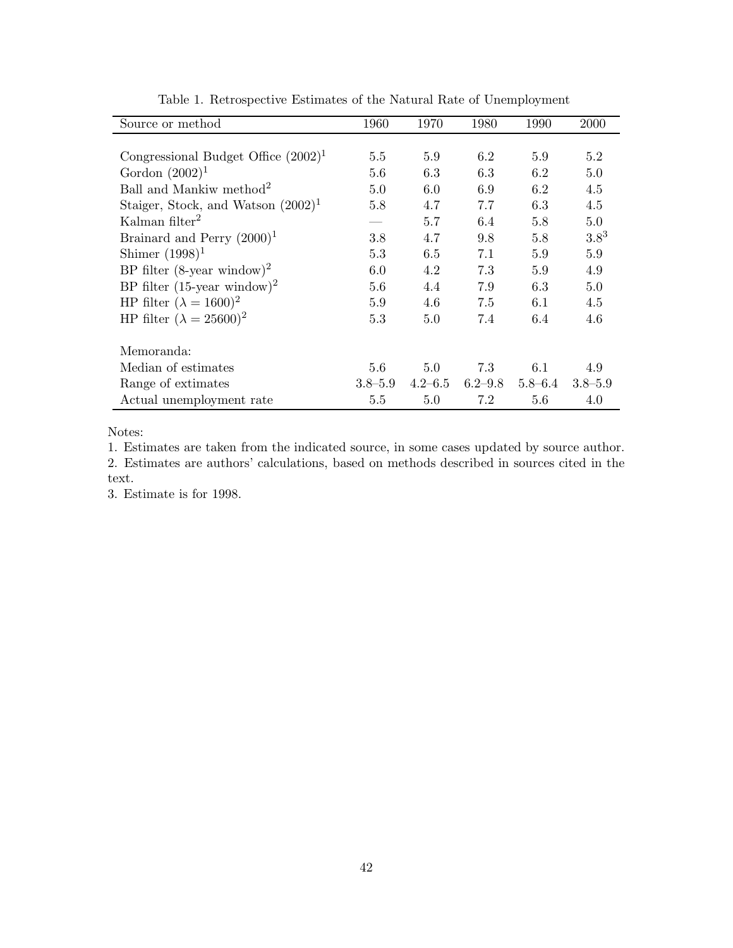| Source or method                           | 1960        | 1970        | 1980        | 1990        | <b>2000</b> |
|--------------------------------------------|-------------|-------------|-------------|-------------|-------------|
|                                            |             |             |             |             |             |
| Congressional Budget Office $(2002)^{1}$   | 5.5         | 5.9         | 6.2         | 5.9         | 5.2         |
| Gordon $(2002)^1$                          | 5.6         | 6.3         | 6.3         | 6.2         | 5.0         |
| Ball and Mankiw method <sup>2</sup>        | 5.0         | 6.0         | 6.9         | 6.2         | 4.5         |
| Staiger, Stock, and Watson $(2002)^1$      | 5.8         | 4.7         | 7.7         | 6.3         | 4.5         |
| Kalman filter <sup>2</sup>                 |             | 5.7         | 6.4         | 5.8         | 5.0         |
| Brainard and Perry $(2000)^1$              | 3.8         | 4.7         | 9.8         | 5.8         | $3.8^{3}$   |
| Shimer $(1998)^1$                          | 5.3         | 6.5         | 7.1         | 5.9         | 5.9         |
| BP filter $(8$ -year window) <sup>2</sup>  | 6.0         | 4.2         | 7.3         | 5.9         | 4.9         |
| BP filter $(15$ -year window) <sup>2</sup> | 5.6         | 4.4         | 7.9         | 6.3         | 5.0         |
| HP filter $(\lambda = 1600)^2$             | 5.9         | 4.6         | 7.5         | 6.1         | 4.5         |
| HP filter $(\lambda = 25600)^2$            | 5.3         | 5.0         | 7.4         | 6.4         | 4.6         |
| Memoranda:                                 |             |             |             |             |             |
| Median of estimates                        | 5.6         | 5.0         | 7.3         | 6.1         | 4.9         |
| Range of extimates                         | $3.8 - 5.9$ | $4.2 - 6.5$ | $6.2 - 9.8$ | $5.8 - 6.4$ | $3.8 - 5.9$ |
| Actual unemployment rate                   | 5.5         | 5.0         | 7.2         | 5.6         | 4.0         |

Table 1. Retrospective Estimates of the Natural Rate of Unemployment

Notes:

1. Estimates are taken from the indicated source, in some cases updated by source author.

2. Estimates are authors' calculations, based on methods described in sources cited in the text.

3. Estimate is for 1998.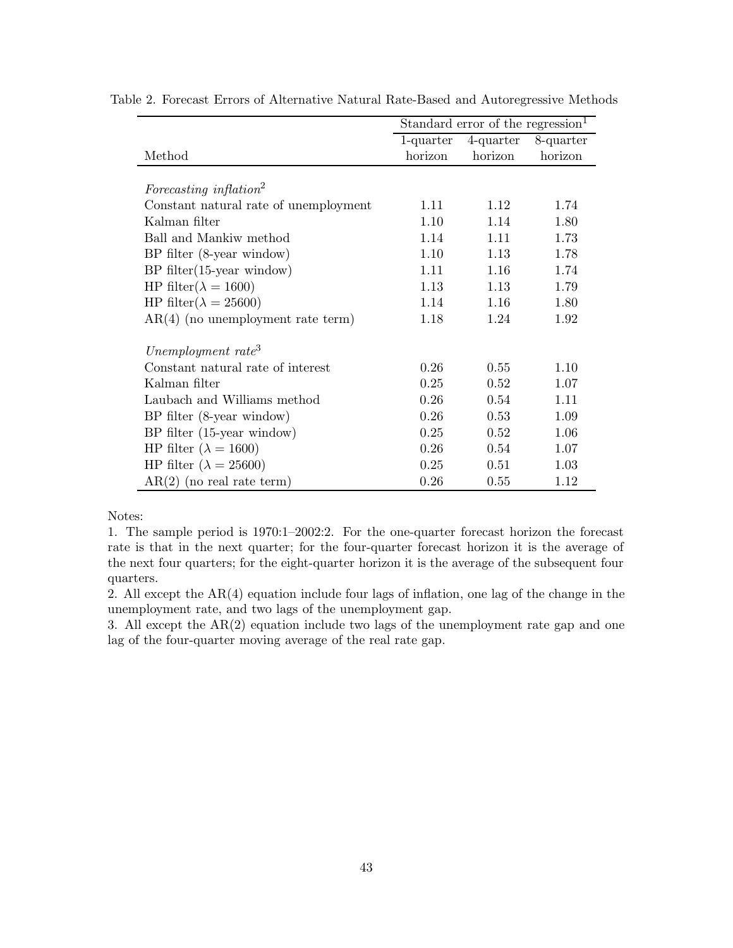|                                       | Standard error of the regression <sup>1</sup> |         |                     |  |  |
|---------------------------------------|-----------------------------------------------|---------|---------------------|--|--|
|                                       | $1$ -quarter                                  |         | 4-quarter 8-quarter |  |  |
| Method                                | horizon                                       | horizon | horizon             |  |  |
|                                       |                                               |         |                     |  |  |
| Forecasting inflation <sup>2</sup>    |                                               |         |                     |  |  |
| Constant natural rate of unemployment | 1.11                                          | 1.12    | 1.74                |  |  |
| Kalman filter                         | 1.10                                          | 1.14    | 1.80                |  |  |
| Ball and Mankiw method                | 1.14                                          | 1.11    | 1.73                |  |  |
| BP filter (8-year window)             | 1.10                                          | 1.13    | 1.78                |  |  |
| $BP$ filter $(15$ -year window)       | 1.11                                          | 1.16    | 1.74                |  |  |
| HP filter( $\lambda = 1600$ )         | 1.13                                          | 1.13    | 1.79                |  |  |
| HP filter( $\lambda = 25600$ )        | 1.14                                          | 1.16    | 1.80                |  |  |
| $AR(4)$ (no unemployment rate term)   | 1.18                                          | 1.24    | 1.92                |  |  |
| Unemployment rate <sup>3</sup>        |                                               |         |                     |  |  |
| Constant natural rate of interest     | 0.26                                          | 0.55    | 1.10                |  |  |
| Kalman filter                         | 0.25                                          | 0.52    | 1.07                |  |  |
| Laubach and Williams method           | 0.26                                          | 0.54    | 1.11                |  |  |
| BP filter (8-year window)             | 0.26                                          | 0.53    | 1.09                |  |  |
| $BP$ filter $(15$ -year window)       | 0.25                                          | 0.52    | 1.06                |  |  |
| HP filter ( $\lambda = 1600$ )        | 0.26                                          | 0.54    | 1.07                |  |  |
| HP filter ( $\lambda = 25600$ )       | 0.25                                          | 0.51    | 1.03                |  |  |
| $AR(2)$ (no real rate term)           | 0.26                                          | 0.55    | 1.12                |  |  |

Table 2. Forecast Errors of Alternative Natural Rate-Based and Autoregressive Methods

Notes:

1. The sample period is 1970:1–2002:2. For the one-quarter forecast horizon the forecast rate is that in the next quarter; for the four-quarter forecast horizon it is the average of the next four quarters; for the eight-quarter horizon it is the average of the subsequent four quarters.

2. All except the AR(4) equation include four lags of inflation, one lag of the change in the unemployment rate, and two lags of the unemployment gap.

3. All except the AR(2) equation include two lags of the unemployment rate gap and one lag of the four-quarter moving average of the real rate gap.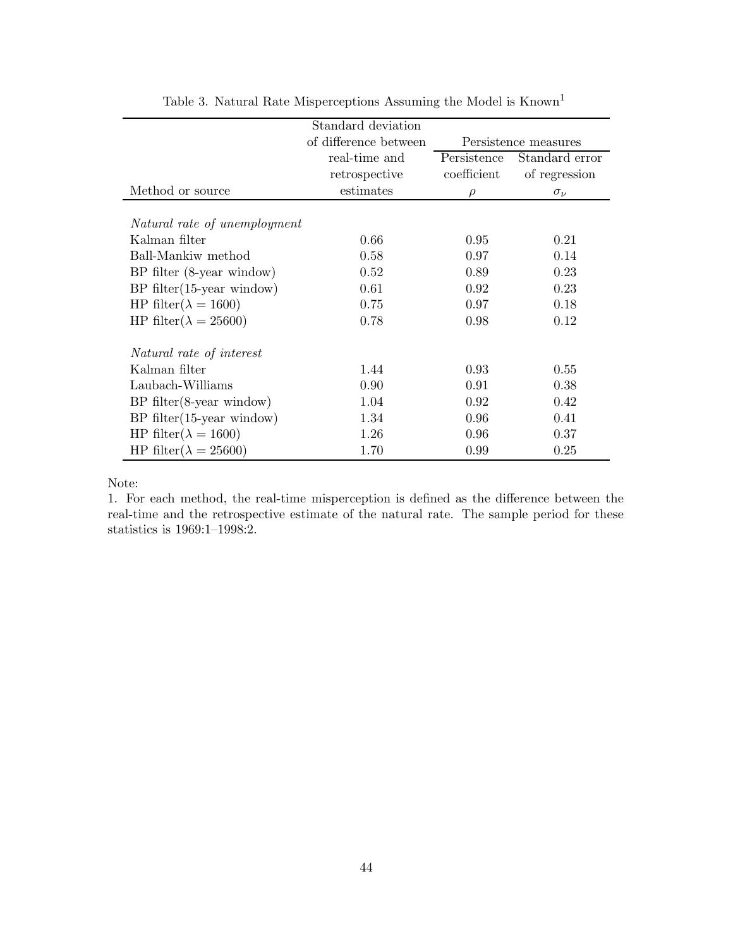|                                | Standard deviation    |             |                      |
|--------------------------------|-----------------------|-------------|----------------------|
|                                | of difference between |             | Persistence measures |
|                                | real-time and         | Persistence | Standard error       |
|                                | retrospective         | coefficient | of regression        |
| Method or source               | estimates             | $\rho$      | $\sigma_{\nu}$       |
|                                |                       |             |                      |
| Natural rate of unemployment   |                       |             |                      |
| Kalman filter                  | 0.66                  | 0.95        | 0.21                 |
| Ball-Mankiw method             | 0.58                  | 0.97        | 0.14                 |
| $BP$ filter (8-year window)    | 0.52                  | 0.89        | 0.23                 |
| $BP$ filter(15-year window)    | 0.61                  | 0.92        | 0.23                 |
| HP filter( $\lambda = 1600$ )  | 0.75                  | 0.97        | 0.18                 |
| HP filter( $\lambda = 25600$ ) | 0.78                  | 0.98        | 0.12                 |
|                                |                       |             |                      |
| Natural rate of interest       |                       |             |                      |
| Kalman filter                  | 1.44                  | 0.93        | 0.55                 |
| Laubach-Williams               | 0.90                  | 0.91        | 0.38                 |
| $BP$ filter $(8$ -year window) | 1.04                  | 0.92        | 0.42                 |
| $BP$ filter(15-year window)    | 1.34                  | 0.96        | 0.41                 |
| HP filter( $\lambda = 1600$ )  | 1.26                  | 0.96        | 0.37                 |
| HP filter( $\lambda = 25600$ ) | 1.70                  | 0.99        | 0.25                 |

Table 3. Natural Rate Misperceptions Assuming the Model is  $Known<sup>1</sup>$ 

#### Note:

1. For each method, the real-time misperception is defined as the difference between the real-time and the retrospective estimate of the natural rate. The sample period for these statistics is 1969:1–1998:2.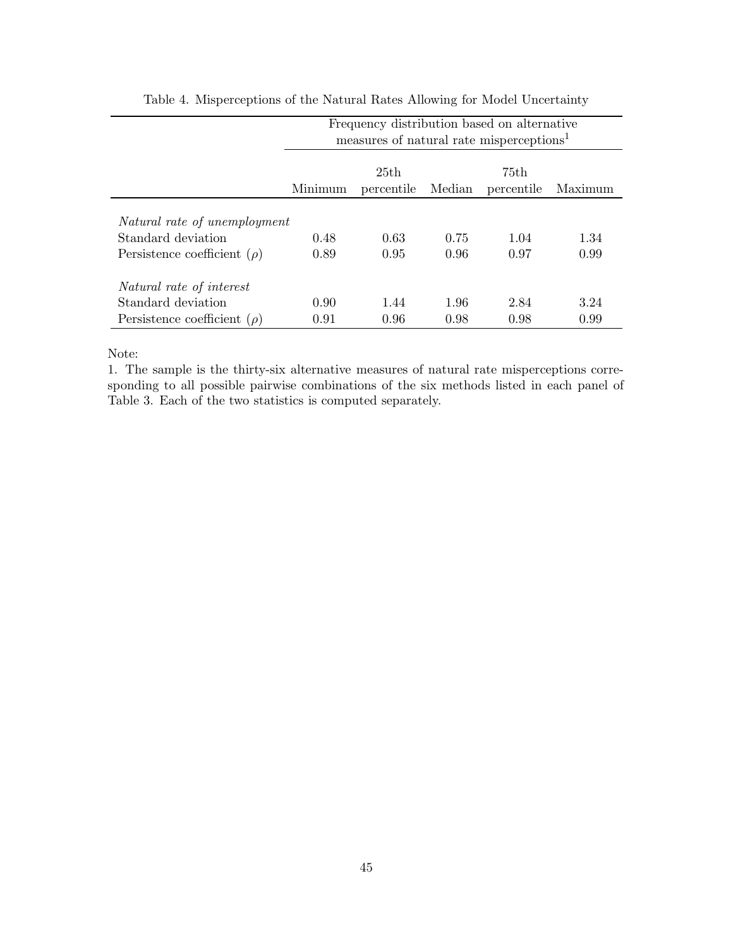|                                  | Frequency distribution based on alternative<br>measures of natural rate misperceptions <sup>1</sup> |                    |        |                    |         |  |  |
|----------------------------------|-----------------------------------------------------------------------------------------------------|--------------------|--------|--------------------|---------|--|--|
|                                  | Minimum                                                                                             | 25th<br>percentile | Median | 75th<br>percentile | Maximum |  |  |
| Natural rate of unemployment     |                                                                                                     |                    |        |                    |         |  |  |
| Standard deviation               | 0.48                                                                                                | 0.63               | 0.75   | 1.04               | 1.34    |  |  |
| Persistence coefficient $(\rho)$ | 0.89                                                                                                | 0.95               | 0.96   | 0.97               | 0.99    |  |  |
| Natural rate of interest         |                                                                                                     |                    |        |                    |         |  |  |
| Standard deviation               | 0.90                                                                                                | 1.44               | 1.96   | 2.84               | 3.24    |  |  |
| Persistence coefficient $(\rho)$ | 0.91                                                                                                | 0.96               | 0.98   | 0.98               | 0.99    |  |  |

Table 4. Misperceptions of the Natural Rates Allowing for Model Uncertainty

Note:

1. The sample is the thirty-six alternative measures of natural rate misperceptions corresponding to all possible pairwise combinations of the six methods listed in each panel of Table 3. Each of the two statistics is computed separately.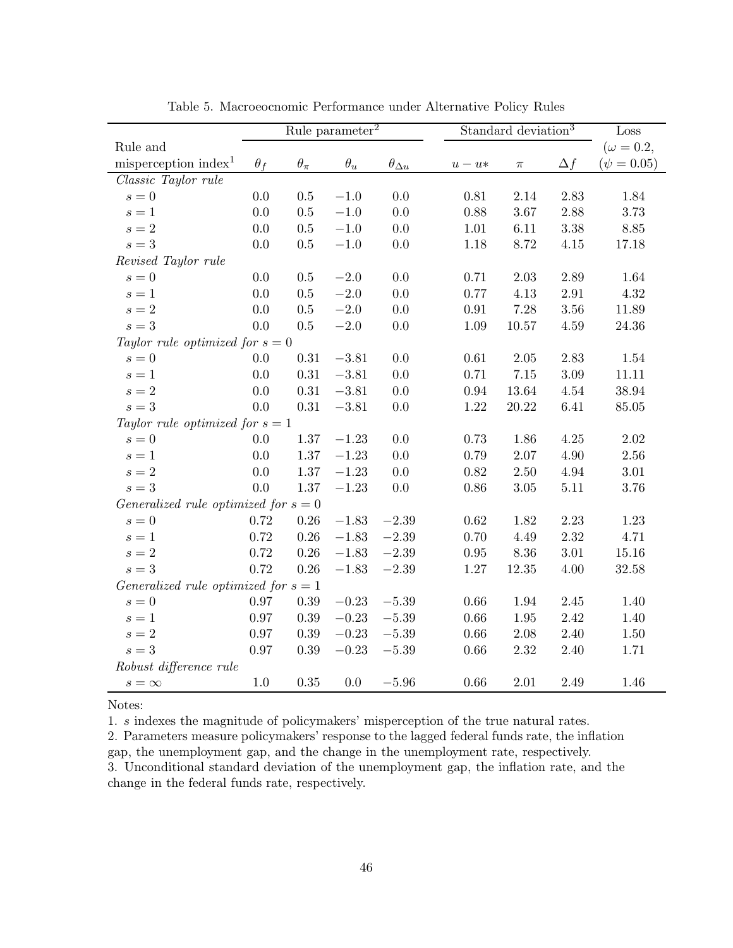|                                        | Rule parameter <sup>2</sup> |              |            | Standard deviation <sup>3</sup> |          |           | Loss       |                  |
|----------------------------------------|-----------------------------|--------------|------------|---------------------------------|----------|-----------|------------|------------------|
| Rule and                               |                             |              |            |                                 |          |           |            | $(\omega = 0.2,$ |
| misperception index <sup>1</sup>       | $\theta_f$                  | $\theta_\pi$ | $\theta_u$ | $\theta_{\Delta \underline{u}}$ | $u-u*$   | $\pi$     | $\Delta f$ | $(\psi = 0.05)$  |
| Classic Taylor rule                    |                             |              |            |                                 |          |           |            |                  |
| $s = 0$                                | 0.0                         | 0.5          | $-1.0\,$   | 0.0                             | 0.81     | 2.14      | 2.83       | 1.84             |
| $s=1$                                  | 0.0                         | 0.5          | $-1.0$     | 0.0                             | 0.88     | 3.67      | 2.88       | 3.73             |
| $s=2$                                  | 0.0                         | 0.5          | $-1.0$     | 0.0                             | 1.01     | 6.11      | $3.38\,$   | 8.85             |
| $s=3$                                  | 0.0                         | 0.5          | $-1.0\,$   | 0.0                             | 1.18     | 8.72      | 4.15       | 17.18            |
| Revised Taylor rule                    |                             |              |            |                                 |          |           |            |                  |
| $s=0$                                  | $0.0\,$                     | 0.5          | $-2.0\,$   | 0.0                             | 0.71     | $2.03\,$  | 2.89       | 1.64             |
| $s=1$                                  | $0.0\,$                     | $0.5\,$      | $-2.0\,$   | 0.0                             | 0.77     | 4.13      | $2.91\,$   | 4.32             |
| $s=2$                                  | 0.0                         | 0.5          | $-2.0\,$   | 0.0                             | 0.91     | 7.28      | 3.56       | 11.89            |
| $s=3$                                  | $0.0\,$                     | 0.5          | $-2.0\,$   | 0.0                             | $1.09\,$ | $10.57\,$ | 4.59       | $24.36\,$        |
| Taylor rule optimized for $s = 0$      |                             |              |            |                                 |          |           |            |                  |
| $s=0$                                  | 0.0                         | 0.31         | $-3.81$    | 0.0                             | 0.61     | 2.05      | 2.83       | 1.54             |
| $s=1$                                  | 0.0                         | 0.31         | $-3.81$    | 0.0                             | 0.71     | $7.15\,$  | 3.09       | 11.11            |
| $s=2$                                  | 0.0                         | 0.31         | $-3.81$    | 0.0                             | 0.94     | 13.64     | 4.54       | 38.94            |
| $s=3$                                  | 0.0                         | 0.31         | $-3.81$    | 0.0                             | 1.22     | 20.22     | 6.41       | 85.05            |
| Taylor rule optimized for $s = 1$      |                             |              |            |                                 |          |           |            |                  |
| $s = 0$                                | 0.0                         | $1.37\,$     | $-1.23$    | 0.0                             | 0.73     | 1.86      | 4.25       | 2.02             |
| $s=1$                                  | 0.0                         | 1.37         | $-1.23$    | 0.0                             | 0.79     | 2.07      | 4.90       | 2.56             |
| $s=2$                                  | $0.0\,$                     | 1.37         | $-1.23$    | 0.0                             | 0.82     | $2.50\,$  | 4.94       | 3.01             |
| $s=3$                                  | 0.0                         | 1.37         | $-1.23$    | 0.0                             | 0.86     | 3.05      | 5.11       | 3.76             |
| Generalized rule optimized for $s = 0$ |                             |              |            |                                 |          |           |            |                  |
| $s=0$                                  | 0.72                        | 0.26         | $-1.83$    | $-2.39$                         | 0.62     | 1.82      | 2.23       | 1.23             |
| $s=1$                                  | 0.72                        | 0.26         | $-1.83$    | $-2.39$                         | 0.70     | 4.49      | 2.32       | 4.71             |
| $s=2$                                  | 0.72                        | 0.26         | $-1.83$    | $-2.39$                         | 0.95     | 8.36      | $3.01\,$   | 15.16            |
| $s=3$                                  | 0.72                        | 0.26         | $-1.83$    | $-2.39$                         | $1.27\,$ | 12.35     | 4.00       | 32.58            |
| Generalized rule optimized for $s = 1$ |                             |              |            |                                 |          |           |            |                  |
| $s=0$                                  | 0.97                        | $0.39\,$     | $-0.23$    | $-5.39$                         | 0.66     | 1.94      | 2.45       | 1.40             |
| $s=1$                                  | 0.97                        | $0.39\,$     | $-0.23$    | $-5.39$                         | 0.66     | $1.95\,$  | 2.42       | 1.40             |
| $s=2$                                  | 0.97                        | $0.39\,$     | $-0.23$    | $-5.39\,$                       | $0.66\,$ | $2.08\,$  | 2.40       | 1.50             |
| $s=3$                                  | 0.97                        | 0.39         | $-0.23$    | $-5.39$                         | 0.66     | 2.32      | 2.40       | 1.71             |
| Robust difference rule                 |                             |              |            |                                 |          |           |            |                  |
| $s = \infty$                           | 1.0                         | 0.35         | 0.0        | $-5.96$                         | 0.66     | 2.01      | 2.49       | 1.46             |

Table 5. Macroeocnomic Performance under Alternative Policy Rules

Notes:

1. s indexes the magnitude of policymakers' misperception of the true natural rates.

2. Parameters measure policymakers' response to the lagged federal funds rate, the inflation gap, the unemployment gap, and the change in the unemployment rate, respectively. 3. Unconditional standard deviation of the unemployment gap, the inflation rate, and the change in the federal funds rate, respectively.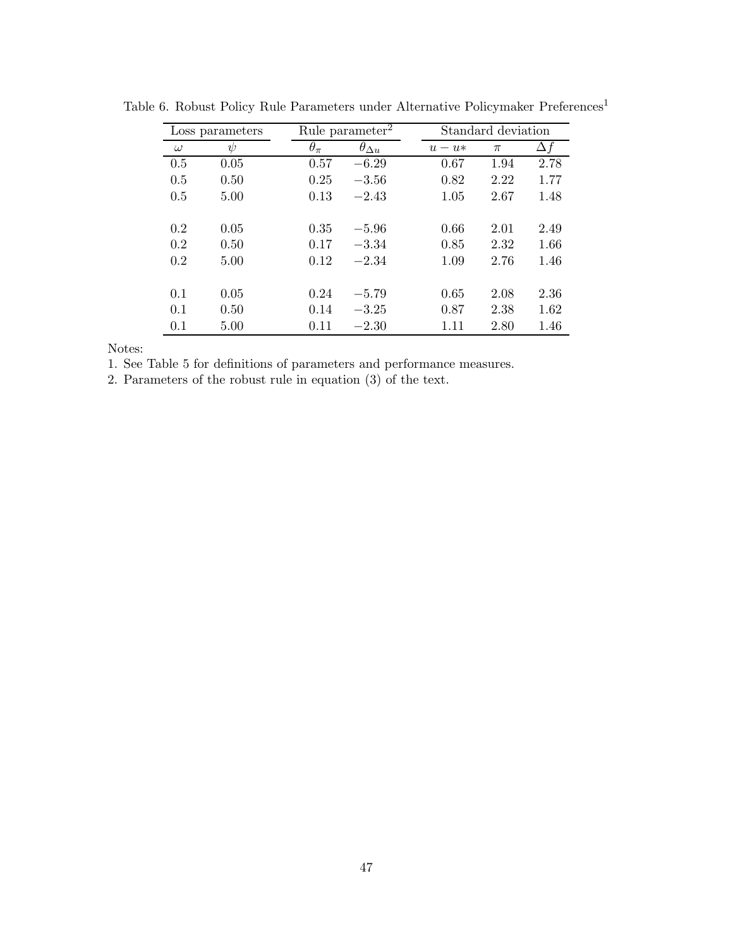| Loss parameters |        |              | Rule parameter $\overline{a}$ |  | Standard deviation |       |            |
|-----------------|--------|--------------|-------------------------------|--|--------------------|-------|------------|
| $\omega$        | $\psi$ | $\theta_\pi$ | $\theta_{\Delta u}$           |  | $u-u*$             | $\pi$ | $\Delta f$ |
| 0.5             | 0.05   | 0.57         | $-6.29$                       |  | 0.67               | 1.94  | 2.78       |
| 0.5             | 0.50   | 0.25         | $-3.56$                       |  | 0.82               | 2.22  | 1.77       |
| 0.5             | 5.00   | 0.13         | $-2.43$                       |  | 1.05               | 2.67  | 1.48       |
| 0.2             | 0.05   | 0.35         | $-5.96$                       |  | 0.66               | 2.01  | 2.49       |
| 0.2             | 0.50   | 0.17         | $-3.34$                       |  | 0.85               | 2.32  | 1.66       |
| 0.2             | 5.00   | 0.12         | $-2.34$                       |  | 1.09               | 2.76  | 1.46       |
|                 |        |              |                               |  |                    |       |            |
| 0.1             | 0.05   | 0.24         | $-5.79$                       |  | 0.65               | 2.08  | 2.36       |
| 0.1             | 0.50   | 0.14         | $-3.25$                       |  | 0.87               | 2.38  | 1.62       |
| 0.1             | 5.00   | 0.11         | $-2.30$                       |  | 1.11               | 2.80  | 1.46       |

Table 6. Robust Policy Rule Parameters under Alternative Policymaker  $\mathbf{Preferences}^1$ 

Notes:

1. See Table 5 for definitions of parameters and performance measures.

2. Parameters of the robust rule in equation (3) of the text.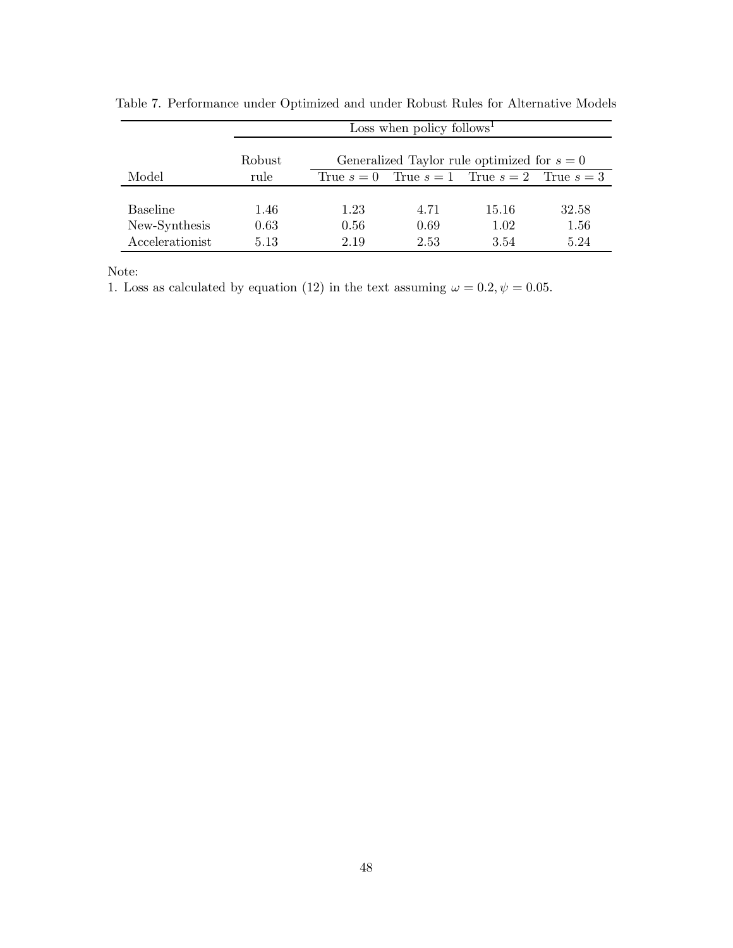|                 | Loss when policy follows <sup>1</sup> |                                               |                                                     |       |       |  |  |  |
|-----------------|---------------------------------------|-----------------------------------------------|-----------------------------------------------------|-------|-------|--|--|--|
|                 | Robust                                | Generalized Taylor rule optimized for $s = 0$ |                                                     |       |       |  |  |  |
| Model           | rule                                  |                                               | True $s = 0$ True $s = 1$ True $s = 2$ True $s = 3$ |       |       |  |  |  |
|                 |                                       |                                               |                                                     |       |       |  |  |  |
| <b>Baseline</b> | 1.46                                  | 1.23                                          | 4.71                                                | 15.16 | 32.58 |  |  |  |
| New-Synthesis   | 0.63                                  | 0.56                                          | 0.69                                                | 1.02  | 1.56  |  |  |  |
| Accelerationist | 5.13                                  | 2.19                                          | 2.53                                                | 3.54  | 5.24  |  |  |  |

Table 7. Performance under Optimized and under Robust Rules for Alternative Models

Note:

1. Loss as calculated by equation (12) in the text assuming  $\omega = 0.2, \psi = 0.05$ .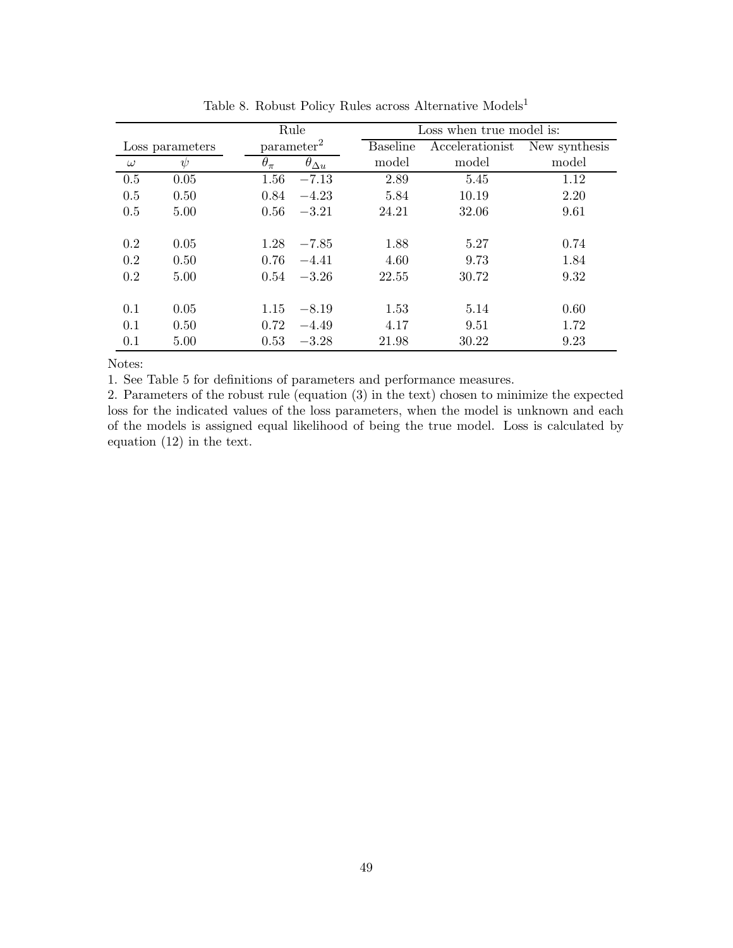|          |                 |                        | Rule                |                 | Loss when true model is: |               |  |
|----------|-----------------|------------------------|---------------------|-----------------|--------------------------|---------------|--|
|          | Loss parameters | parameter <sup>2</sup> |                     | <b>Baseline</b> | Accelerationist          | New synthesis |  |
| $\omega$ | $\psi$          | $\theta_{\pi}$         | $\theta_{\Delta u}$ | model           | model                    | model         |  |
| 0.5      | 0.05            | 1.56                   | $-7.13$             | 2.89            | 5.45                     | 1.12          |  |
| 0.5      | 0.50            | 0.84                   | $-4.23$             | 5.84            | 10.19                    | 2.20          |  |
| 0.5      | 5.00            | 0.56                   | $-3.21$             | 24.21           | 32.06                    | 9.61          |  |
|          |                 |                        |                     |                 |                          |               |  |
| 0.2      | 0.05            | 1.28                   | $-7.85$             | 1.88            | 5.27                     | 0.74          |  |
| 0.2      | 0.50            | 0.76                   | $-4.41$             | 4.60            | 9.73                     | 1.84          |  |
| 0.2      | 5.00            | 0.54                   | $-3.26$             | 22.55           | 30.72                    | 9.32          |  |
|          |                 |                        |                     |                 |                          |               |  |
| 0.1      | 0.05            | 1.15                   | $-8.19$             | 1.53            | 5.14                     | 0.60          |  |
| 0.1      | 0.50            | 0.72                   | $-4.49$             | 4.17            | 9.51                     | 1.72          |  |
| 0.1      | 5.00            | 0.53                   | $-3.28$             | 21.98           | 30.22                    | 9.23          |  |

Table 8. Robust Policy Rules across Alternative  $\sf{Models}^1$ 

Notes:

1. See Table 5 for definitions of parameters and performance measures.

2. Parameters of the robust rule (equation (3) in the text) chosen to minimize the expected loss for the indicated values of the loss parameters, when the model is unknown and each of the models is assigned equal likelihood of being the true model. Loss is calculated by equation (12) in the text.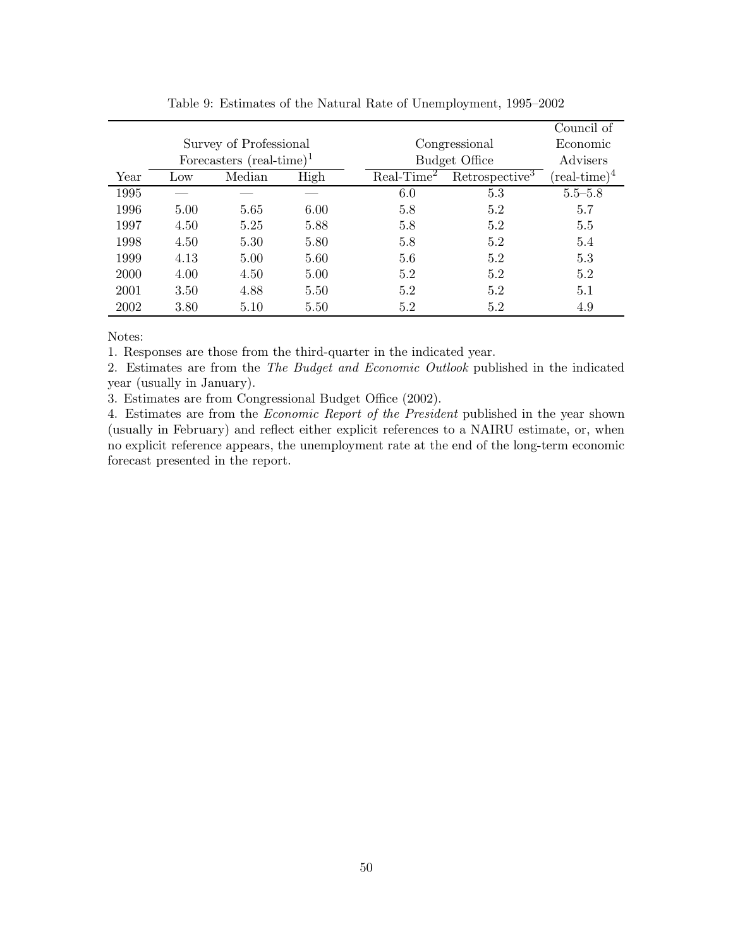|                        |                 |                                    |      |               |                            | Council of             |
|------------------------|-----------------|------------------------------------|------|---------------|----------------------------|------------------------|
| Survey of Professional |                 |                                    |      | Congressional |                            |                        |
|                        |                 | Forecasters $(\text{real-time})^1$ |      |               | <b>Budget Office</b>       | Advisers               |
| Year                   | $_{\text{Low}}$ | Median                             | High | $Real-Time2$  | Retrospective <sup>3</sup> | $(\text{real-time})^4$ |
| 1995                   |                 |                                    |      | 6.0           | 5.3                        | $5.5 - 5.8$            |
| 1996                   | 5.00            | 5.65                               | 6.00 | 5.8           | 5.2                        | 5.7                    |
| 1997                   | 4.50            | 5.25                               | 5.88 | 5.8           | 5.2                        | 5.5                    |
| 1998                   | 4.50            | 5.30                               | 5.80 | 5.8           | 5.2                        | 5.4                    |
| 1999                   | 4.13            | 5.00                               | 5.60 | 5.6           | 5.2                        | 5.3                    |
| 2000                   | 4.00            | 4.50                               | 5.00 | 5.2           | 5.2                        | 5.2                    |
| 2001                   | 3.50            | 4.88                               | 5.50 | 5.2           | 5.2                        | 5.1                    |
| 2002                   | 3.80            | 5.10                               | 5.50 | 5.2           | 5.2                        | 4.9                    |

Table 9: Estimates of the Natural Rate of Unemployment, 1995–2002

Notes:

1. Responses are those from the third-quarter in the indicated year.

2. Estimates are from the *The Budget and Economic Outlook* published in the indicated year (usually in January).

3. Estimates are from Congressional Budget Office (2002).

4. Estimates are from the *Economic Report of the President* published in the year shown (usually in February) and reflect either explicit references to a NAIRU estimate, or, when no explicit reference appears, the unemployment rate at the end of the long-term economic forecast presented in the report.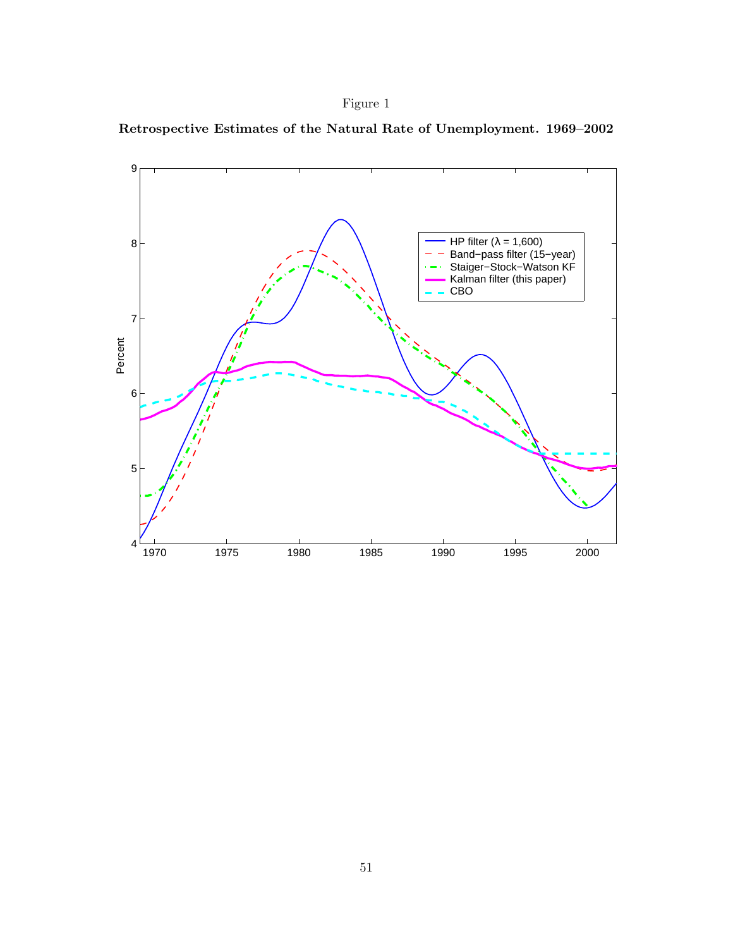



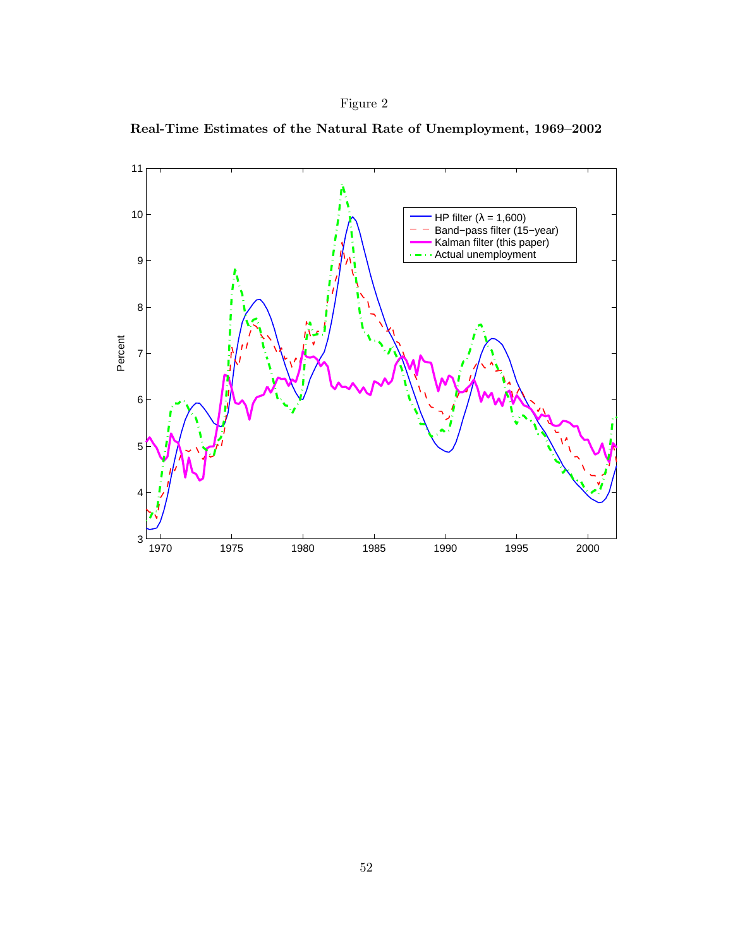

**Real-Time Estimates of the Natural Rate of Unemployment, 1969–2002**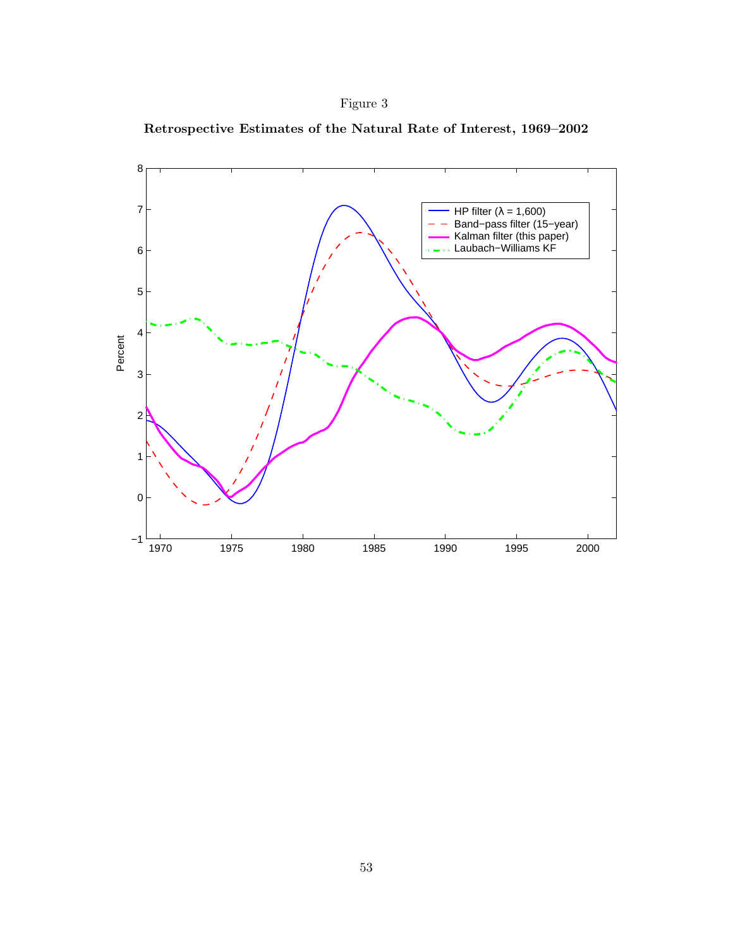



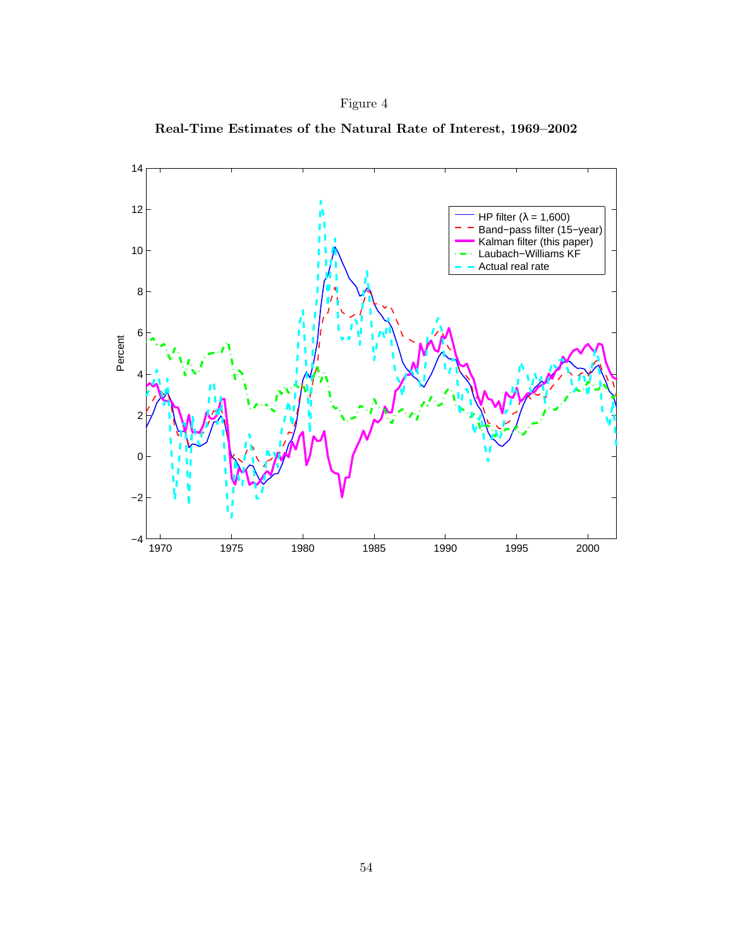



**Real-Time Estimates of the Natural Rate of Interest, 1969–2002**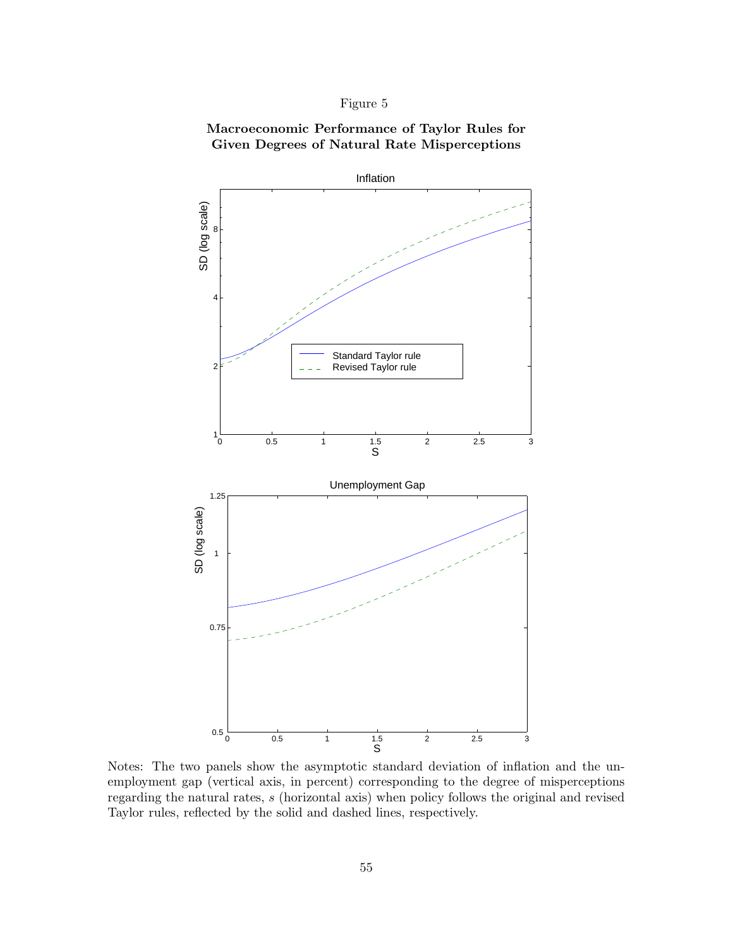## **Macroeconomic Performance of Taylor Rules for Given Degrees of Natural Rate Misperceptions**



Notes: The two panels show the asymptotic standard deviation of inflation and the unemployment gap (vertical axis, in percent) corresponding to the degree of misperceptions regarding the natural rates, s (horizontal axis) when policy follows the original and revised Taylor rules, reflected by the solid and dashed lines, respectively.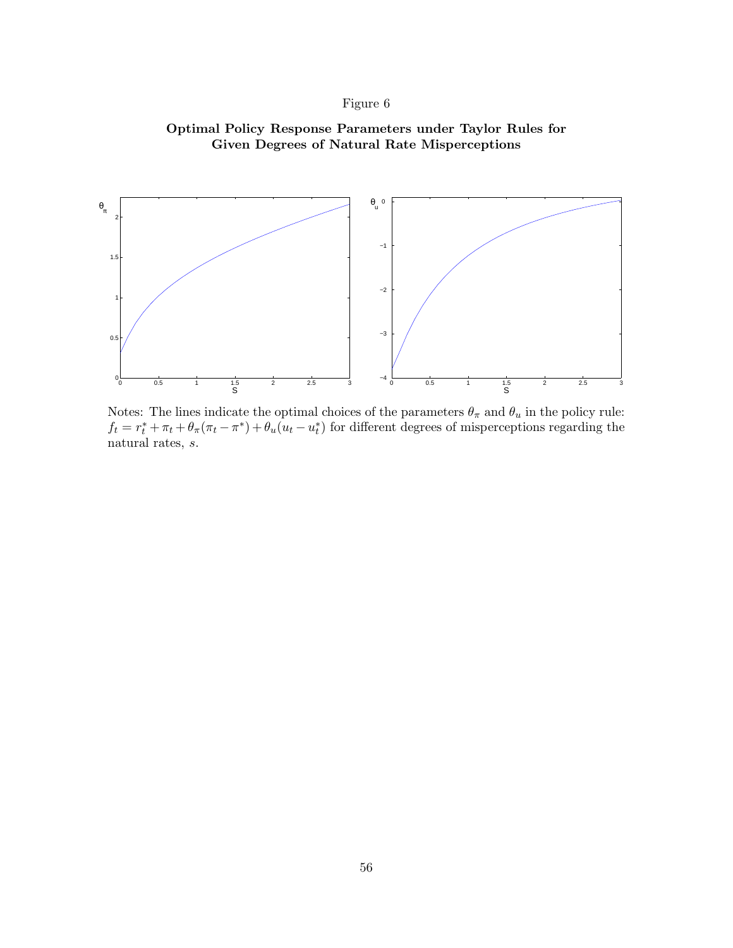



Notes: The lines indicate the optimal choices of the parameters  $\theta_{\pi}$  and  $\theta_{u}$  in the policy rule:  $f_t = r_t^* + \pi_t + \theta_\pi(\pi_t - \pi^*) + \theta_u(u_t - u_t^*)$  for different degrees of misperceptions regarding the natural rates, s.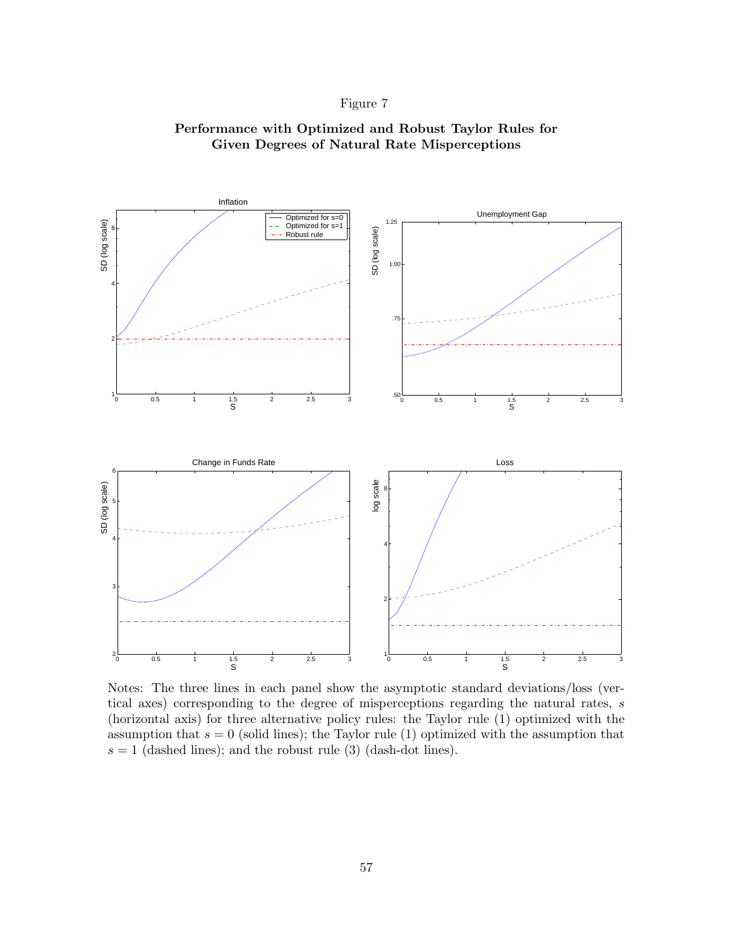

**Performance with Optimized and Robust Taylor Rules for Given Degrees of Natural Rate Misperceptions**

Notes: The three lines in each panel show the asymptotic standard deviations/loss (vertical axes) corresponding to the degree of misperceptions regarding the natural rates, s (horizontal axis) for three alternative policy rules: the Taylor rule (1) optimized with the assumption that  $s = 0$  (solid lines); the Taylor rule (1) optimized with the assumption that  $s = 1$  (dashed lines); and the robust rule (3) (dash-dot lines).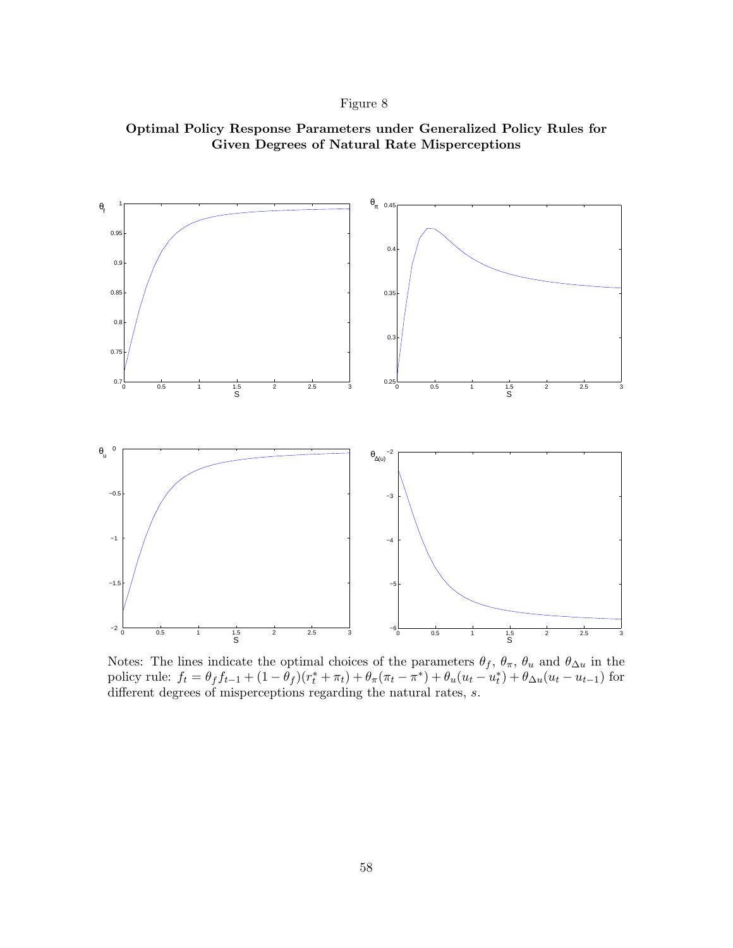



Notes: The lines indicate the optimal choices of the parameters  $\theta_f$ ,  $\theta_{\pi}$ ,  $\theta_u$  and  $\theta_{\Delta u}$  in the policy rule:  $f_t = \theta_f f_{t-1} + (1 - \theta_f)(r_t^* + \pi_t) + \theta_\pi(\pi_t - \pi^*) + \theta_u(u_t - u_t^*) + \theta_{\Delta u}(u_t - u_{t-1})$  for different degrees of misperceptions regarding the natural rates, s.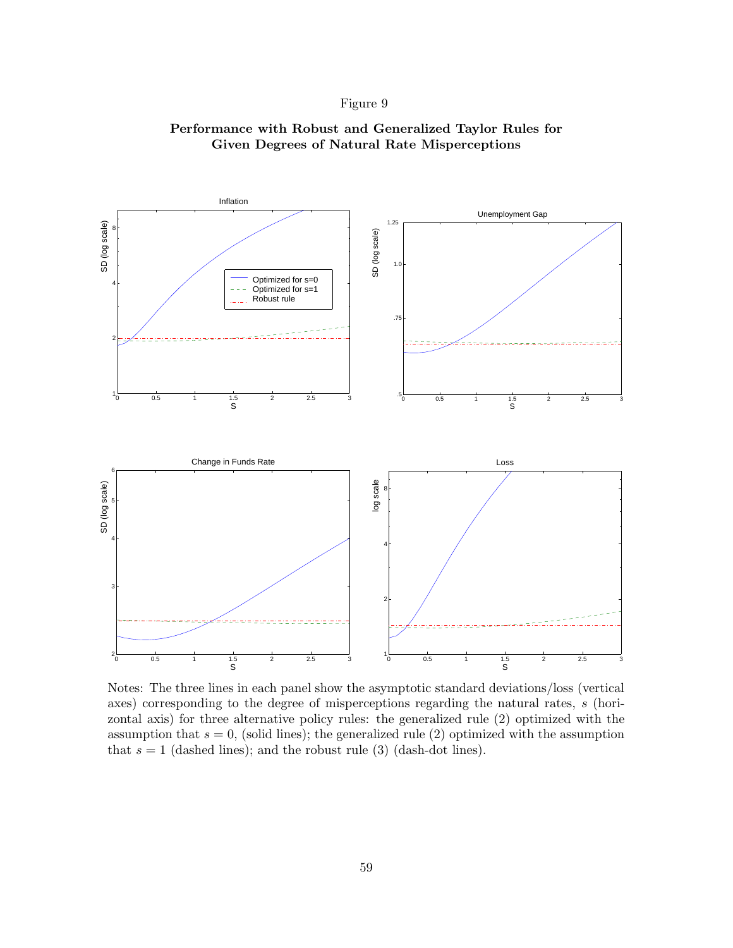

## **Performance with Robust and Generalized Taylor Rules for Given Degrees of Natural Rate Misperceptions**

Notes: The three lines in each panel show the asymptotic standard deviations/loss (vertical axes) corresponding to the degree of misperceptions regarding the natural rates, s (horizontal axis) for three alternative policy rules: the generalized rule (2) optimized with the assumption that  $s = 0$ , (solid lines); the generalized rule (2) optimized with the assumption that  $s = 1$  (dashed lines); and the robust rule (3) (dash-dot lines).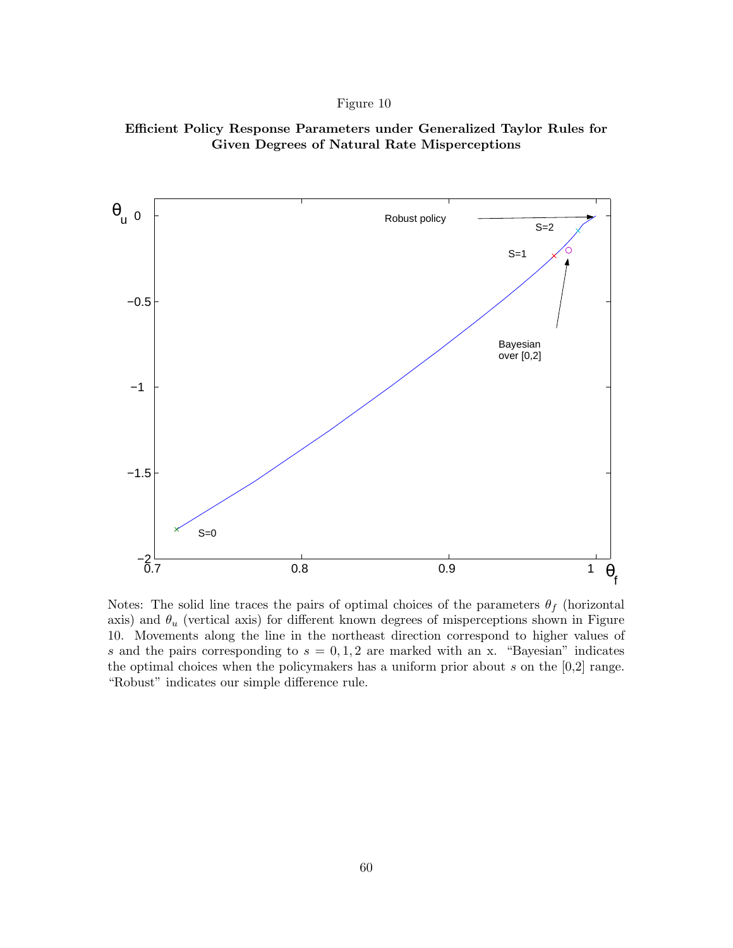



Notes: The solid line traces the pairs of optimal choices of the parameters  $\theta_f$  (horizontal axis) and  $\theta_u$  (vertical axis) for different known degrees of misperceptions shown in Figure 10. Movements along the line in the northeast direction correspond to higher values of s and the pairs corresponding to  $s = 0, 1, 2$  are marked with an x. "Bayesian" indicates the optimal choices when the policymakers has a uniform prior about  $s$  on the  $[0,2]$  range. "Robust" indicates our simple difference rule.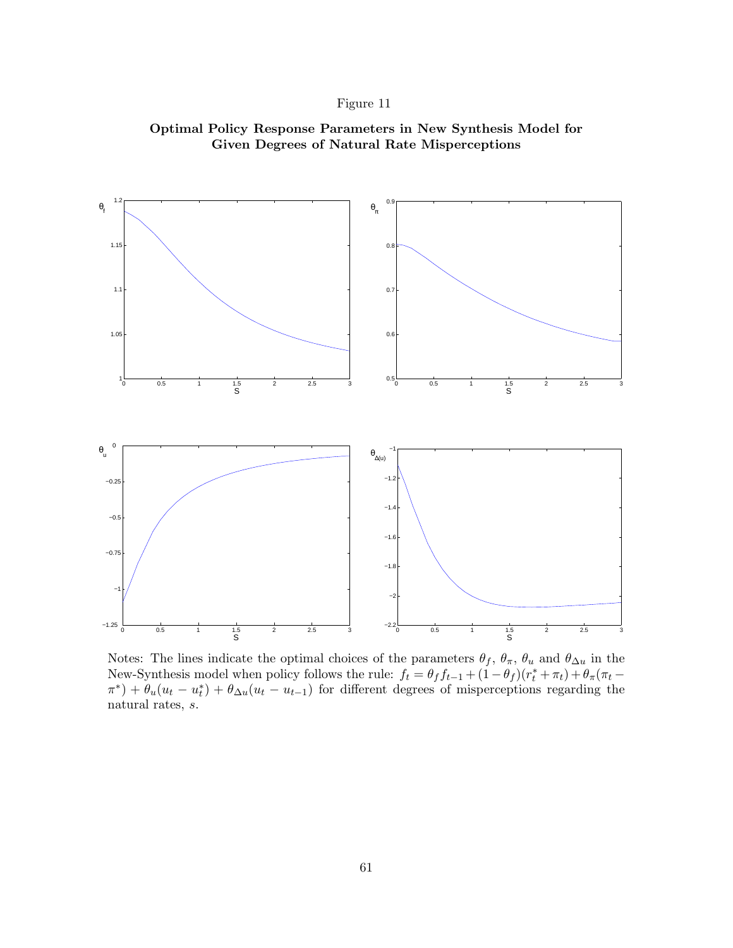





Notes: The lines indicate the optimal choices of the parameters  $\theta_f$ ,  $\theta_{\pi}$ ,  $\theta_u$  and  $\theta_{\Delta u}$  in the New-Synthesis model when policy follows the rule:  $f_t = \theta_f f_{t-1} + (1 - \theta_f)(r_t^* + \pi_t) + \theta_\pi(\pi_t (\pi^*) + \theta_u(u_t - u_t^*) + \theta_{\Delta u}(u_t - u_{t-1})$  for different degrees of misperceptions regarding the natural rates, s.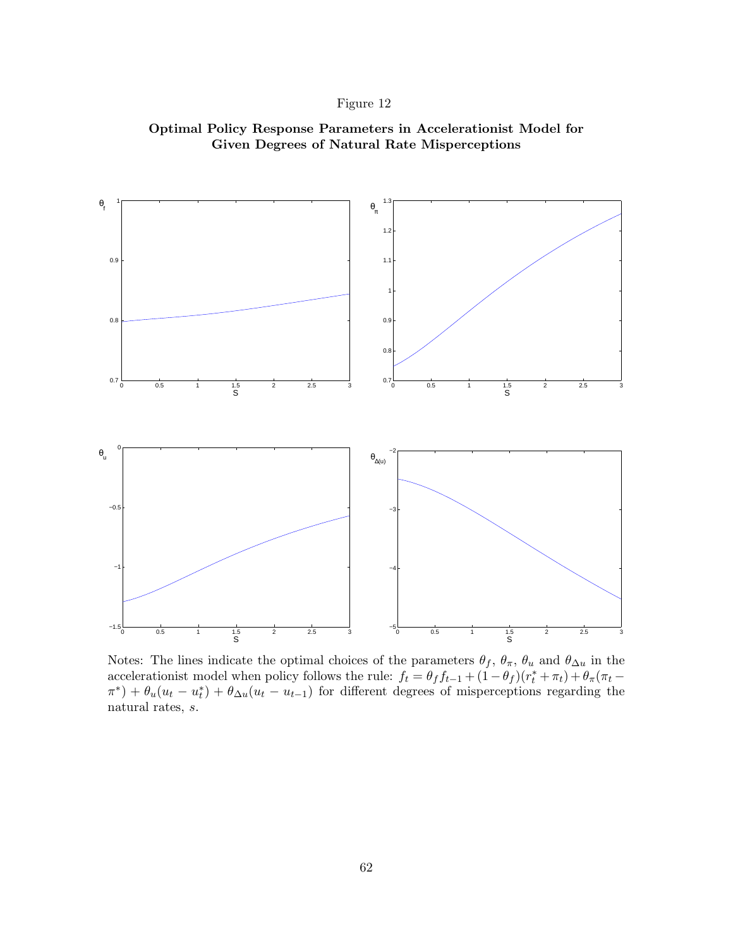





Notes: The lines indicate the optimal choices of the parameters  $\theta_f$ ,  $\theta_{\pi}$ ,  $\theta_u$  and  $\theta_{\Delta u}$  in the accelerationist model when policy follows the rule:  $f_t = \theta_f f_{t-1} + (1 - \theta_f)(r_t^* + \pi_t) + \theta_\pi(\pi_t (\pi^*) + \theta_u(u_t - u_t^*) + \theta_{\Delta u}(u_t - u_{t-1})$  for different degrees of misperceptions regarding the natural rates, s.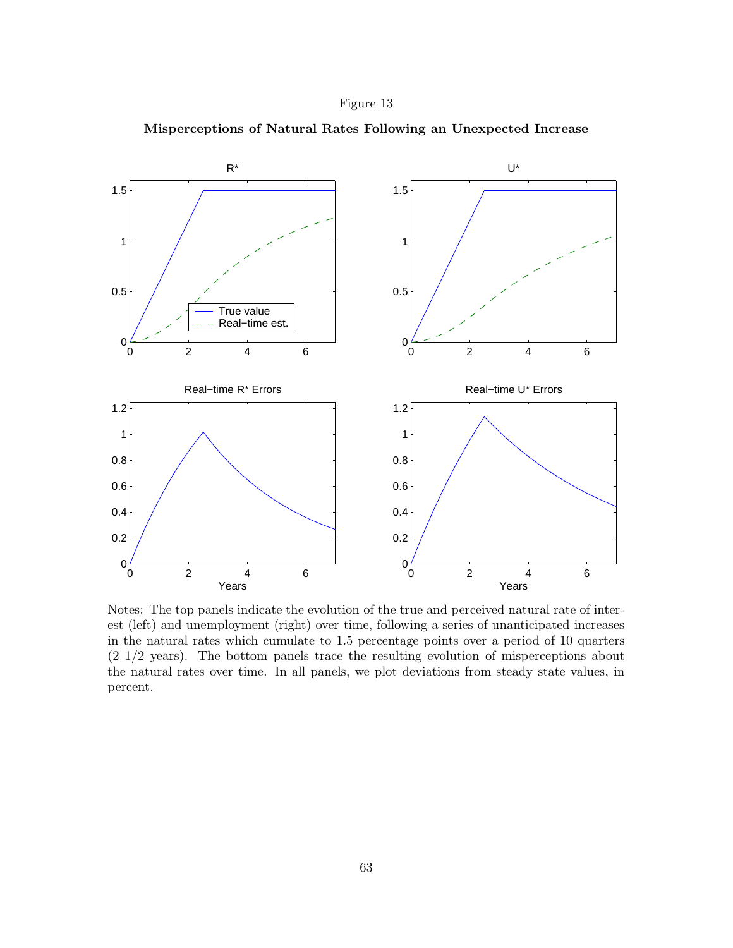



**Misperceptions of Natural Rates Following an Unexpected Increase**

Notes: The top panels indicate the evolution of the true and perceived natural rate of interest (left) and unemployment (right) over time, following a series of unanticipated increases in the natural rates which cumulate to 1.5 percentage points over a period of 10 quarters (2 1/2 years). The bottom panels trace the resulting evolution of misperceptions about the natural rates over time. In all panels, we plot deviations from steady state values, in percent.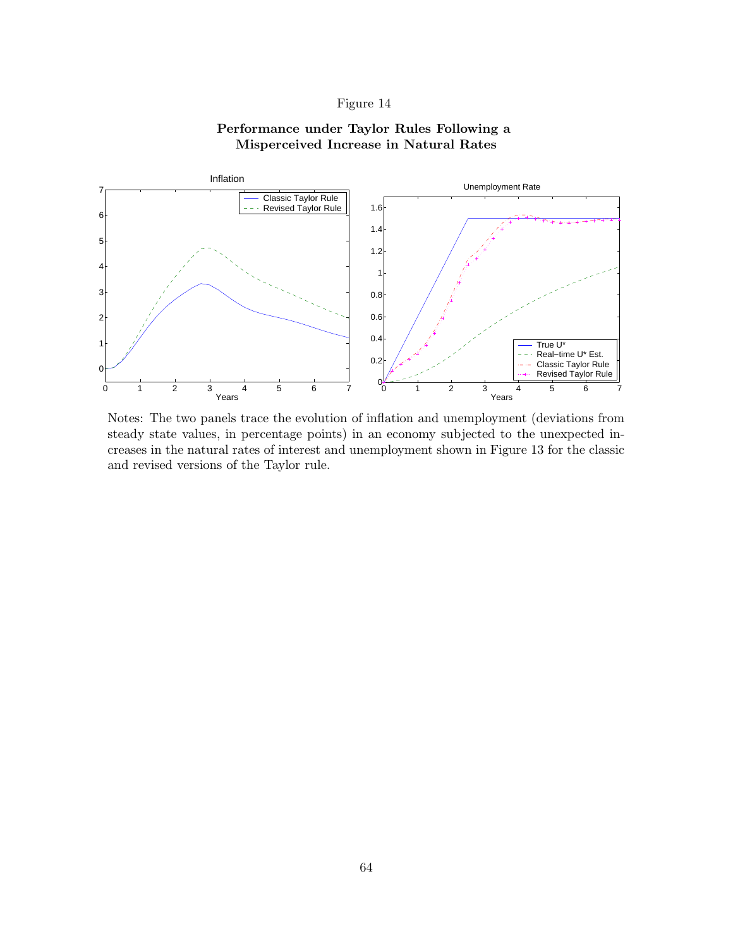## **Performance under Taylor Rules Following a Misperceived Increase in Natural Rates**



Notes: The two panels trace the evolution of inflation and unemployment (deviations from steady state values, in percentage points) in an economy subjected to the unexpected increases in the natural rates of interest and unemployment shown in Figure 13 for the classic and revised versions of the Taylor rule.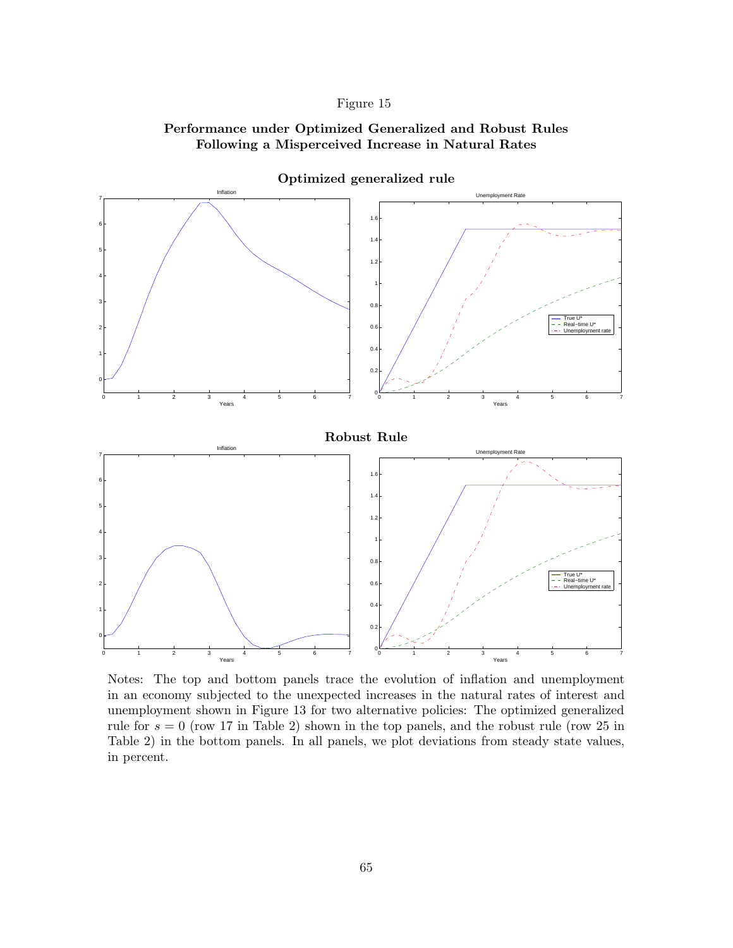## **Performance under Optimized Generalized and Robust Rules Following a Misperceived Increase in Natural Rates**



**Optimized generalized rule**

Notes: The top and bottom panels trace the evolution of inflation and unemployment in an economy subjected to the unexpected increases in the natural rates of interest and unemployment shown in Figure 13 for two alternative policies: The optimized generalized rule for  $s = 0$  (row 17 in Table 2) shown in the top panels, and the robust rule (row 25 in Table 2) in the bottom panels. In all panels, we plot deviations from steady state values, in percent.